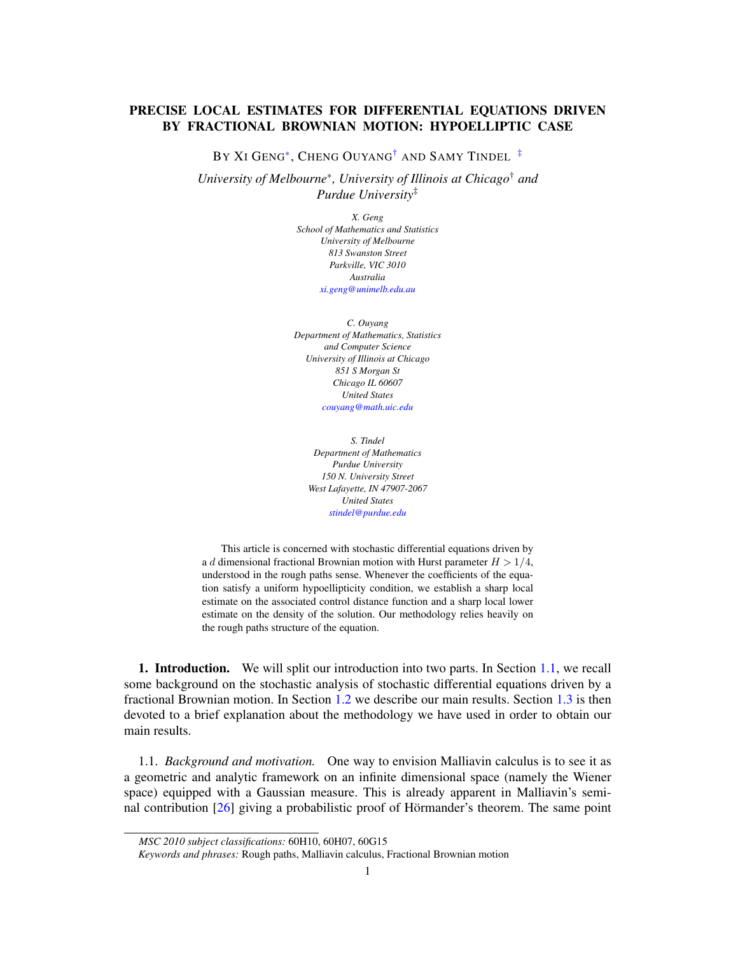## PRECISE LOCAL ESTIMATES FOR DIFFERENTIAL EQUATIONS DRIVEN BY FRACTIONAL BROWNIAN MOTION: HYPOELLIPTIC CASE

BY XI GENG<sup>[\\*](#page-0-0)</sup>, CHENG OUYANG<sup>[†](#page-0-1)</sup> AND SAMY TINDEL<sup>[‡](#page-0-2)</sup>

*University of Melbourne*\**, University of Illinois at Chicago*† *and Purdue University*‡

> <span id="page-0-2"></span><span id="page-0-1"></span><span id="page-0-0"></span>*X. Geng School of Mathematics and Statistics University of Melbourne 813 Swanston Street Parkville, VIC 3010 Australia [xi.geng@unimelb.edu.au](mailto:xi.geng@unimelb.edu.au)*

*C. Ouyang Department of Mathematics, Statistics and Computer Science University of Illinois at Chicago 851 S Morgan St Chicago IL 60607 United States [couyang@math.uic.edu](mailto:couyang@math.uic.edu)*

*S. Tindel Department of Mathematics Purdue University 150 N. University Street West Lafayette, IN 47907-2067 United States [stindel@purdue.edu](mailto:stindel@purdue.edu)*

This article is concerned with stochastic differential equations driven by a d dimensional fractional Brownian motion with Hurst parameter  $H > 1/4$ , understood in the rough paths sense. Whenever the coefficients of the equation satisfy a uniform hypoellipticity condition, we establish a sharp local estimate on the associated control distance function and a sharp local lower estimate on the density of the solution. Our methodology relies heavily on the rough paths structure of the equation.

1. Introduction. We will split our introduction into two parts. In Section [1.1,](#page-0-3) we recall some background on the stochastic analysis of stochastic differential equations driven by a fractional Brownian motion. In Section [1.2](#page-1-0) we describe our main results. Section [1.3](#page-4-0) is then devoted to a brief explanation about the methodology we have used in order to obtain our main results.

<span id="page-0-3"></span>1.1. *Background and motivation.* One way to envision Malliavin calculus is to see it as a geometric and analytic framework on an infinite dimensional space (namely the Wiener space) equipped with a Gaussian measure. This is already apparent in Malliavin's semi-nal contribution [\[26\]](#page-38-0) giving a probabilistic proof of Hörmander's theorem. The same point

*MSC 2010 subject classifications:* 60H10, 60H07, 60G15

*Keywords and phrases:* Rough paths, Malliavin calculus, Fractional Brownian motion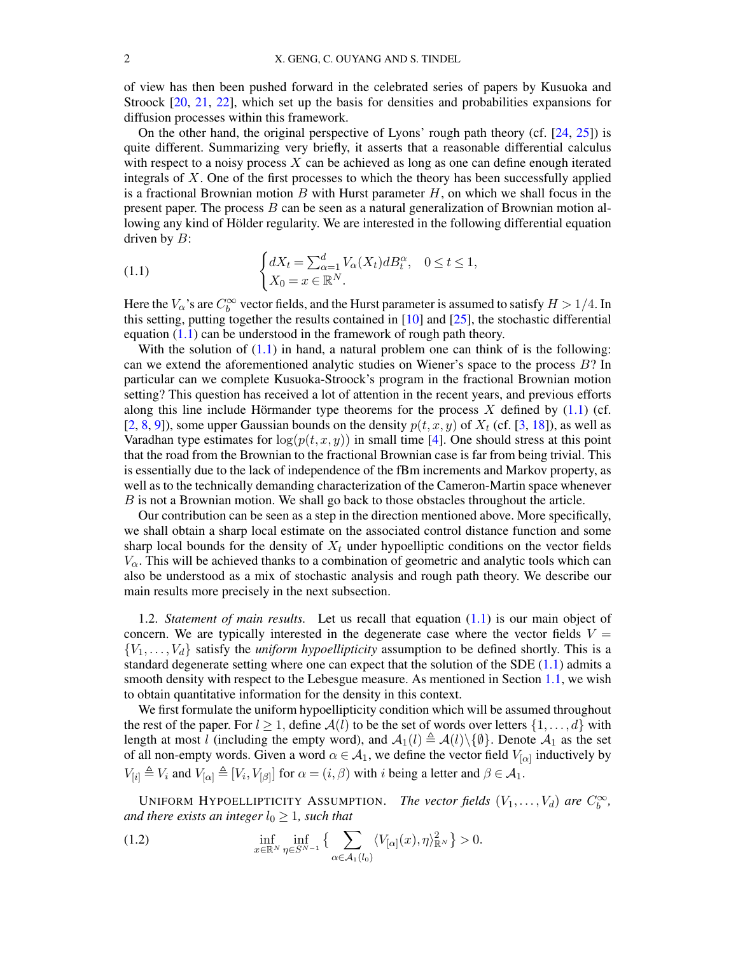of view has then been pushed forward in the celebrated series of papers by Kusuoka and Stroock [\[20,](#page-38-1) [21,](#page-38-2) [22\]](#page-38-3), which set up the basis for densities and probabilities expansions for diffusion processes within this framework.

On the other hand, the original perspective of Lyons' rough path theory (cf. [\[24,](#page-38-4) [25\]](#page-38-5)) is quite different. Summarizing very briefly, it asserts that a reasonable differential calculus with respect to a noisy process  $X$  can be achieved as long as one can define enough iterated integrals of X. One of the first processes to which the theory has been successfully applied is a fractional Brownian motion B with Hurst parameter  $H$ , on which we shall focus in the present paper. The process  $B$  can be seen as a natural generalization of Brownian motion allowing any kind of Hölder regularity. We are interested in the following differential equation driven by  $B$ :

<span id="page-1-1"></span>(1.1) 
$$
\begin{cases} dX_t = \sum_{\alpha=1}^d V_{\alpha}(X_t) dB_t^{\alpha}, & 0 \le t \le 1, \\ X_0 = x \in \mathbb{R}^N. \end{cases}
$$

Here the  $V_\alpha$ 's are  $C^\infty_b$  vector fields, and the Hurst parameter is assumed to satisfy  $H > 1/4$ . In this setting, putting together the results contained in  $[10]$  and  $[25]$ , the stochastic differential equation  $(1.1)$  can be understood in the framework of rough path theory.

With the solution of  $(1.1)$  in hand, a natural problem one can think of is the following: can we extend the aforementioned analytic studies on Wiener's space to the process B? In particular can we complete Kusuoka-Stroock's program in the fractional Brownian motion setting? This question has received a lot of attention in the recent years, and previous efforts along this line include Hörmander type theorems for the process  $X$  defined by [\(1.1\)](#page-1-1) (cf. [\[2,](#page-37-0) [8,](#page-37-1) [9\]](#page-38-7)), some upper Gaussian bounds on the density  $p(t, x, y)$  of  $X_t$  (cf. [\[3,](#page-37-2) [18\]](#page-38-8)), as well as Varadhan type estimates for  $log(p(t, x, y))$  in small time [\[4\]](#page-37-3). One should stress at this point that the road from the Brownian to the fractional Brownian case is far from being trivial. This is essentially due to the lack of independence of the fBm increments and Markov property, as well as to the technically demanding characterization of the Cameron-Martin space whenever B is not a Brownian motion. We shall go back to those obstacles throughout the article.

Our contribution can be seen as a step in the direction mentioned above. More specifically, we shall obtain a sharp local estimate on the associated control distance function and some sharp local bounds for the density of  $X_t$  under hypoelliptic conditions on the vector fields  $V_\alpha$ . This will be achieved thanks to a combination of geometric and analytic tools which can also be understood as a mix of stochastic analysis and rough path theory. We describe our main results more precisely in the next subsection.

<span id="page-1-0"></span>1.2. *Statement of main results.* Let us recall that equation [\(1.1\)](#page-1-1) is our main object of concern. We are typically interested in the degenerate case where the vector fields  $V =$  ${V_1, \ldots, V_d}$  satisfy the *uniform hypoellipticity* assumption to be defined shortly. This is a standard degenerate setting where one can expect that the solution of the SDE [\(1.1\)](#page-1-1) admits a smooth density with respect to the Lebesgue measure. As mentioned in Section [1.1,](#page-0-3) we wish to obtain quantitative information for the density in this context.

We first formulate the uniform hypoellipticity condition which will be assumed throughout the rest of the paper. For  $l \geq 1$ , define  $\mathcal{A}(l)$  to be the set of words over letters  $\{1, \ldots, d\}$  with length at most l (including the empty word), and  $\mathcal{A}_1(l) \triangleq \mathcal{A}(l)\backslash \{\emptyset\}$ . Denote  $\mathcal{A}_1$  as the set of all non-empty words. Given a word  $\alpha \in \mathcal{A}_1$ , we define the vector field  $V_{[\alpha]}$  inductively by  $V_{[i]} \triangleq V_i$  and  $V_{[\alpha]} \triangleq [V_i, V_{[\beta]}]$  for  $\alpha = (i, \beta)$  with i being a letter and  $\beta \in \mathcal{A}_1$ .

UNIFORM HYPOELLIPTICITY ASSUMPTION. *The vector fields*  $(V_1, \ldots, V_d)$  are  $C_b^{\infty}$ , *and there exists an integer*  $l_0 \geq 1$ *, such that* 

<span id="page-1-2"></span>(1.2) 
$$
\inf_{x \in \mathbb{R}^N} \inf_{\eta \in S^{N-1}} \left\{ \sum_{\alpha \in \mathcal{A}_1(l_0)} \langle V_{[\alpha]}(x), \eta \rangle^2_{\mathbb{R}^N} \right\} > 0.
$$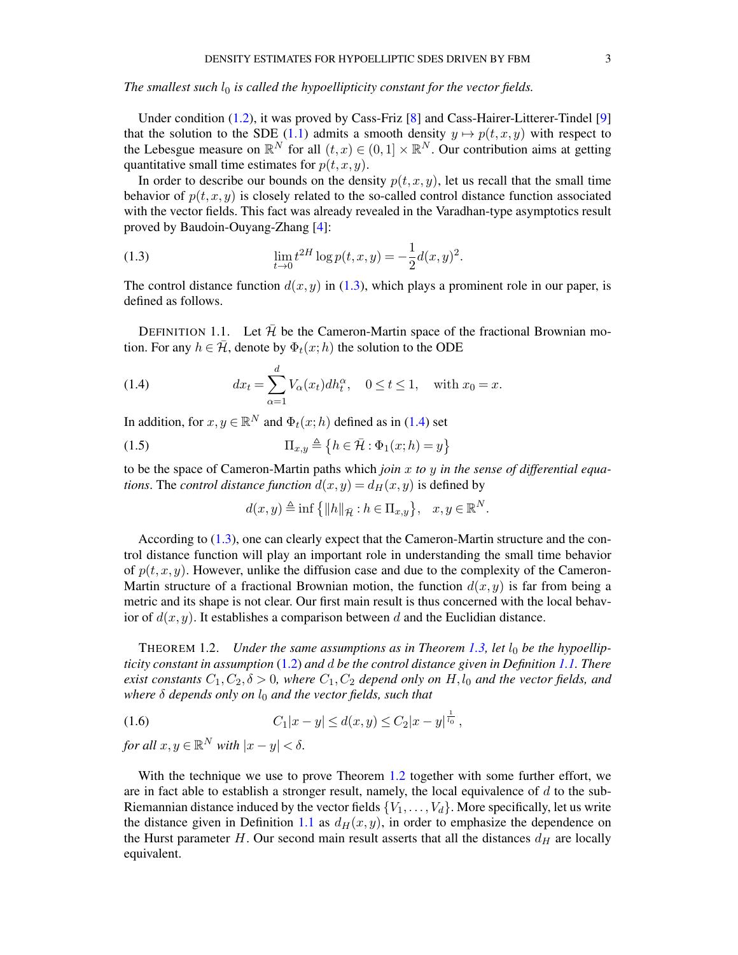*The smallest such*  $l_0$  *is called the hypoellipticity constant for the vector fields.* 

Under condition [\(1.2\)](#page-1-2), it was proved by Cass-Friz [\[8\]](#page-37-1) and Cass-Hairer-Litterer-Tindel [\[9\]](#page-38-7) that the solution to the SDE [\(1.1\)](#page-1-1) admits a smooth density  $y \mapsto p(t, x, y)$  with respect to the Lebesgue measure on  $\mathbb{R}^N$  for all  $(t, x) \in (0, 1] \times \mathbb{R}^N$ . Our contribution aims at getting quantitative small time estimates for  $p(t, x, y)$ .

In order to describe our bounds on the density  $p(t, x, y)$ , let us recall that the small time behavior of  $p(t, x, y)$  is closely related to the so-called control distance function associated with the vector fields. This fact was already revealed in the Varadhan-type asymptotics result proved by Baudoin-Ouyang-Zhang [\[4\]](#page-37-3):

<span id="page-2-0"></span>(1.3) 
$$
\lim_{t \to 0} t^{2H} \log p(t, x, y) = -\frac{1}{2} d(x, y)^2.
$$

The control distance function  $d(x, y)$  in [\(1.3\)](#page-2-0), which plays a prominent role in our paper, is defined as follows.

<span id="page-2-2"></span>DEFINITION 1.1. Let  $\bar{\mathcal{H}}$  be the Cameron-Martin space of the fractional Brownian motion. For any  $h \in \mathcal{H}$ , denote by  $\Phi_t(x;h)$  the solution to the ODE

<span id="page-2-1"></span>(1.4) 
$$
dx_t = \sum_{\alpha=1}^d V_{\alpha}(x_t) dh_t^{\alpha}, \quad 0 \le t \le 1, \text{ with } x_0 = x.
$$

In addition, for  $x, y \in \mathbb{R}^N$  and  $\Phi_t(x; h)$  defined as in [\(1.4\)](#page-2-1) set

(1.5) 
$$
\Pi_{x,y} \triangleq \{h \in \bar{\mathcal{H}} : \Phi_1(x;h) = y\}
$$

to be the space of Cameron-Martin paths which *join* x *to* y *in the sense of differential equations*. The *control distance function*  $d(x, y) = d_H(x, y)$  is defined by

$$
d(x, y) \triangleq \inf \left\{ \|h\|_{\bar{\mathcal{H}}} : h \in \Pi_{x, y} \right\}, \quad x, y \in \mathbb{R}^N.
$$

According to [\(1.3\)](#page-2-0), one can clearly expect that the Cameron-Martin structure and the control distance function will play an important role in understanding the small time behavior of  $p(t, x, y)$ . However, unlike the diffusion case and due to the complexity of the Cameron-Martin structure of a fractional Brownian motion, the function  $d(x, y)$  is far from being a metric and its shape is not clear. Our first main result is thus concerned with the local behavior of  $d(x, y)$ . It establishes a comparison between d and the Euclidian distance.

<span id="page-2-3"></span>THEOREM 1.2. *Under the same assumptions as in Theorem [1.3,](#page-3-0) let*  $l_0$  *be the hypoellipticity constant in assumption* [\(1.2\)](#page-1-2) *and* d *be the control distance given in Definition [1.1.](#page-2-2) There exist constants*  $C_1, C_2, \delta > 0$ *, where*  $C_1, C_2$  *depend only on* H,  $l_0$  *and the vector fields, and where* δ *depends only on*  $l_0$  *and the vector fields, such that* 

<span id="page-2-4"></span>(1.6) 
$$
C_1|x-y| \le d(x,y) \le C_2|x-y|^{\frac{1}{l_0}},
$$

*for all*  $x, y \in \mathbb{R}^N$  *with*  $|x - y| < \delta$ .

With the technique we use to prove Theorem [1.2](#page-2-3) together with some further effort, we are in fact able to establish a stronger result, namely, the local equivalence of  $d$  to the sub-Riemannian distance induced by the vector fields  $\{V_1, \ldots, V_d\}$ . More specifically, let us write the distance given in Definition [1.1](#page-2-2) as  $d_H(x, y)$ , in order to emphasize the dependence on the Hurst parameter  $H$ . Our second main result asserts that all the distances  $d_H$  are locally equivalent.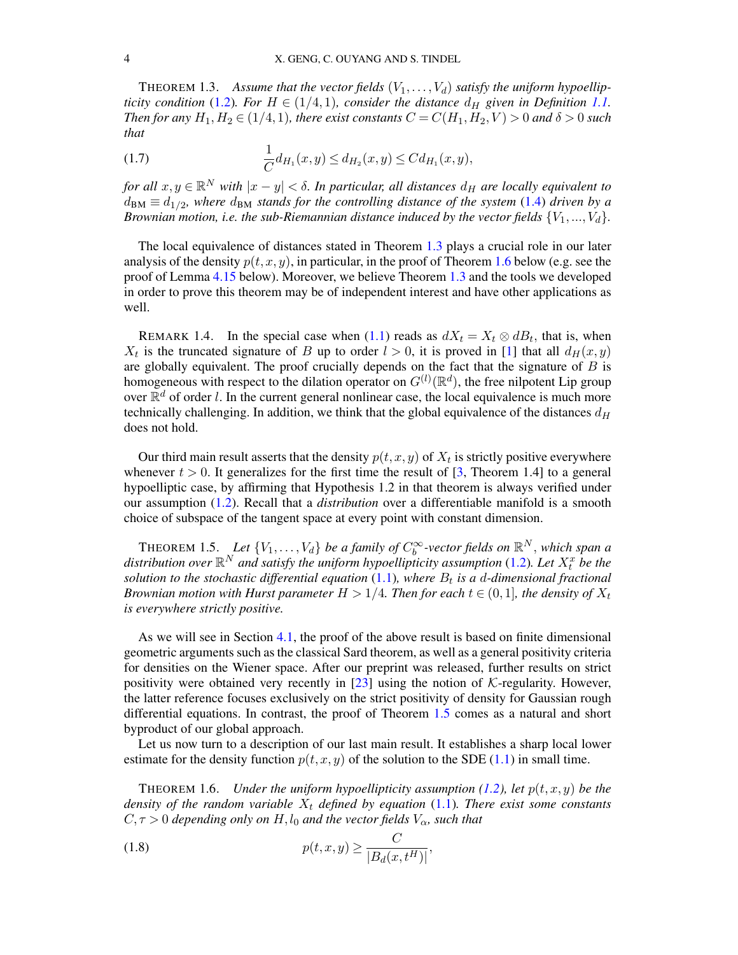<span id="page-3-0"></span>THEOREM 1.3. Assume that the vector fields  $(V_1, \ldots, V_d)$  satisfy the uniform hypoellip*ticity condition* [\(1.2\)](#page-1-2)*. For*  $H \in (1/4, 1)$ *, consider the distance*  $d_H$  *given in Definition [1.1.](#page-2-2) Then for any*  $H_1, H_2 \in (1/4, 1)$ *, there exist constants*  $C = C(H_1, H_2, V) > 0$  *and*  $\delta > 0$  *such that*

(1.7) 
$$
\frac{1}{C}d_{H_1}(x,y) \leq d_{H_2}(x,y) \leq C d_{H_1}(x,y),
$$

*for all*  $x, y \in \mathbb{R}^N$  *with*  $|x - y| < \delta$ . In particular, all distances  $d_H$  are locally equivalent to  $d_{BM} \equiv d_{1/2}$ , where  $d_{BM}$  stands for the controlling distance of the system [\(1.4\)](#page-2-1) driven by a *Brownian motion, i.e. the sub-Riemannian distance induced by the vector fields*  $\{V_1, ..., V_d\}$ .

The local equivalence of distances stated in Theorem [1.3](#page-3-0) plays a crucial role in our later analysis of the density  $p(t, x, y)$ , in particular, in the proof of Theorem [1.6](#page-3-1) below (e.g. see the proof of Lemma [4.15](#page-32-0) below). Moreover, we believe Theorem [1.3](#page-3-0) and the tools we developed in order to prove this theorem may be of independent interest and have other applications as well.

REMARK 1.4. In the special case when [\(1.1\)](#page-1-1) reads as  $dX_t = X_t \otimes dB_t$ , that is, when  $X_t$  is the truncated signature of B up to order  $l > 0$ , it is proved in [\[1\]](#page-37-4) that all  $d_H(x, y)$ are globally equivalent. The proof crucially depends on the fact that the signature of  $B$  is homogeneous with respect to the dilation operator on  $G^{(l)}(\mathbb{R}^d)$ , the free nilpotent Lip group over  $\mathbb{R}^d$  of order l. In the current general nonlinear case, the local equivalence is much more technically challenging. In addition, we think that the global equivalence of the distances  $d_H$ does not hold.

Our third main result asserts that the density  $p(t, x, y)$  of  $X_t$  is strictly positive everywhere whenever  $t > 0$ . It generalizes for the first time the result of [\[3,](#page-37-2) Theorem 1.4] to a general hypoelliptic case, by affirming that Hypothesis 1.2 in that theorem is always verified under our assumption [\(1.2\)](#page-1-2). Recall that a *distribution* over a differentiable manifold is a smooth choice of subspace of the tangent space at every point with constant dimension.

<span id="page-3-2"></span>THEOREM 1.5. Let  $\{V_1, \ldots, V_d\}$  be a family of  $C_b^{\infty}$ -vector fields on  $\mathbb{R}^N$ , which span a distribution over  $\mathbb{R}^N$  and satisfy the uniform hypoellipticity assumption [\(1.2\)](#page-1-2). Let  $X_t^x$  be the solution to the stochastic differential equation  $(1.1)$ , where  $B_t$  is a d-dimensional fractional *Brownian motion with Hurst parameter*  $H > 1/4$ *. Then for each*  $t \in (0,1]$ *, the density of*  $X_t$ *is everywhere strictly positive.*

As we will see in Section [4.1,](#page-24-0) the proof of the above result is based on finite dimensional geometric arguments such as the classical Sard theorem, as well as a general positivity criteria for densities on the Wiener space. After our preprint was released, further results on strict positivity were obtained very recently in [\[23\]](#page-38-9) using the notion of  $K$ -regularity. However, the latter reference focuses exclusively on the strict positivity of density for Gaussian rough differential equations. In contrast, the proof of Theorem [1.5](#page-3-2) comes as a natural and short byproduct of our global approach.

Let us now turn to a description of our last main result. It establishes a sharp local lower estimate for the density function  $p(t, x, y)$  of the solution to the SDE [\(1.1\)](#page-1-1) in small time.

<span id="page-3-1"></span>**THEOREM 1.6.** *Under the uniform hypoellipticity assumption [\(1.2\)](#page-1-2), let*  $p(t, x, y)$  *be the density of the random variable*  $X_t$  *defined by equation* [\(1.1\)](#page-1-1)*. There exist some constants*  $C, \tau > 0$  *depending only on*  $H, l_0$  *and the vector fields*  $V_\alpha$ *, such that* 

<span id="page-3-3"></span>
$$
(1.8) \t\t\t p(t,x,y) \ge \frac{C}{|B_d(x,t^H)|},
$$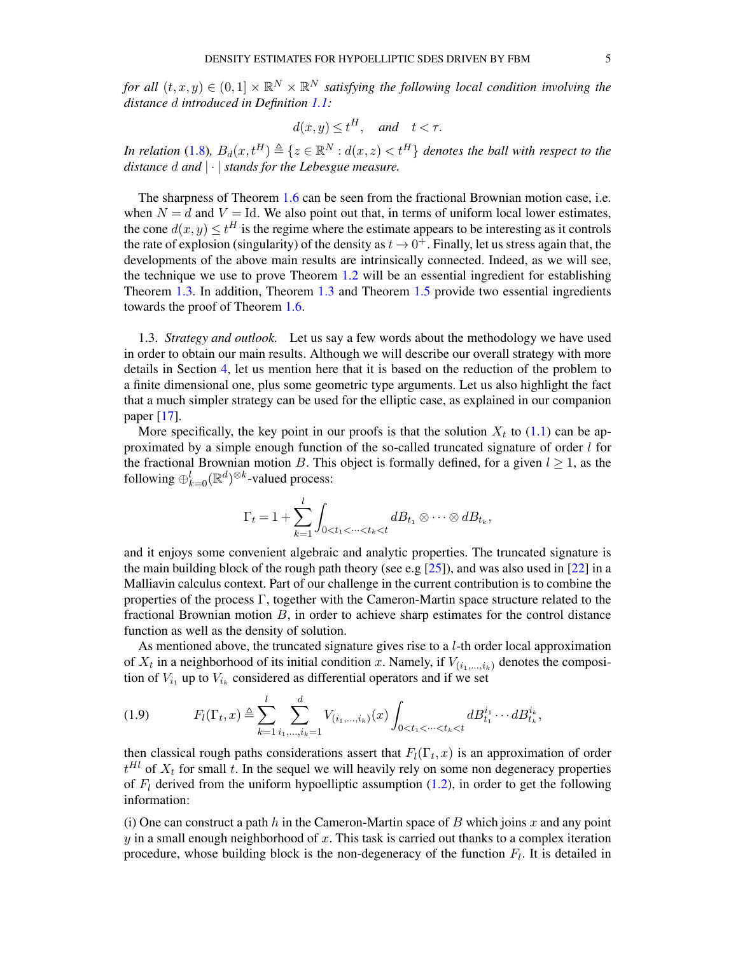*for all*  $(t, x, y) \in (0, 1] \times \mathbb{R}^N \times \mathbb{R}^N$  *satisfying the following local condition involving the distance* d *introduced in Definition [1.1:](#page-2-2)*

$$
d(x, y) \le t^H, \quad \text{and} \quad t < \tau.
$$

*In relation* [\(1.8\)](#page-3-3),  $B_d(x,t^H) \triangleq \{z \in \mathbb{R}^N : d(x,z) < t^H\}$  denotes the ball with respect to the *distance* d *and* | · | *stands for the Lebesgue measure.*

The sharpness of Theorem [1.6](#page-3-1) can be seen from the fractional Brownian motion case, i.e. when  $N = d$  and  $V = Id$ . We also point out that, in terms of uniform local lower estimates, the cone  $d(x, y) \le t^H$  is the regime where the estimate appears to be interesting as it controls the rate of explosion (singularity) of the density as  $t \to 0^+$ . Finally, let us stress again that, the developments of the above main results are intrinsically connected. Indeed, as we will see, the technique we use to prove Theorem [1.2](#page-2-3) will be an essential ingredient for establishing Theorem [1.3.](#page-3-0) In addition, Theorem [1.3](#page-3-0) and Theorem [1.5](#page-3-2) provide two essential ingredients towards the proof of Theorem [1.6.](#page-3-1)

<span id="page-4-0"></span>1.3. *Strategy and outlook.* Let us say a few words about the methodology we have used in order to obtain our main results. Although we will describe our overall strategy with more details in Section [4,](#page-24-1) let us mention here that it is based on the reduction of the problem to a finite dimensional one, plus some geometric type arguments. Let us also highlight the fact that a much simpler strategy can be used for the elliptic case, as explained in our companion paper [\[17\]](#page-38-10).

More specifically, the key point in our proofs is that the solution  $X_t$  to [\(1.1\)](#page-1-1) can be approximated by a simple enough function of the so-called truncated signature of order  $l$  for the fractional Brownian motion B. This object is formally defined, for a given  $l \ge 1$ , as the following  $\oplus_{k=0}^l (\mathbb{R}^d)^{\otimes k}$ -valued process:

$$
\Gamma_t = 1 + \sum_{k=1}^l \int_{0 < t_1 < \dots < t_k < t} dB_{t_1} \otimes \dots \otimes dB_{t_k},
$$

and it enjoys some convenient algebraic and analytic properties. The truncated signature is the main building block of the rough path theory (see e.g  $[25]$ ), and was also used in  $[22]$  in a Malliavin calculus context. Part of our challenge in the current contribution is to combine the properties of the process Γ, together with the Cameron-Martin space structure related to the fractional Brownian motion  $B$ , in order to achieve sharp estimates for the control distance function as well as the density of solution.

As mentioned above, the truncated signature gives rise to a l-th order local approximation of  $X_t$  in a neighborhood of its initial condition x. Namely, if  $V_{(i_1,...,i_k)}$  denotes the composition of  $V_{i_1}$  up to  $V_{i_k}$  considered as differential operators and if we set

<span id="page-4-1"></span>
$$
(1.9) \tF_l(\Gamma_t, x) \triangleq \sum_{k=1}^l \sum_{i_1, \dots, i_k=1}^d V_{(i_1, \dots, i_k)}(x) \int_{0 < t_1 < \dots < t_k < t} dB_{t_1}^{i_1} \dots dB_{t_k}^{i_k},
$$

then classical rough paths considerations assert that  $F_l(\Gamma_t, x)$  is an approximation of order  $t<sup>Hl</sup>$  of  $X_t$  for small t. In the sequel we will heavily rely on some non degeneracy properties of  $F_l$  derived from the uniform hypoelliptic assumption [\(1.2\)](#page-1-2), in order to get the following information:

(i) One can construct a path h in the Cameron-Martin space of B which joins x and any point  $y$  in a small enough neighborhood of  $x$ . This task is carried out thanks to a complex iteration procedure, whose building block is the non-degeneracy of the function  $F_l$ . It is detailed in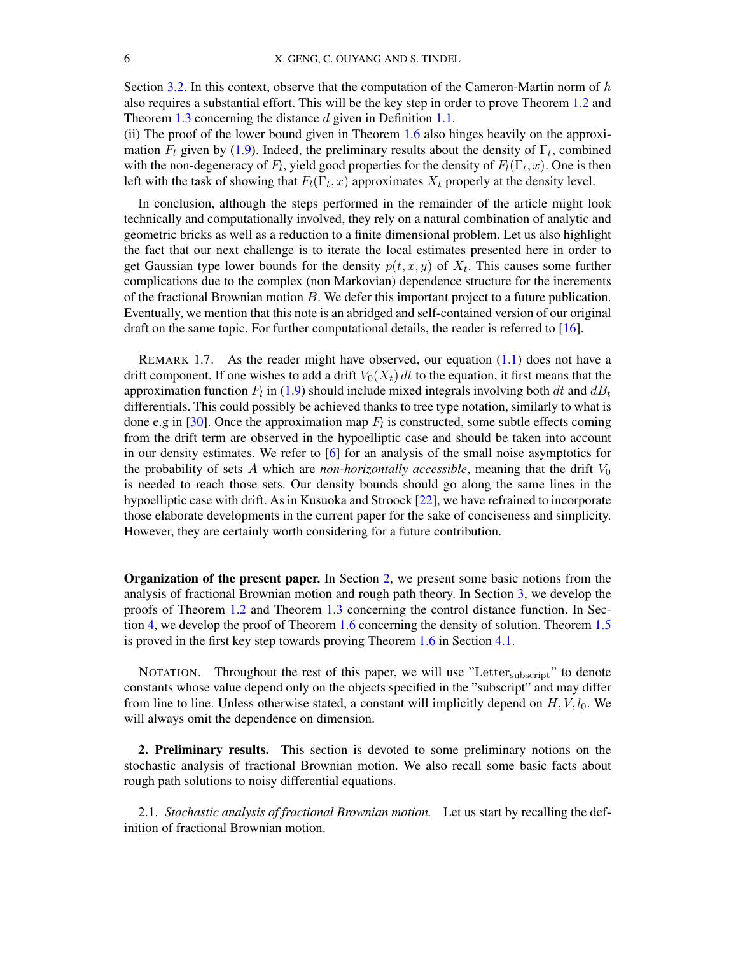Section [3.2.](#page-15-0) In this context, observe that the computation of the Cameron-Martin norm of  $h$ also requires a substantial effort. This will be the key step in order to prove Theorem [1.2](#page-2-3) and Theorem [1.3](#page-3-0) concerning the distance d given in Definition [1.1.](#page-2-2)

(ii) The proof of the lower bound given in Theorem [1.6](#page-3-1) also hinges heavily on the approximation  $F_l$  given by [\(1.9\)](#page-4-1). Indeed, the preliminary results about the density of  $\Gamma_t$ , combined with the non-degeneracy of  $F_l$ , yield good properties for the density of  $F_l(\Gamma_t, x)$ . One is then left with the task of showing that  $F_l(\Gamma_t, x)$  approximates  $X_t$  properly at the density level.

In conclusion, although the steps performed in the remainder of the article might look technically and computationally involved, they rely on a natural combination of analytic and geometric bricks as well as a reduction to a finite dimensional problem. Let us also highlight the fact that our next challenge is to iterate the local estimates presented here in order to get Gaussian type lower bounds for the density  $p(t, x, y)$  of  $X_t$ . This causes some further complications due to the complex (non Markovian) dependence structure for the increments of the fractional Brownian motion B. We defer this important project to a future publication. Eventually, we mention that this note is an abridged and self-contained version of our original draft on the same topic. For further computational details, the reader is referred to [\[16\]](#page-38-11).

REMARK 1.7. As the reader might have observed, our equation  $(1.1)$  does not have a drift component. If one wishes to add a drift  $V_0(X_t) dt$  to the equation, it first means that the approximation function  $F_l$  in [\(1.9\)](#page-4-1) should include mixed integrals involving both  $dt$  and  $dB_t$ differentials. This could possibly be achieved thanks to tree type notation, similarly to what is done e.g in [\[30\]](#page-38-12). Once the approximation map  $F_l$  is constructed, some subtle effects coming from the drift term are observed in the hypoelliptic case and should be taken into account in our density estimates. We refer to [\[6\]](#page-37-5) for an analysis of the small noise asymptotics for the probability of sets A which are *non-horizontally accessible*, meaning that the drift  $V_0$ is needed to reach those sets. Our density bounds should go along the same lines in the hypoelliptic case with drift. As in Kusuoka and Stroock [\[22\]](#page-38-3), we have refrained to incorporate those elaborate developments in the current paper for the sake of conciseness and simplicity. However, they are certainly worth considering for a future contribution.

Organization of the present paper. In Section [2,](#page-5-0) we present some basic notions from the analysis of fractional Brownian motion and rough path theory. In Section [3,](#page-11-0) we develop the proofs of Theorem [1.2](#page-2-3) and Theorem [1.3](#page-3-0) concerning the control distance function. In Section [4,](#page-24-1) we develop the proof of Theorem [1.6](#page-3-1) concerning the density of solution. Theorem [1.5](#page-3-2) is proved in the first key step towards proving Theorem [1.6](#page-3-1) in Section [4.1.](#page-24-0)

NOTATION. Throughout the rest of this paper, we will use "Letter<sub>subscript</sub>" to denote constants whose value depend only on the objects specified in the "subscript" and may differ from line to line. Unless otherwise stated, a constant will implicitly depend on  $H, V, l_0$ . We will always omit the dependence on dimension.

<span id="page-5-0"></span>2. Preliminary results. This section is devoted to some preliminary notions on the stochastic analysis of fractional Brownian motion. We also recall some basic facts about rough path solutions to noisy differential equations.

2.1. *Stochastic analysis of fractional Brownian motion.* Let us start by recalling the definition of fractional Brownian motion.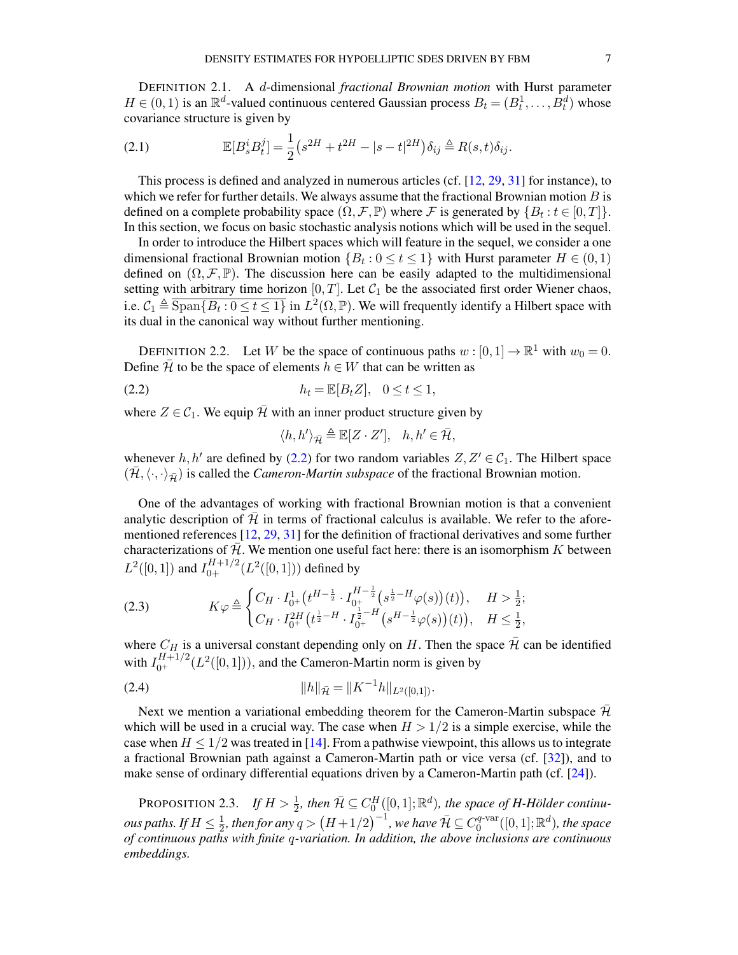DEFINITION 2.1. A d-dimensional *fractional Brownian motion* with Hurst parameter  $H \in (0, 1)$  is an  $\mathbb{R}^d$ -valued continuous centered Gaussian process  $B_t = (B_t^1, \dots, \dot{B}_t^d)$  whose covariance structure is given by

(2.1) 
$$
\mathbb{E}[B_s^i B_t^j] = \frac{1}{2} (s^{2H} + t^{2H} - |s - t|^{2H}) \delta_{ij} \triangleq R(s, t) \delta_{ij}.
$$

This process is defined and analyzed in numerous articles (cf. [\[12,](#page-38-13) [29,](#page-38-14) [31\]](#page-38-15) for instance), to which we refer for further details. We always assume that the fractional Brownian motion  $B$  is defined on a complete probability space  $(\Omega, \mathcal{F}, \mathbb{P})$  where  $\mathcal{F}$  is generated by  $\{B_t : t \in [0, T]\}.$ In this section, we focus on basic stochastic analysis notions which will be used in the sequel.

In order to introduce the Hilbert spaces which will feature in the sequel, we consider a one dimensional fractional Brownian motion  $\{B_t: 0 \le t \le 1\}$  with Hurst parameter  $H \in (0,1)$ defined on  $(\Omega, \mathcal{F}, \mathbb{P})$ . The discussion here can be easily adapted to the multidimensional setting with arbitrary time horizon  $[0, T]$ . Let  $C_1$  be the associated first order Wiener chaos, i.e.  $C_1 \triangleq \overline{\text{Span} \{B_t : 0 \le t \le 1\}}$  in  $L^2(\Omega, \mathbb{P})$ . We will frequently identify a Hilbert space with its dual in the canonical way without further mentioning.

DEFINITION 2.2. Let W be the space of continuous paths  $w : [0,1] \to \mathbb{R}^1$  with  $w_0 = 0$ . Define  $\bar{\mathcal{H}}$  to be the space of elements  $h \in W$  that can be written as

(2.2)  $h_t = \mathbb{E}[B_t Z], \quad 0 \le t \le 1,$ 

where  $Z \in C_1$ . We equip  $\bar{\mathcal{H}}$  with an inner product structure given by

<span id="page-6-0"></span>
$$
\langle h, h' \rangle_{\bar{\mathcal{H}}} \triangleq \mathbb{E}[Z \cdot Z'], \quad h, h' \in \bar{\mathcal{H}},
$$

whenever h, h' are defined by [\(2.2\)](#page-6-0) for two random variables  $Z, Z' \in C_1$ . The Hilbert space  $(\mathcal{H}, \langle \cdot, \cdot \rangle_{\bar{\mathcal{H}}})$  is called the *Cameron-Martin subspace* of the fractional Brownian motion.

One of the advantages of working with fractional Brownian motion is that a convenient analytic description of  $H$  in terms of fractional calculus is available. We refer to the aforementioned references [\[12,](#page-38-13) [29,](#page-38-14) [31\]](#page-38-15) for the definition of fractional derivatives and some further characterizations of  $\overline{\mathcal{H}}$ . We mention one useful fact here: there is an isomorphism K between  $L^2([0,1])$  and  $I_{0+}^{H+1/2}(L^2([0,1]))$  defined by

<span id="page-6-2"></span>
$$
(2.3) \t K\varphi \triangleq \begin{cases} C_H \cdot I_{0^+}^1 \left( t^{H - \frac{1}{2}} \cdot I_{0^+}^{H - \frac{1}{2}} \left( s^{\frac{1}{2} - H} \varphi(s) \right) (t) \right), & H > \frac{1}{2}; \\ C_H \cdot I_{0^+}^{2H} \left( t^{\frac{1}{2} - H} \cdot I_{0^+}^{\frac{1}{2} - H} \left( s^{H - \frac{1}{2}} \varphi(s) \right) (t) \right), & H \le \frac{1}{2}, \end{cases}
$$

where  $C_H$  is a universal constant depending only on H. Then the space  $\bar{\mathcal{H}}$  can be identified with  $I_{0^+}^{H+1/2}(L^2([0,1]))$ , and the Cameron-Martin norm is given by

<span id="page-6-1"></span>
$$
(2.4) \t\t\t ||h||_{\bar{\mathcal{H}}} = ||K^{-1}h||_{L^2([0,1])}.
$$

Next we mention a variational embedding theorem for the Cameron-Martin subspace  $\bar{\mathcal{H}}$ which will be used in a crucial way. The case when  $H > 1/2$  is a simple exercise, while the case when  $H \leq 1/2$  was treated in [\[14\]](#page-38-16). From a pathwise viewpoint, this allows us to integrate a fractional Brownian path against a Cameron-Martin path or vice versa (cf. [\[32\]](#page-38-17)), and to make sense of ordinary differential equations driven by a Cameron-Martin path (cf. [\[24\]](#page-38-4)).

<span id="page-6-3"></span>PROPOSITION 2.3. *If*  $H > \frac{1}{2}$ , then  $\bar{\mathcal{H}} \subseteq C_0^H([0,1];\mathbb{R}^d)$ , the space of H-Hölder continu*ous paths.* If  $H \leq \frac{1}{2}$  $\frac{1}{2}$ , then for any  $q>\left(H+1/2\right)^{-1}$ , we have  $\bar{\mathcal{H}}\subseteq C_0^{q\text{-}\mathrm{var}}$  $\binom{q\text{-}\mathrm{var}}{0}([0,1];\mathbb{R}^d)$ , the space *of continuous paths with finite* q*-variation. In addition, the above inclusions are continuous embeddings.*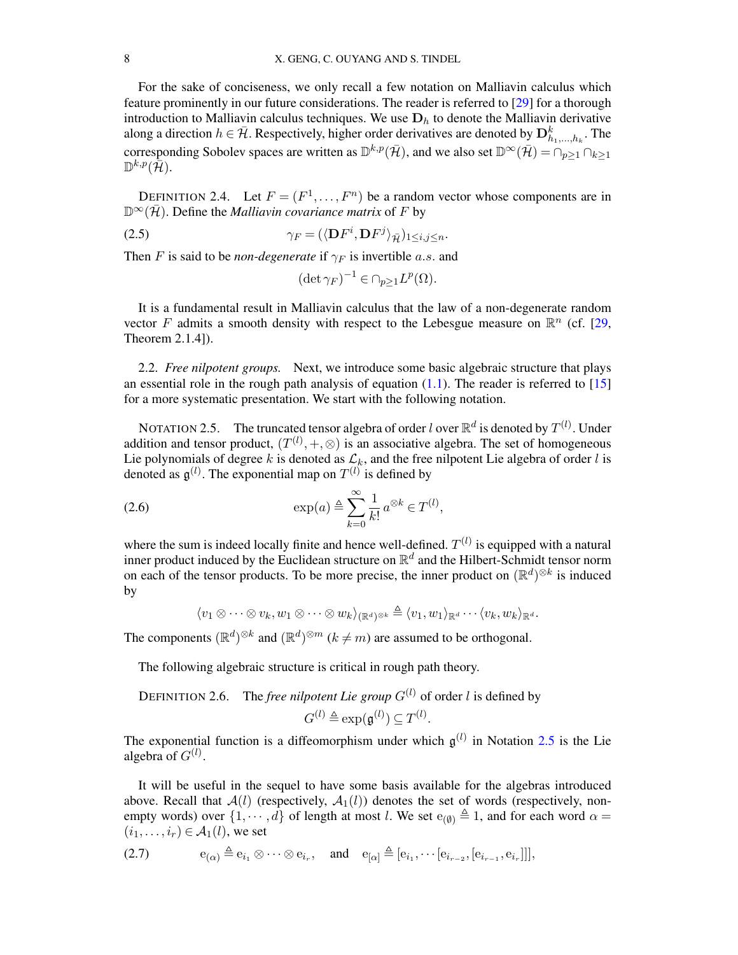For the sake of conciseness, we only recall a few notation on Malliavin calculus which feature prominently in our future considerations. The reader is referred to [\[29\]](#page-38-14) for a thorough introduction to Malliavin calculus techniques. We use  $D<sub>h</sub>$  to denote the Malliavin derivative along a direction  $h \in \bar{\mathcal{H}}$ . Respectively, higher order derivatives are denoted by  $\mathbf{D}_{h_1,...,h_k}^k$ . The corresponding Sobolev spaces are written as  $\mathbb{D}^{k,p}(\bar{\mathcal{H}})$ , and we also set  $\mathbb{D}^{\infty}(\bar{\mathcal{H}}) = \cap_{p\geq 1} \cap_{k\geq 1}$  $\mathbb{D}^{k,p}(\bar{\mathcal{H}}).$ 

DEFINITION 2.4. Let  $F = (F^1, \ldots, F^n)$  be a random vector whose components are in  $\mathbb{D}^{\infty}(\overline{\mathcal{H}})$ . Define the *Malliavin covariance matrix* of F by

(2.5) 
$$
\gamma_F = (\langle \mathbf{D} F^i, \mathbf{D} F^j \rangle_{\bar{\mathcal{H}}})_{1 \leq i,j \leq n}.
$$

Then F is said to be *non-degenerate* if  $\gamma_F$  is invertible a.s. and

$$
(\det \gamma_F)^{-1} \in \cap_{p \ge 1} L^p(\Omega).
$$

It is a fundamental result in Malliavin calculus that the law of a non-degenerate random vector F admits a smooth density with respect to the Lebesgue measure on  $\mathbb{R}^n$  (cf. [\[29,](#page-38-14) Theorem 2.1.4]).

<span id="page-7-3"></span>2.2. *Free nilpotent groups.* Next, we introduce some basic algebraic structure that plays an essential role in the rough path analysis of equation  $(1.1)$ . The reader is referred to  $[15]$ for a more systematic presentation. We start with the following notation.

<span id="page-7-0"></span>NOTATION 2.5. The truncated tensor algebra of order  $l$  over  $\mathbb{R}^d$  is denoted by  $T^{(l)}$ . Under addition and tensor product,  $(T^{(l)}, +, \otimes)$  is an associative algebra. The set of homogeneous Lie polynomials of degree k is denoted as  $\mathcal{L}_k$ , and the free nilpotent Lie algebra of order l is denoted as  $\mathfrak{g}^{(l)}$ . The exponential map on  $T^{(l)}$  is defined by

(2.6) 
$$
\exp(a) \triangleq \sum_{k=0}^{\infty} \frac{1}{k!} a^{\otimes k} \in T^{(l)},
$$

where the sum is indeed locally finite and hence well-defined.  $T^{(l)}$  is equipped with a natural inner product induced by the Euclidean structure on  $\mathbb{R}^d$  and the Hilbert-Schmidt tensor norm on each of the tensor products. To be more precise, the inner product on  $(\mathbb{R}^d)^{\otimes k}$  is induced by

<span id="page-7-1"></span> $\langle v_1 \otimes \cdots \otimes v_k, w_1 \otimes \cdots \otimes w_k \rangle_{\langle \mathbb{R}^d \rangle^{\otimes k}} \triangleq \langle v_1, w_1 \rangle_{\mathbb{R}^d} \cdots \langle v_k, w_k \rangle_{\mathbb{R}^d}$ .

The components  $(\mathbb{R}^d)^{\otimes k}$  and  $(\mathbb{R}^d)^{\otimes m}$   $(k \neq m)$  are assumed to be orthogonal.

The following algebraic structure is critical in rough path theory.

DEFINITION 2.6. The *free nilpotent Lie group*  $G^{(l)}$  of order *l* is defined by

$$
G^{(l)} \triangleq \exp(\mathfrak{g}^{(l)}) \subseteq T^{(l)}.
$$

The exponential function is a diffeomorphism under which  $g^{(l)}$  in Notation [2.5](#page-7-0) is the Lie algebra of  $G^{(l)}$ .

It will be useful in the sequel to have some basis available for the algebras introduced above. Recall that  $A(l)$  (respectively,  $A_1(l)$ ) denotes the set of words (respectively, nonempty words) over  $\{1, \dots, d\}$  of length at most l. We set  $e_{(\emptyset)} \triangleq 1$ , and for each word  $\alpha =$  $(i_1, \ldots, i_r) \in \mathcal{A}_1(l)$ , we set

<span id="page-7-2"></span>(2.7)  $e_{(\alpha)} \triangleq e_{i_1} \otimes \cdots \otimes e_{i_r}$ , and  $e_{[\alpha]} \triangleq [e_{i_1}, \cdots [e_{i_{r-2}}, [e_{i_{r-1}}, e_{i_r}]]]$ ,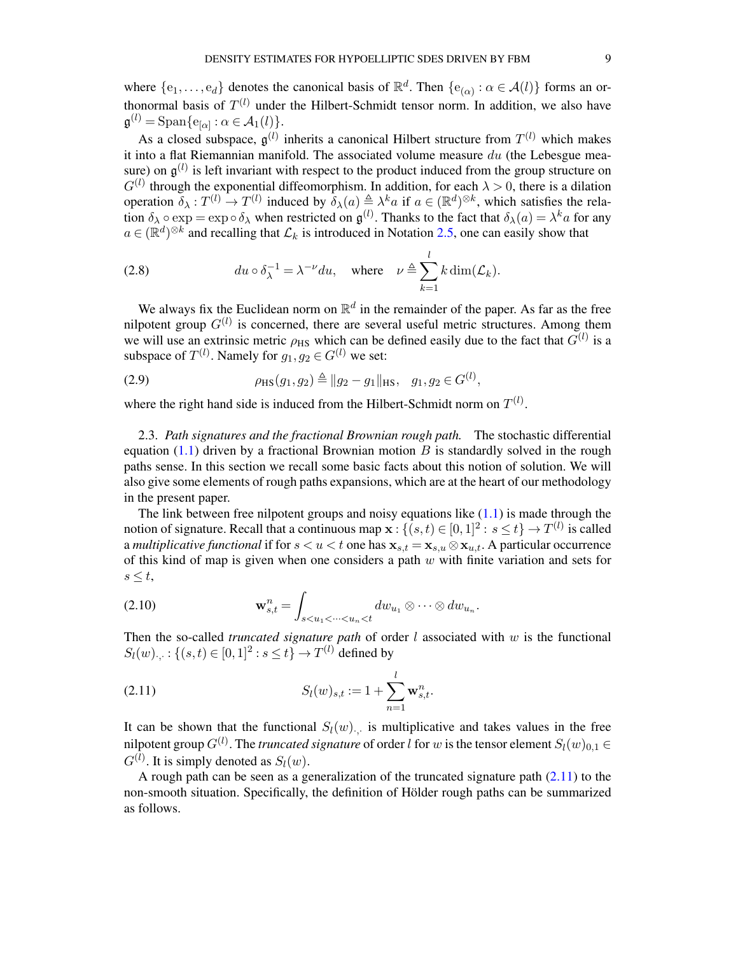where  $\{e_1,\ldots,e_d\}$  denotes the canonical basis of  $\mathbb{R}^d$ . Then  $\{e_{(\alpha)} : \alpha \in \mathcal{A}(l)\}\)$  forms an orthonormal basis of  $T^{(l)}$  under the Hilbert-Schmidt tensor norm. In addition, we also have  $\mathfrak{g}^{(l)} = \text{Span}\{e_{[\alpha]} : \alpha \in \mathcal{A}_1(l)\}.$ 

As a closed subspace,  $\mathfrak{g}^{(l)}$  inherits a canonical Hilbert structure from  $T^{(l)}$  which makes it into a flat Riemannian manifold. The associated volume measure  $du$  (the Lebesgue measure) on  $\mathfrak{g}^{(l)}$  is left invariant with respect to the product induced from the group structure on  $G^{(l)}$  through the exponential diffeomorphism. In addition, for each  $\lambda > 0$ , there is a dilation operation  $\delta_{\lambda}: T^{(l)} \to T^{(l)}$  induced by  $\delta_{\lambda}(a) \triangleq \lambda^k a$  if  $a \in (\mathbb{R}^d)^{\otimes k}$ , which satisfies the relation  $\delta_\lambda \circ \exp = \exp \circ \delta_\lambda$  when restricted on  $\mathfrak{g}^{(l)}$ . Thanks to the fact that  $\delta_\lambda(a) = \lambda^k a$  for any  $a \in (\mathbb{R}^d)^{\otimes k}$  and recalling that  $\mathcal{L}_k$  is introduced in Notation [2.5,](#page-7-0) one can easily show that

<span id="page-8-3"></span>(2.8) 
$$
du \circ \delta_{\lambda}^{-1} = \lambda^{-\nu} du
$$
, where  $\nu \triangleq \sum_{k=1}^{l} k \dim(\mathcal{L}_k)$ .

We always fix the Euclidean norm on  $\mathbb{R}^d$  in the remainder of the paper. As far as the free nilpotent group  $G^{(l)}$  is concerned, there are several useful metric structures. Among them we will use an extrinsic metric  $\rho_{\rm HS}$  which can be defined easily due to the fact that  $G^{(l)}$  is a subspace of  $T^{(l)}$ . Namely for  $g_1, g_2 \in G^{(l)}$  we set:

<span id="page-8-1"></span>(2.9) 
$$
\rho_{\text{HS}}(g_1, g_2) \triangleq ||g_2 - g_1||_{\text{HS}}, \quad g_1, g_2 \in G^{(l)},
$$

where the right hand side is induced from the Hilbert-Schmidt norm on  $T^{(l)}$ .

2.3. *Path signatures and the fractional Brownian rough path.* The stochastic differential equation  $(1.1)$  driven by a fractional Brownian motion B is standardly solved in the rough paths sense. In this section we recall some basic facts about this notion of solution. We will also give some elements of rough paths expansions, which are at the heart of our methodology in the present paper.

The link between free nilpotent groups and noisy equations like  $(1.1)$  is made through the notion of signature. Recall that a continuous map  $\mathbf{x}: \{(s,t) \in [0,1]^2: s \le t\} \to T^{(l)}$  is called a *multiplicative functional* if for  $s < u < t$  one has  $\mathbf{x}_{s,t} = \mathbf{x}_{s,u} \otimes \mathbf{x}_{u,t}$ . A particular occurrence of this kind of map is given when one considers a path  $w$  with finite variation and sets for  $s \leq t$ ,

<span id="page-8-2"></span>
$$
\mathbf{w}_{s,t}^n = \int_{s < u_1 < \dots < u_n < t} dw_{u_1} \otimes \dots \otimes dw_{u_n}.
$$

Then the so-called *truncated signature path* of order  $l$  associated with  $w$  is the functional  $S_l(w)_{\cdot,\cdot} : \{(s,t) \in [0,1]^2 : s \le t\} \to T^{(l)}$  defined by

<span id="page-8-0"></span>(2.11) 
$$
S_l(w)_{s,t} := 1 + \sum_{n=1}^l \mathbf{w}_{s,t}^n.
$$

It can be shown that the functional  $S_l(w)$ , is multiplicative and takes values in the free nilpotent group  $G^{(l)}$ . The *truncated signature* of order  $l$  for  $w$  is the tensor element  $S_l(w)_{0,1}$   $\in$  $G^{(l)}$ . It is simply denoted as  $S_l(w)$ .

A rough path can be seen as a generalization of the truncated signature path [\(2.11\)](#page-8-0) to the non-smooth situation. Specifically, the definition of Hölder rough paths can be summarized as follows.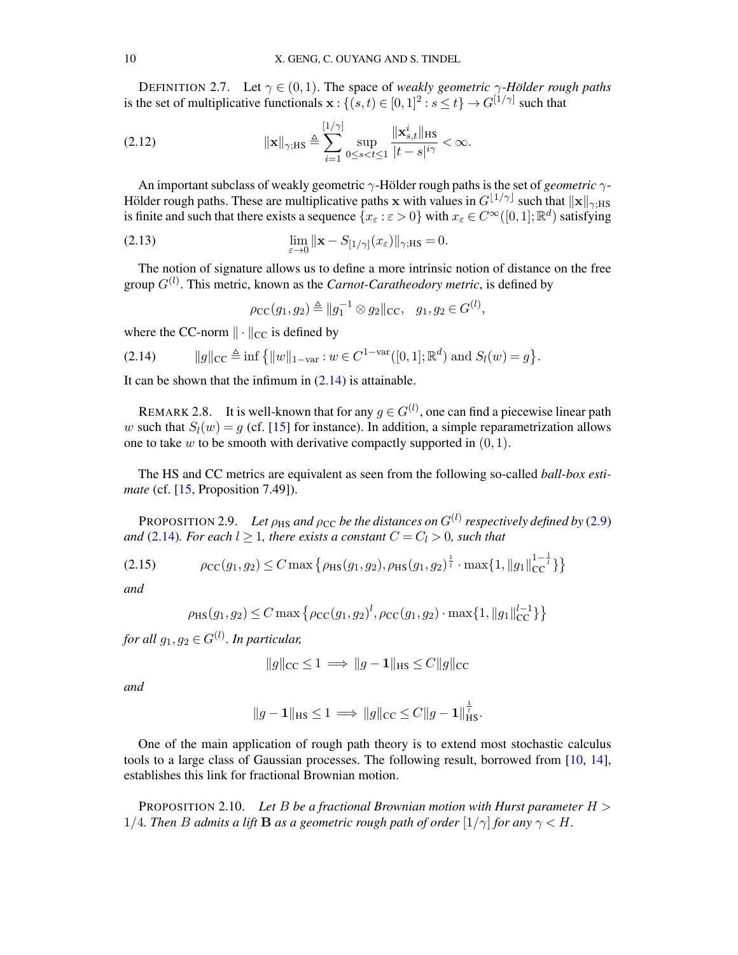DEFINITION 2.7. Let  $\gamma \in (0, 1)$ . The space of *weakly geometric*  $\gamma$ -Hölder rough paths is the set of multiplicative functionals  $\mathbf{x}$  :  $\{ (s,t) \in [0,1]^2 : s \le t \} \rightarrow G^{[1/\gamma]}$  such that

$$
(2.12) \t\t ||\mathbf{x}||_{\gamma; \text{HS}} \triangleq \sum_{i=1}^{\left[1/\gamma\right]} \sup_{0 \le s < t \le 1} \frac{\|\mathbf{x}_{s,t}^i\|_{\text{HS}}}{|t - s|^{i\gamma}} < \infty.
$$

An important subclass of weakly geometric  $\gamma$ -Hölder rough paths is the set of *geometric*  $\gamma$ -Hölder rough paths. These are multiplicative paths x with values in  $G^{[1/\gamma]}$  such that  $\|\mathbf{x}\|_{\gamma;\text{HS}}$ is finite and such that there exists a sequence  $\{x_\varepsilon : \varepsilon > 0\}$  with  $x_\varepsilon \in C^\infty([0,1];\mathbb{R}^d)$  satisfying

(2.13) 
$$
\lim_{\varepsilon \to 0} \|\mathbf{x} - S_{[1/\gamma]}(x_{\varepsilon})\|_{\gamma; \text{HS}} = 0.
$$

The notion of signature allows us to define a more intrinsic notion of distance on the free group  $G^{(l)}$ . This metric, known as the *Carnot-Caratheodory metric*, is defined by

$$
\rho_{\rm CC}(g_1, g_2) \triangleq ||g_1^{-1} \otimes g_2||_{\rm CC}, \quad g_1, g_2 \in G^{(l)},
$$

where the CC-norm  $\|\cdot\|_{CC}$  is defined by

<span id="page-9-0"></span>(2.14) 
$$
||g||_{\text{CC}} \triangleq \inf \{ ||w||_{1-\text{var}} : w \in C^{1-\text{var}}([0,1]; \mathbb{R}^d) \text{ and } S_l(w) = g \}.
$$

It can be shown that the infimum in  $(2.14)$  is attainable.

<span id="page-9-3"></span>REMARK 2.8. It is well-known that for any  $g \in G^{(l)}$ , one can find a piecewise linear path w such that  $S_l(w) = g$  (cf. [\[15\]](#page-38-18) for instance). In addition, a simple reparametrization allows one to take  $w$  to be smooth with derivative compactly supported in  $(0, 1)$ .

The HS and CC metrics are equivalent as seen from the following so-called *ball-box estimate* (cf. [\[15,](#page-38-18) Proposition 7.49]).

<span id="page-9-2"></span>PROPOSITION 2.9. Let  $\rho_{\text{HS}}$  and  $\rho_{\text{CC}}$  be the distances on  $G^{(l)}$  respectively defined by [\(2.9\)](#page-8-1) *and* [\(2.14\)](#page-9-0)*. For each*  $l \geq 1$ *, there exists a constant*  $C = C_l > 0$ *, such that* 

$$
(2.15) \qquad \rho_{\rm CC}(g_1, g_2) \le C \max \left\{ \rho_{\rm HS}(g_1, g_2), \rho_{\rm HS}(g_1, g_2) \right\}^{\frac{1}{l}} \cdot \max \{ 1, \|g_1\|_{\rm CC}^{1-\frac{1}{l}} \} \right\}
$$

*and*

<span id="page-9-4"></span>
$$
\rho_{\rm HS}(g_1, g_2) \le C \max \left\{ \rho_{\rm CC}(g_1, g_2)^l, \rho_{\rm CC}(g_1, g_2) \cdot \max\{1, \|g_1\|_{\rm CC}^{l-1}\} \right\}
$$

 $for\ all\ g_1,g_2\in G^{(l)}.$  In particular,

$$
||g||_{\text{CC}} \le 1 \implies ||g - \mathbf{1}||_{\text{HS}} \le C||g||_{\text{CC}}
$$

*and*

$$
||g-1||_{\text{HS}} \le 1 \implies ||g||_{\text{CC}} \le C||g-1||_{\text{HS}}^{\frac{1}{t}}.
$$

One of the main application of rough path theory is to extend most stochastic calculus tools to a large class of Gaussian processes. The following result, borrowed from [\[10,](#page-38-6) [14\]](#page-38-16), establishes this link for fractional Brownian motion.

<span id="page-9-1"></span>PROPOSITION 2.10. *Let* B *be a fractional Brownian motion with Hurst parameter* H > 1/4. Then *B* admits a lift **B** as a geometric rough path of order  $[1/\gamma]$  for any  $\gamma < H$ .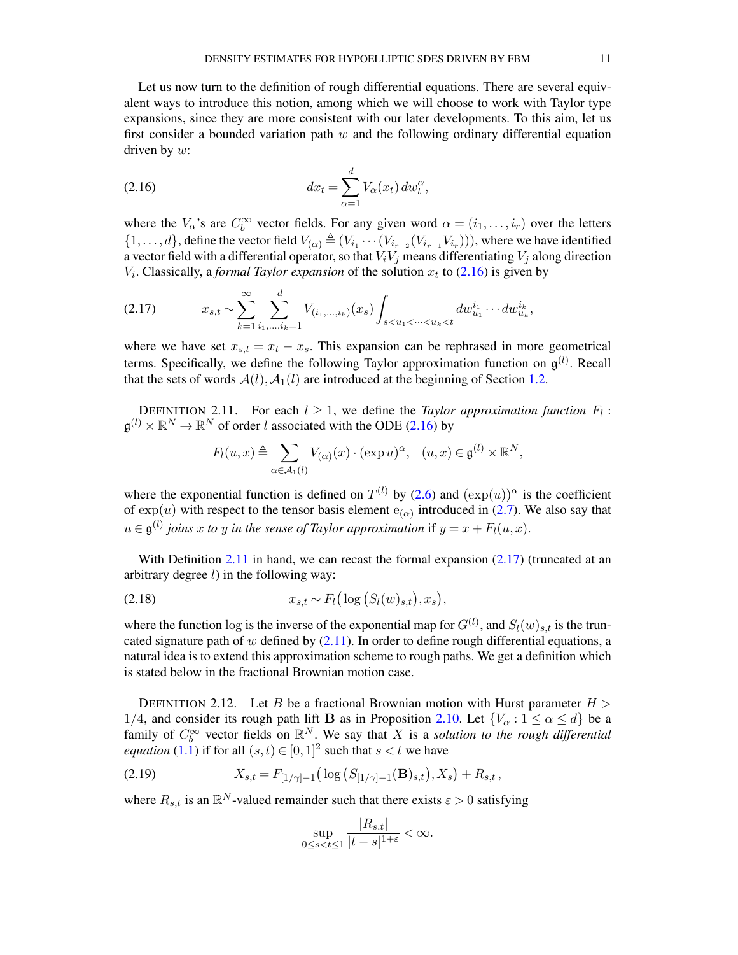Let us now turn to the definition of rough differential equations. There are several equivalent ways to introduce this notion, among which we will choose to work with Taylor type expansions, since they are more consistent with our later developments. To this aim, let us first consider a bounded variation path  $w$  and the following ordinary differential equation driven by  $w$ :

<span id="page-10-0"></span>(2.16) 
$$
dx_t = \sum_{\alpha=1}^d V_{\alpha}(x_t) dw_t^{\alpha},
$$

where the  $V_{\alpha}$ 's are  $C_b^{\infty}$  vector fields. For any given word  $\alpha = (i_1, \dots, i_r)$  over the letters  $\{1,\ldots,d\}$ , define the vector field  $V_{(\alpha)} \triangleq (V_{i_1} \cdots (V_{i_{r-2}}(V_{i_{r-1}} V_{i_r})))$ , where we have identified a vector field with a differential operator, so that  $V_iV_j$  means differentiating  $V_j$  along direction  $V_i$ . Classically, a *formal Taylor expansion* of the solution  $x_t$  to [\(2.16\)](#page-10-0) is given by

<span id="page-10-2"></span>
$$
(2.17) \t x_{s,t} \sim \sum_{k=1}^{\infty} \sum_{i_1,\dots,i_k=1}^d V_{(i_1,\dots,i_k)}(x_s) \int_{s < u_1 < \dots < u_k < t} dw_{u_1}^{i_1} \dots dw_{u_k}^{i_k},
$$

where we have set  $x_{s,t} = x_t - x_s$ . This expansion can be rephrased in more geometrical terms. Specifically, we define the following Taylor approximation function on  $\mathfrak{g}^{(l)}$ . Recall that the sets of words  $A(l), A_1(l)$  are introduced at the beginning of Section [1.2.](#page-1-0)

<span id="page-10-1"></span>DEFINITION 2.11. For each  $l \geq 1$ , we define the *Taylor approximation function*  $F_l$ :  $\mathfrak{g}^{(l)} \times \mathbb{R}^N \to \mathbb{R}^N$  of order l associated with the ODE [\(2.16\)](#page-10-0) by

<span id="page-10-5"></span>
$$
F_l(u, x) \triangleq \sum_{\alpha \in \mathcal{A}_1(l)} V_{(\alpha)}(x) \cdot (\exp u)^{\alpha}, \quad (u, x) \in \mathfrak{g}^{(l)} \times \mathbb{R}^N,
$$

where the exponential function is defined on  $T^{(l)}$  by [\(2.6\)](#page-7-1) and  $(\exp(u))^{\alpha}$  is the coefficient of  $\exp(u)$  with respect to the tensor basis element  $e_{(\alpha)}$  introduced in [\(2.7\)](#page-7-2). We also say that  $u \in \mathfrak{g}^{(l)}$  joins x to y in the sense of Taylor approximation if  $y = x + F_l(u, x)$ .

With Definition [2.11](#page-10-1) in hand, we can recast the formal expansion  $(2.17)$  (truncated at an arbitrary degree  $l$ ) in the following way:

(2.18) 
$$
x_{s,t} \sim F_l(\log(S_l(w)_{s,t}), x_s),
$$

where the function log is the inverse of the exponential map for  $G^{(l)}$ , and  $S_l(w)_{s,t}$  is the truncated signature path of w defined by  $(2.11)$ . In order to define rough differential equations, a natural idea is to extend this approximation scheme to rough paths. We get a definition which is stated below in the fractional Brownian motion case.

<span id="page-10-3"></span>DEFINITION 2.12. Let B be a fractional Brownian motion with Hurst parameter  $H >$ 1/4, and consider its rough path lift **B** as in Proposition [2.10.](#page-9-1) Let  $\{V_\alpha : 1 \le \alpha \le d\}$  be a family of  $C_b^{\infty}$  vector fields on  $\mathbb{R}^N$ . We say that X is a *solution to the rough differential equation* [\(1.1\)](#page-1-1) if for all  $(s,t) \in [0,1]^2$  such that  $s < t$  we have

(2.19) 
$$
X_{s,t} = F_{[1/\gamma]-1} \big( \log \big( S_{[1/\gamma]-1}(\mathbf{B})_{s,t} \big), X_s \big) + R_{s,t},
$$

where  $R_{s,t}$  is an  $\mathbb{R}^N$ -valued remainder such that there exists  $\varepsilon > 0$  satisfying

<span id="page-10-4"></span>
$$
\sup_{0\leq s
$$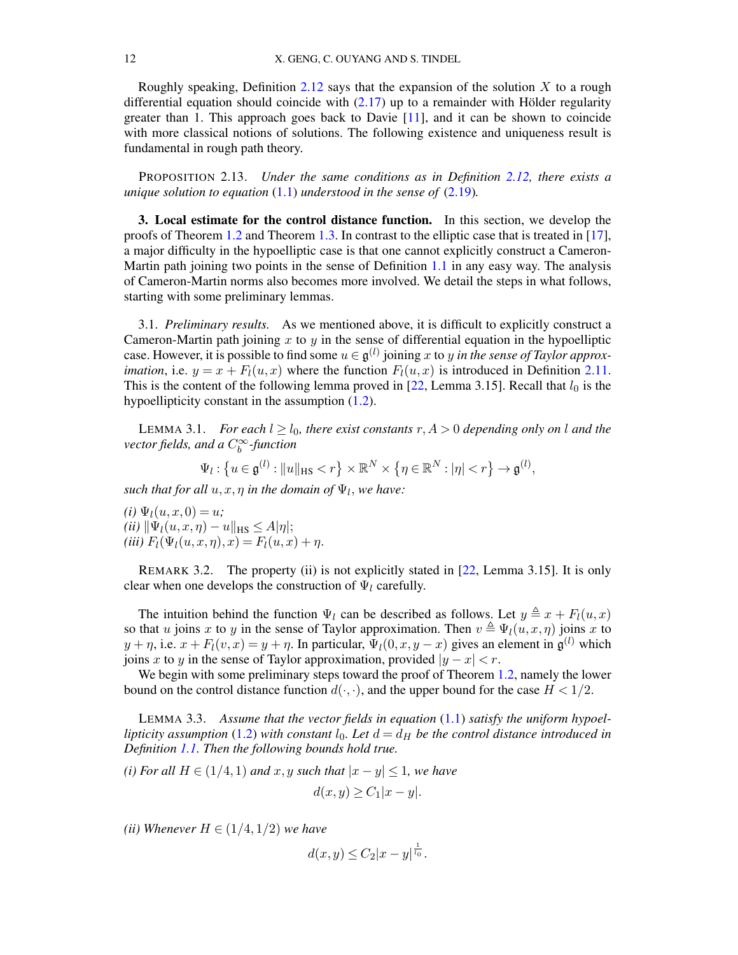Roughly speaking, Definition [2.12](#page-10-3) says that the expansion of the solution  $X$  to a rough differential equation should coincide with  $(2.17)$  up to a remainder with Hölder regularity greater than 1. This approach goes back to Davie [\[11\]](#page-38-19), and it can be shown to coincide with more classical notions of solutions. The following existence and uniqueness result is fundamental in rough path theory.

PROPOSITION 2.13. *Under the same conditions as in Definition [2.12,](#page-10-3) there exists a unique solution to equation* [\(1.1\)](#page-1-1) *understood in the sense of* [\(2.19\)](#page-10-4)*.*

<span id="page-11-0"></span>3. Local estimate for the control distance function. In this section, we develop the proofs of Theorem [1.2](#page-2-3) and Theorem [1.3.](#page-3-0) In contrast to the elliptic case that is treated in [\[17\]](#page-38-10), a major difficulty in the hypoelliptic case is that one cannot explicitly construct a Cameron-Martin path joining two points in the sense of Definition [1.1](#page-2-2) in any easy way. The analysis of Cameron-Martin norms also becomes more involved. We detail the steps in what follows, starting with some preliminary lemmas.

3.1. *Preliminary results.* As we mentioned above, it is difficult to explicitly construct a Cameron-Martin path joining x to y in the sense of differential equation in the hypoelliptic case. However, it is possible to find some  $u \in \mathfrak{g}^{(l)}$  joining x to y *in the sense of Taylor approximation*, i.e.  $y = x + F<sub>l</sub>(u, x)$  where the function  $F<sub>l</sub>(u, x)$  is introduced in Definition [2.11.](#page-10-1) This is the content of the following lemma proved in [\[22,](#page-38-3) Lemma 3.15]. Recall that  $l_0$  is the hypoellipticity constant in the assumption [\(1.2\)](#page-1-2).

<span id="page-11-2"></span>LEMMA 3.1. *For each*  $l \geq l_0$ *, there exist constants*  $r, A > 0$  *depending only on* l *and the vector fields, and a* C<sup>∞</sup> b *-function*

$$
\Psi_l: \left\{ u \in \mathfrak{g}^{(l)} : ||u||_{\text{HS}} < r \right\} \times \mathbb{R}^N \times \left\{ \eta \in \mathbb{R}^N : |\eta| < r \right\} \to \mathfrak{g}^{(l)},
$$

 $such that for all  $u, x, \eta$  in the domain of  $\Psi_l$ , we have:$ 

 $(i) \Psi_l(u, x, 0) = u;$  $(iii)$   $\|\Psi_l(u, x, \eta) - u\|_{\text{HS}} \leq A|\eta|;$ *(iii)*  $F_l(\Psi_l(u, x, \eta), x) = F_l(u, x) + \eta.$ 

REMARK 3.2. The property (ii) is not explicitly stated in [\[22,](#page-38-3) Lemma 3.15]. It is only clear when one develops the construction of  $\Psi_l$  carefully.

The intuition behind the function  $\Psi_l$  can be described as follows. Let  $y \triangleq x + F_l(u, x)$ so that u joins x to y in the sense of Taylor approximation. Then  $v \triangleq \Psi_l(u, x, \eta)$  joins x to  $y + \eta$ , i.e.  $x + F_l(v, x) = y + \eta$ . In particular,  $\Psi_l(0, x, y - x)$  gives an element in  $\mathfrak{g}^{(l)}$  which joins x to y in the sense of Taylor approximation, provided  $|y - x| < r$ .

We begin with some preliminary steps toward the proof of Theorem [1.2,](#page-2-3) namely the lower bound on the control distance function  $d(\cdot, \cdot)$ , and the upper bound for the case  $H < 1/2$ .

<span id="page-11-1"></span>LEMMA 3.3. *Assume that the vector fields in equation* [\(1.1\)](#page-1-1) *satisfy the uniform hypoellipticity assumption* [\(1.2\)](#page-1-2) *with constant*  $l_0$ *. Let*  $d = d_H$  *be the control distance introduced in Definition [1.1.](#page-2-2) Then the following bounds hold true.*

*(i) For all*  $H \in (1/4, 1)$  *and*  $x, y$  *such that*  $|x - y| \leq 1$ *, we have* 

$$
d(x, y) \ge C_1 |x - y|.
$$

*(ii) Whenever*  $H \in (1/4, 1/2)$  *we have* 

$$
d(x,y) \leq C_2 |x-y|^{\frac{1}{l_0}}.
$$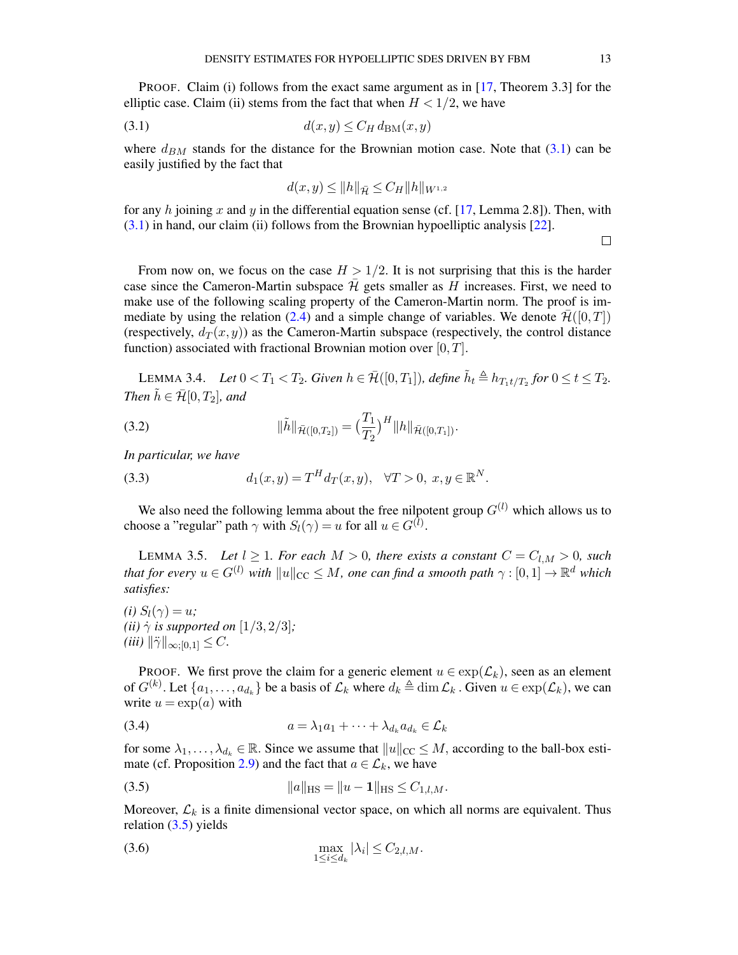PROOF. Claim (i) follows from the exact same argument as in [\[17,](#page-38-10) Theorem 3.3] for the elliptic case. Claim (ii) stems from the fact that when  $H < 1/2$ , we have

<span id="page-12-0"></span>
$$
(3.1) \t d(x,y) \le C_H d_{BM}(x,y)
$$

where  $d_{BM}$  stands for the distance for the Brownian motion case. Note that [\(3.1\)](#page-12-0) can be easily justified by the fact that

$$
d(x, y) \le ||h||_{\bar{\mathcal{H}}} \le C_H ||h||_{W^{1,2}}
$$

for any h joining x and y in the differential equation sense (cf. [\[17,](#page-38-10) Lemma 2.8]). Then, with [\(3.1\)](#page-12-0) in hand, our claim (ii) follows from the Brownian hypoelliptic analysis [\[22\]](#page-38-3).

 $\Box$ 

From now on, we focus on the case  $H > 1/2$ . It is not surprising that this is the harder case since the Cameron-Martin subspace  $\bar{\mathcal{H}}$  gets smaller as H increases. First, we need to make use of the following scaling property of the Cameron-Martin norm. The proof is im-mediate by using the relation [\(2.4\)](#page-6-1) and a simple change of variables. We denote  $\mathcal{H}([0,T])$ (respectively,  $d_T(x, y)$ ) as the Cameron-Martin subspace (respectively, the control distance function) associated with fractional Brownian motion over  $[0, T]$ .

<span id="page-12-6"></span>LEMMA 3.4. *Let*  $0 < T_1 < T_2$ . Given  $h \in \overline{\mathcal{H}}([0,T_1])$ , define  $\tilde{h}_t \triangleq h_{T_1t/T_2}$  for  $0 \le t \le T_2$ . *Then*  $\tilde{h} \in \bar{\mathcal{H}}[0,T_2]$ *, and* 

(3.2) 
$$
\|\tilde{h}\|_{\bar{\mathcal{H}}([0,T_2])} = \left(\frac{T_1}{T_2}\right)^H \|h\|_{\bar{\mathcal{H}}([0,T_1])}.
$$

<span id="page-12-5"></span>*In particular, we have*

(3.3) 
$$
d_1(x,y) = T^H d_T(x,y), \quad \forall T > 0, \ x, y \in \mathbb{R}^N.
$$

We also need the following lemma about the free nilpotent group  $G^{(l)}$  which allows us to choose a "regular" path  $\gamma$  with  $S_l(\gamma) = u$  for all  $u \in G^{(l)}$ .

<span id="page-12-4"></span>LEMMA 3.5. Let  $l \geq 1$ *. For each*  $M > 0$ *, there exists a constant*  $C = C_{l,M} > 0$ *, such that for every*  $u \in G^{(l)}$  *with*  $\|u\|_{\text{CC}} \leq M$ , one can find a smooth path  $\gamma : [0,1] \to \mathbb{R}^d$  *which satisfies:*

*(i)*  $S_l(\gamma) = u$ ; *(ii)*  $\dot{\gamma}$  *is supported on* [1/3, 2/3]*;*  $(iii)$   $\|\ddot{\gamma}\|_{\infty;[0,1]} \leq C.$ 

PROOF. We first prove the claim for a generic element  $u \in \exp(\mathcal{L}_k)$ , seen as an element of  $G^{(k)}$ . Let  $\{a_1, \ldots, a_{d_k}\}$  be a basis of  $\mathcal{L}_k$  where  $d_k \triangleq \dim \mathcal{L}_k$ . Given  $u \in \exp(\mathcal{L}_k)$ , we can write  $u = \exp(a)$  with

<span id="page-12-2"></span>
$$
(3.4) \t\t a = \lambda_1 a_1 + \cdots + \lambda_{d_k} a_{d_k} \in \mathcal{L}_k
$$

for some  $\lambda_1, \ldots, \lambda_{d_k} \in \mathbb{R}$ . Since we assume that  $||u||_{CC} \leq M$ , according to the ball-box esti-mate (cf. Proposition [2.9\)](#page-9-2) and the fact that  $a \in \mathcal{L}_k$ , we have

<span id="page-12-1"></span>(3.5) 
$$
||a||_{\text{HS}} = ||u - \mathbf{1}||_{\text{HS}} \leq C_{1,l,M}.
$$

Moreover,  $\mathcal{L}_k$  is a finite dimensional vector space, on which all norms are equivalent. Thus relation [\(3.5\)](#page-12-1) yields

<span id="page-12-3"></span>
$$
\max_{1 \leq i \leq d_k} |\lambda_i| \leq C_{2,l,M}.
$$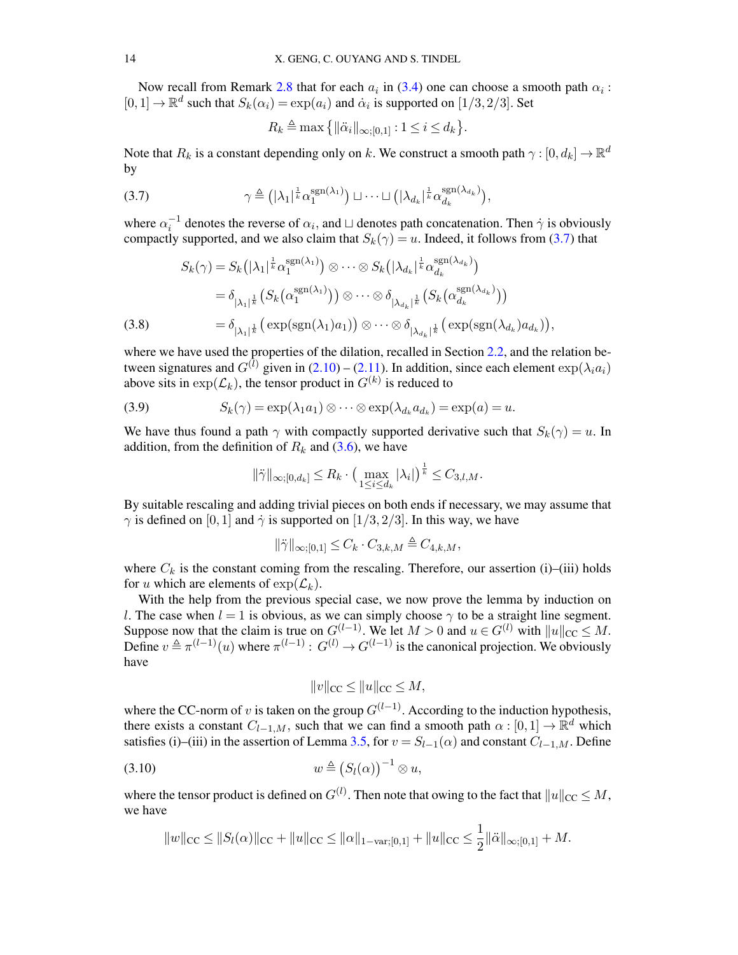Now recall from Remark [2.8](#page-9-3) that for each  $a_i$  in [\(3.4\)](#page-12-2) one can choose a smooth path  $\alpha_i$ :  $[0,1] \to \mathbb{R}^d$  such that  $S_k(\alpha_i) = \exp(a_i)$  and  $\dot{\alpha}_i$  is supported on  $[1/3, 2/3]$ . Set

$$
R_k \triangleq \max\left\{ \|\ddot{\alpha}_i\|_{\infty;[0,1]} : 1 \le i \le d_k \right\}.
$$

Note that  $R_k$  is a constant depending only on  $k.$  We construct a smooth path  $\gamma : [0, d_k] \to \mathbb{R}^d$ by

<span id="page-13-0"></span>(3.7) 
$$
\gamma \triangleq (|\lambda_1|^{\frac{1}{k}} \alpha_1^{\text{sgn}(\lambda_1)}) \sqcup \dots \sqcup (|\lambda_{d_k}|^{\frac{1}{k}} \alpha_{d_k}^{\text{sgn}(\lambda_{d_k})}),
$$

where  $\alpha_i^{-1}$  denotes the reverse of  $\alpha_i$ , and  $\sqcup$  denotes path concatenation. Then  $\dot{\gamma}$  is obviously compactly supported, and we also claim that  $S_k(\gamma) = u$ . Indeed, it follows from [\(3.7\)](#page-13-0) that

$$
S_k(\gamma) = S_k(|\lambda_1|^{\frac{1}{k}} \alpha_1^{\text{sgn}(\lambda_1)}) \otimes \cdots \otimes S_k(|\lambda_{d_k}|^{\frac{1}{k}} \alpha_{d_k}^{\text{sgn}(\lambda_{d_k})})
$$
  
\n
$$
= \delta_{|\lambda_1|^{\frac{1}{k}}} \left( S_k(\alpha_1^{\text{sgn}(\lambda_1)}) \right) \otimes \cdots \otimes \delta_{|\lambda_{d_k}|^{\frac{1}{k}}} \left( S_k(\alpha_{d_k}^{\text{sgn}(\lambda_{d_k})}) \right)
$$
  
\n(3.8) 
$$
= \delta_{|\lambda_1|^{\frac{1}{k}}} \left( \exp(\text{sgn}(\lambda_1)a_1) \right) \otimes \cdots \otimes \delta_{|\lambda_{d_k}|^{\frac{1}{k}}} \left( \exp(\text{sgn}(\lambda_{d_k})a_{d_k}) \right),
$$

where we have used the properties of the dilation, recalled in Section [2.2,](#page-7-3) and the relation between signatures and  $G^{(l)}$  given in  $(2.10) - (2.11)$  $(2.10) - (2.11)$  $(2.10) - (2.11)$ . In addition, since each element  $\exp(\lambda_i a_i)$ above sits in  $\exp(\mathcal{L}_k)$ , the tensor product in  $G^{(k)}$  is reduced to

(3.9) 
$$
S_k(\gamma) = \exp(\lambda_1 a_1) \otimes \cdots \otimes \exp(\lambda_{d_k} a_{d_k}) = \exp(a) = u.
$$

We have thus found a path  $\gamma$  with compactly supported derivative such that  $S_k(\gamma) = u$ . In addition, from the definition of  $R_k$  and [\(3.6\)](#page-12-3), we have

<span id="page-13-2"></span>
$$
\|\ddot{\gamma}\|_{\infty;[0,d_k]}\leq R_k\cdot \left(\max_{1\leq i\leq d_k}|\lambda_i|\right)^{\frac{1}{k}}\leq C_{3,l,M}.
$$

By suitable rescaling and adding trivial pieces on both ends if necessary, we may assume that  $\gamma$  is defined on [0, 1] and  $\dot{\gamma}$  is supported on [1/3, 2/3]. In this way, we have

$$
\|\ddot{\gamma}\|_{\infty;[0,1]} \leq C_k \cdot C_{3,k,M} \triangleq C_{4,k,M},
$$

where  $C_k$  is the constant coming from the rescaling. Therefore, our assertion (i)–(iii) holds for u which are elements of  $\exp(\mathcal{L}_k)$ .

With the help from the previous special case, we now prove the lemma by induction on l. The case when  $l = 1$  is obvious, as we can simply choose  $\gamma$  to be a straight line segment. Suppose now that the claim is true on  $G^{(l-1)}$ . We let  $M > 0$  and  $u \in G^{(l)}$  with  $||u||_{CC} \leq M$ . Define  $v \triangleq \pi^{(l-1)}(u)$  where  $\pi^{(l-1)} : G^{(l)} \to G^{(l-1)}$  is the canonical projection. We obviously have

$$
||v||_{\text{CC}} \le ||u||_{\text{CC}} \le M,
$$

where the CC-norm of v is taken on the group  $G^{(l-1)}$ . According to the induction hypothesis, there exists a constant  $C_{l-1,M}$ , such that we can find a smooth path  $\alpha : [0,1] \to \mathbb{R}^d$  which satisfies (i)–(iii) in the assertion of Lemma [3.5,](#page-12-4) for  $v = S_{l-1}(\alpha)$  and constant  $C_{l-1,M}$ . Define

<span id="page-13-1"></span>
$$
(3.10) \t\t w \triangleq (S_l(\alpha))^{-1} \otimes u,
$$

where the tensor product is defined on  $G^{(l)}$ . Then note that owing to the fact that  $\|u\|_{\text{CC}} \leq M,$ we have

$$
||w||_{CC} \le ||S_l(\alpha)||_{CC} + ||u||_{CC} \le ||\alpha||_{1-\text{var};[0,1]} + ||u||_{CC} \le \frac{1}{2} ||\ddot{\alpha}||_{\infty;[0,1]} + M.
$$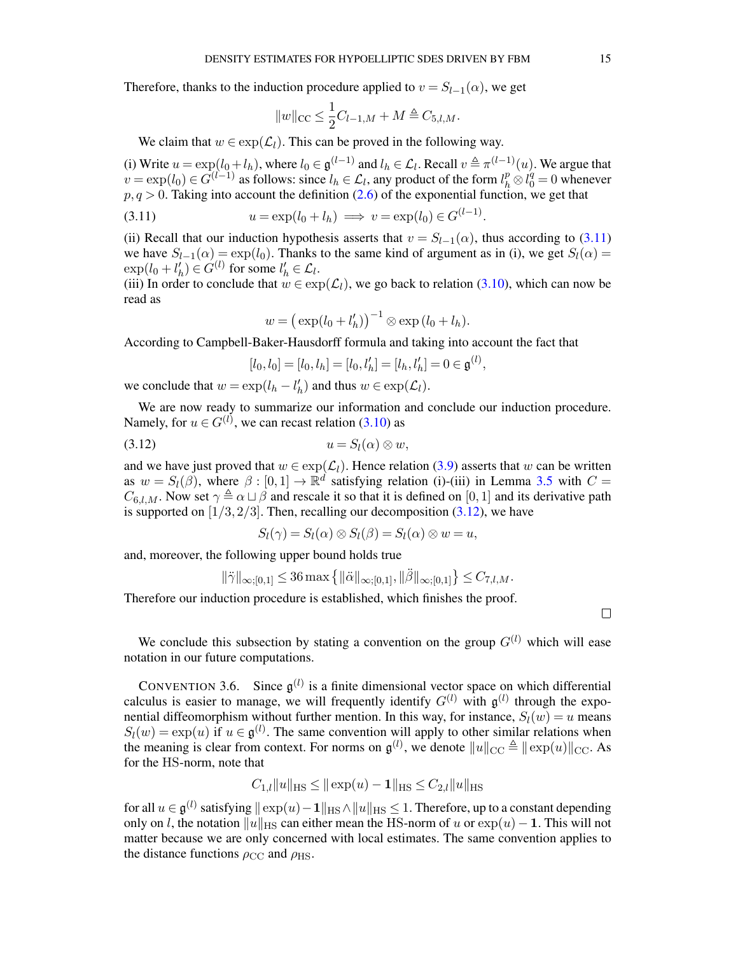Therefore, thanks to the induction procedure applied to  $v = S_{l-1}(\alpha)$ , we get

$$
||w||_{CC} \leq \frac{1}{2}C_{l-1,M} + M \triangleq C_{5,l,M}.
$$

We claim that  $w \in \exp(\mathcal{L}_l)$ . This can be proved in the following way.

(i) Write  $u = \exp(l_0 + l_h)$ , where  $l_0 \in \mathfrak{g}^{(l-1)}$  and  $l_h \in \mathcal{L}_l$ . Recall  $v \triangleq \pi^{(l-1)}(u)$ . We argue that  $v = \exp(l_0) \in \hat{G}^{(l-1)}$  as follows: since  $l_h \in \mathcal{L}_l$ , any product of the form  $l_h^p \otimes l_0^q = 0$  whenever  $p, q > 0$ . Taking into account the definition [\(2.6\)](#page-7-1) of the exponential function, we get that

<span id="page-14-0"></span>(3.11) 
$$
u = \exp(l_0 + l_h) \implies v = \exp(l_0) \in G^{(l-1)}
$$
.

(ii) Recall that our induction hypothesis asserts that  $v = S_{l-1}(\alpha)$ , thus according to [\(3.11\)](#page-14-0) we have  $S_{l-1}(\alpha) = \exp(l_0)$ . Thanks to the same kind of argument as in (i), we get  $S_l(\alpha) =$  $\exp(l_0 + l'_h) \in G^{(l)}$  for some  $l'_h \in \mathcal{L}_l$ .

(iii) In order to conclude that  $w \in \exp(\mathcal{L}_l)$ , we go back to relation [\(3.10\)](#page-13-1), which can now be read as

$$
w = (\exp(l_0 + l'_h))^{-1} \otimes \exp(l_0 + l_h).
$$

According to Campbell-Baker-Hausdorff formula and taking into account the fact that

$$
[l_0, l_0] = [l_0, l_h] = [l_0, l'_h] = [l_h, l'_h] = 0 \in \mathfrak{g}^{(l)},
$$

we conclude that  $w = \exp(l_h - l'_h)$  and thus  $w \in \exp(\mathcal{L}_l)$ .

We are now ready to summarize our information and conclude our induction procedure. Namely, for  $u \in G^{(l)}$ , we can recast relation [\(3.10\)](#page-13-1) as

<span id="page-14-1"></span>
$$
(3.12) \t\t u = S_l(\alpha) \otimes w,
$$

and we have just proved that  $w \in \exp(\mathcal{L}_l)$ . Hence relation [\(3.9\)](#page-13-2) asserts that w can be written as  $w = S_l(\beta)$ , where  $\beta : [0,1] \to \mathbb{R}^d$  satisfying relation (i)-(iii) in Lemma [3.5](#page-12-4) with  $C =$  $C_{6,l,M}$ . Now set  $\gamma \triangleq \alpha \sqcup \beta$  and rescale it so that it is defined on [0, 1] and its derivative path is supported on  $\left[1/3, 2/3\right]$ . Then, recalling our decomposition  $(3.12)$ , we have

$$
S_l(\gamma) = S_l(\alpha) \otimes S_l(\beta) = S_l(\alpha) \otimes w = u,
$$

and, moreover, the following upper bound holds true

$$
\|\ddot{\gamma}\|_{\infty;[0,1]}\leq 36 \max\left\{\|\ddot{\alpha}\|_{\infty;[0,1]},\|\ddot{\beta}\|_{\infty;[0,1]}\right\}\leq C_{7,l,M}.
$$

Therefore our induction procedure is established, which finishes the proof.

 $\Box$ 

We conclude this subsection by stating a convention on the group  $G^{(l)}$  which will ease notation in our future computations.

<span id="page-14-2"></span>CONVENTION 3.6. Since  $\mathfrak{g}^{(l)}$  is a finite dimensional vector space on which differential calculus is easier to manage, we will frequently identify  $G^{(l)}$  with  $\mathfrak{g}^{(l)}$  through the exponential diffeomorphism without further mention. In this way, for instance,  $S_l(w) = u$  means  $S_l(w) = \exp(u)$  if  $u \in \mathfrak{g}^{(l)}$ . The same convention will apply to other similar relations when the meaning is clear from context. For norms on  $\mathfrak{g}^{(l)}$ , we denote  $||u||_{\text{CC}} \triangleq ||\exp(u)||_{\text{CC}}$ . As for the HS-norm, note that

$$
C_{1,l}||u||_{\text{HS}} \le ||\exp(u) - 1||_{\text{HS}} \le C_{2,l}||u||_{\text{HS}}
$$

for all  $u\in\frak g^{(l)}$  satisfying  $\|\exp(u)-\textbf{1}\|_{\text{HS}}\wedge \|u\|_{\text{HS}}\leq 1.$  Therefore, up to a constant depending only on l, the notation  $||u||_{HS}$  can either mean the HS-norm of u or  $exp(u) - 1$ . This will not matter because we are only concerned with local estimates. The same convention applies to the distance functions  $\rho_{\rm CC}$  and  $\rho_{\rm HS}$ .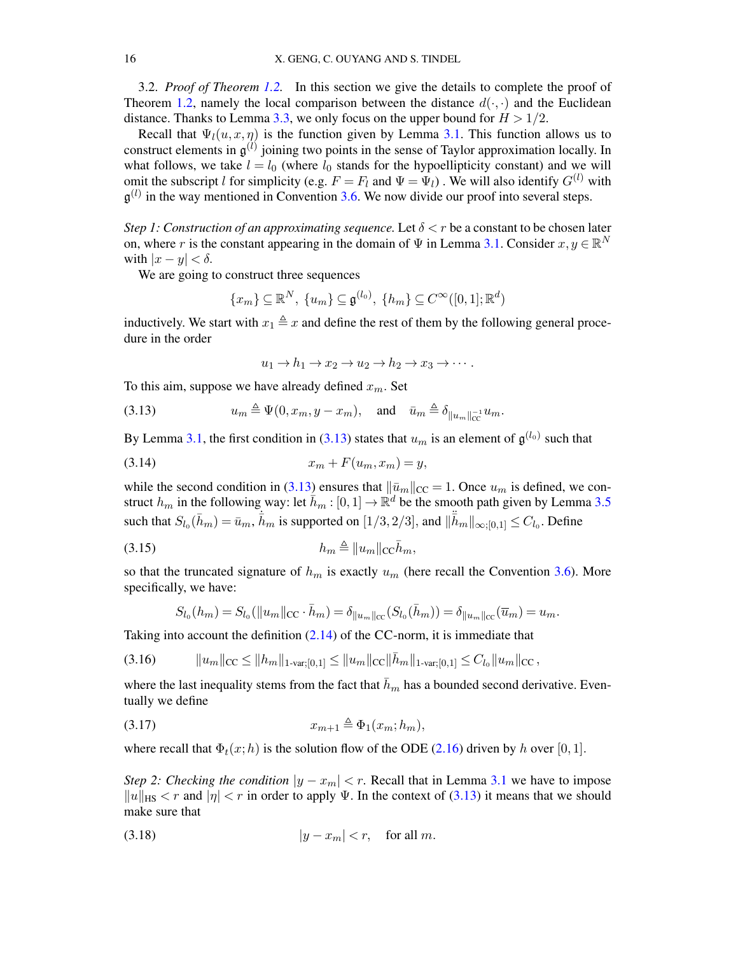<span id="page-15-0"></span>3.2. *Proof of Theorem [1.2.](#page-2-3)* In this section we give the details to complete the proof of Theorem [1.2,](#page-2-3) namely the local comparison between the distance  $d(\cdot, \cdot)$  and the Euclidean distance. Thanks to Lemma [3.3,](#page-11-1) we only focus on the upper bound for  $H > 1/2$ .

Recall that  $\Psi_l(u, x, \eta)$  is the function given by Lemma [3.1.](#page-11-2) This function allows us to construct elements in  $\mathfrak{g}^{(l)}$  joining two points in the sense of Taylor approximation locally. In what follows, we take  $l = l_0$  (where  $l_0$  stands for the hypoellipticity constant) and we will omit the subscript l for simplicity (e.g.  $F = F_l$  and  $\Psi = \Psi_l$ ). We will also identify  $G^{(l)}$  with  $\mathfrak{g}^{(l)}$  in the way mentioned in Convention [3.6.](#page-14-2) We now divide our proof into several steps.

*Step 1: Construction of an approximating sequence.* Let  $\delta < r$  be a constant to be chosen later on, where r is the constant appearing in the domain of  $\Psi$  in Lemma [3.1.](#page-11-2) Consider  $x, y \in \mathbb{R}^N$ with  $|x - y| < \delta$ .

We are going to construct three sequences

$$
\{x_m\} \subseteq \mathbb{R}^N, \ \{u_m\} \subseteq \mathfrak{g}^{(l_0)}, \ \{h_m\} \subseteq C^\infty([0,1];\mathbb{R}^d)
$$

inductively. We start with  $x_1 \triangleq x$  and define the rest of them by the following general procedure in the order

$$
u_1 \to h_1 \to x_2 \to u_2 \to h_2 \to x_3 \to \cdots.
$$

<span id="page-15-1"></span>To this aim, suppose we have already defined  $x_m$ . Set

(3.13) 
$$
u_m \triangleq \Psi(0, x_m, y - x_m), \text{ and } \bar{u}_m \triangleq \delta_{\|u_m\|_{\text{CC}}^{-1}} u_m.
$$

<span id="page-15-3"></span>By Lemma [3.1,](#page-11-2) the first condition in [\(3.13\)](#page-15-1) states that  $u_m$  is an element of  $\mathfrak{g}^{(l_0)}$  such that

$$
(3.14) \t\t x_m + F(u_m, x_m) = y,
$$

while the second condition in [\(3.13\)](#page-15-1) ensures that  $\|\bar{u}_m\|_{CC} = 1$ . Once  $u_m$  is defined, we construct  $h_m$  in the following way: let  $\bar{h}_m : [0,1] \to \mathbb{R}^d$  be the smooth path given by Lemma [3.5](#page-12-4) such that  $S_{l_0}(\bar{h}_m) = \bar{u}_m$ ,  $\dot{\bar{h}}_m$  is supported on  $[1/3, 2/3]$ , and  $\|\ddot{\bar{h}}_m\|_{\infty;[0,1]} \leq C_{l_0}$ . Define

<span id="page-15-6"></span>h<sup>m</sup> , kumkCCh¯ (3.15) <sup>m</sup>,

so that the truncated signature of  $h_m$  is exactly  $u_m$  (here recall the Convention [3.6\)](#page-14-2). More specifically, we have:

<span id="page-15-5"></span>
$$
S_{l_0}(h_m) = S_{l_0}(\|u_m\|_{\text{CC}} \cdot \bar{h}_m) = \delta_{\|u_m\|_{\text{CC}}}(S_{l_0}(\bar{h}_m)) = \delta_{\|u_m\|_{\text{CC}}}(\overline{u}_m) = u_m.
$$

Taking into account the definition  $(2.14)$  of the CC-norm, it is immediate that

$$
(3.16) \t\t ||u_m||_{\text{CC}} \leq ||h_m||_{1\text{-}\mathrm{var};[0,1]} \leq ||u_m||_{\text{CC}} ||\bar{h}_m||_{1\text{-}\mathrm{var};[0,1]} \leq C_{l_0} ||u_m||_{\text{CC}},
$$

where the last inequality stems from the fact that  $\bar{h}_m$  has a bounded second derivative. Eventually we define

<span id="page-15-4"></span>
$$
(3.17) \t\t x_{m+1} \triangleq \Phi_1(x_m; h_m),
$$

where recall that  $\Phi_t(x;h)$  is the solution flow of the ODE [\(2.16\)](#page-10-0) driven by h over [0, 1].

*Step 2: Checking the condition*  $|y - x_m| < r$ . Recall that in Lemma [3.1](#page-11-2) we have to impose  $||u||_{HS} < r$  and  $|\eta| < r$  in order to apply Ψ. In the context of [\(3.13\)](#page-15-1) it means that we should make sure that

<span id="page-15-2"></span>
$$
(3.18) \t\t |y - x_m| < r, \quad \text{for all } m.
$$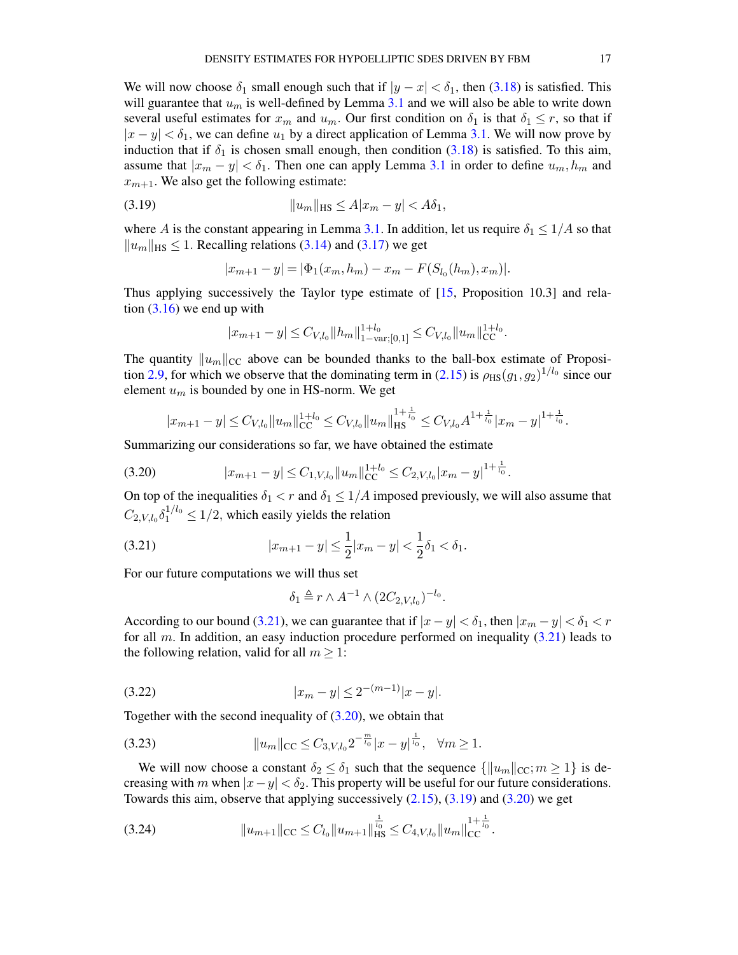We will now choose  $\delta_1$  small enough such that if  $|y - x| < \delta_1$ , then [\(3.18\)](#page-15-2) is satisfied. This will guarantee that  $u_m$  is well-defined by Lemma [3.1](#page-11-2) and we will also be able to write down several useful estimates for  $x_m$  and  $u_m$ . Our first condition on  $\delta_1$  is that  $\delta_1 \leq r$ , so that if  $|x - y| < \delta_1$ , we can define  $u_1$  by a direct application of Lemma [3.1.](#page-11-2) We will now prove by induction that if  $\delta_1$  is chosen small enough, then condition [\(3.18\)](#page-15-2) is satisfied. To this aim, assume that  $|x_m - y| < \delta_1$ . Then one can apply Lemma [3.1](#page-11-2) in order to define  $u_m, h_m$  and  $x_{m+1}$ . We also get the following estimate:

<span id="page-16-2"></span>(3.19) 
$$
||u_m||_{\text{HS}} \le A|x_m - y| < A\delta_1,
$$

where A is the constant appearing in Lemma [3.1.](#page-11-2) In addition, let us require  $\delta_1 \leq 1/A$  so that  $||u_m||_{\text{HS}} \leq 1$ . Recalling relations [\(3.14\)](#page-15-3) and [\(3.17\)](#page-15-4) we get

$$
|x_{m+1} - y| = |\Phi_1(x_m, h_m) - x_m - F(S_{l_0}(h_m), x_m)|.
$$

Thus applying successively the Taylor type estimate of [\[15,](#page-38-18) Proposition 10.3] and relation  $(3.16)$  we end up with

$$
|x_{m+1} - y| \leq C_{V,l_0} ||h_m||_{1-\text{var};[0,1]}^{1+l_0} \leq C_{V,l_0} ||u_m||_{\text{CC}}^{1+l_0}.
$$

The quantity  $||u_m||_{CC}$  above can be bounded thanks to the ball-box estimate of Proposi-tion [2.9,](#page-9-2) for which we observe that the dominating term in [\(2.15\)](#page-9-4) is  $\rho_{\rm HS}(g_1, g_2)^{1/l_0}$  since our element  $u_m$  is bounded by one in HS-norm. We get

<span id="page-16-1"></span>
$$
|x_{m+1}-y| \leq C_{V,l_0} \|u_m\|_{\mathrm{CC}}^{1+l_0} \leq C_{V,l_0} \|u_m\|_{\mathrm{HS}}^{1+\frac{1}{l_0}} \leq C_{V,l_0} A^{1+\frac{1}{l_0}} |x_m-y|^{1+\frac{1}{l_0}}.
$$

Summarizing our considerations so far, we have obtained the estimate

$$
(3.20) \t\t |x_{m+1} - y| \leq C_{1,V,l_0} \|u_m\|_{CC}^{1+l_0} \leq C_{2,V,l_0} |x_m - y|^{1+\frac{1}{l_0}}.
$$

On top of the inequalities  $\delta_1 < r$  and  $\delta_1 \leq 1/A$  imposed previously, we will also assume that  $C_{2,V,l_0}\delta_1^{1/l_0} \leq 1/2$ , which easily yields the relation

(3.21) 
$$
|x_{m+1} - y| \le \frac{1}{2}|x_m - y| < \frac{1}{2}\delta_1 < \delta_1.
$$

For our future computations we will thus set

<span id="page-16-4"></span><span id="page-16-0"></span>
$$
\delta_1 \triangleq r \wedge A^{-1} \wedge (2C_{2,V,l_0})^{-l_0}.
$$

According to our bound [\(3.21\)](#page-16-0), we can guarantee that if  $|x - y| < \delta_1$ , then  $|x_m - y| < \delta_1 < r$ for all m. In addition, an easy induction procedure performed on inequality  $(3.21)$  leads to the following relation, valid for all  $m \geq 1$ :

$$
(3.22) \t\t |x_m - y| \le 2^{-(m-1)}|x - y|.
$$

Together with the second inequality of [\(3.20\)](#page-16-1), we obtain that

<span id="page-16-3"></span>
$$
(3.23) \t\t ||u_m||_{\text{CC}} \leq C_{3, V, l_0} 2^{-\frac{m}{l_0}} |x - y|^{\frac{1}{l_0}}, \quad \forall m \geq 1.
$$

We will now choose a constant  $\delta_2 \leq \delta_1$  such that the sequence  $\{\|u_m\|_{\text{CC}};m \geq 1\}$  is decreasing with m when  $|x-y| < \delta_2$ . This property will be useful for our future considerations. Towards this aim, observe that applying successively [\(2.15\)](#page-9-4), [\(3.19\)](#page-16-2) and [\(3.20\)](#page-16-1) we get

<span id="page-16-5"></span>(3.24) kum+1kCC ≤ Cl<sup>0</sup> kum+1k 1 l0 HS ≤ C4,V,l<sup>0</sup> kumk 1+ <sup>1</sup> l0 CC .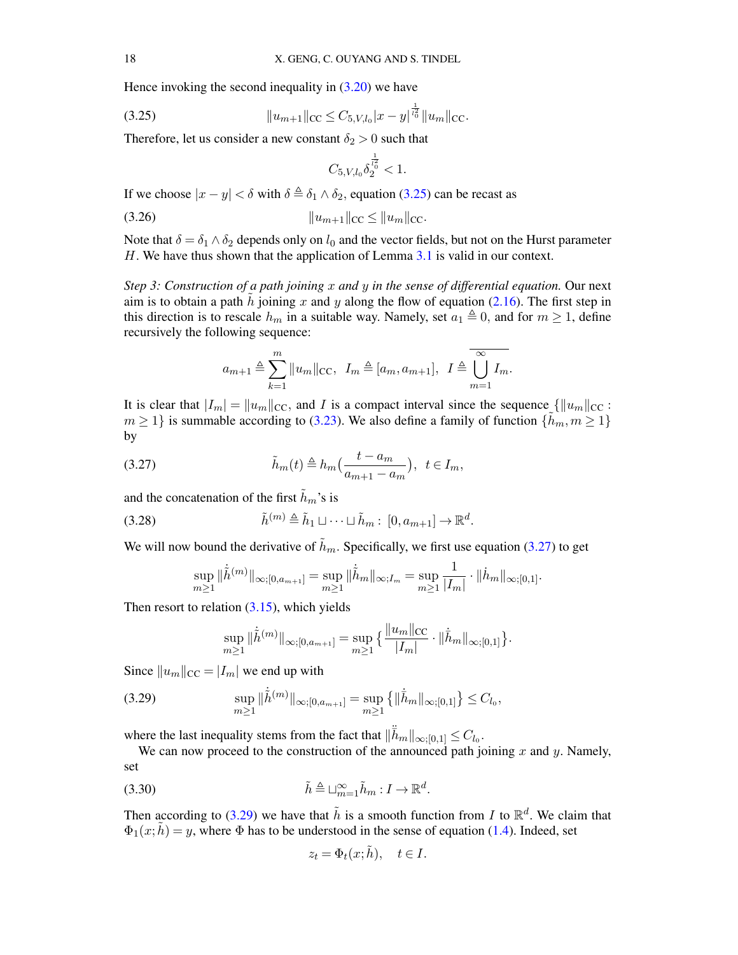Hence invoking the second inequality in  $(3.20)$  we have

(3.25) 
$$
||u_{m+1}||_{CC} \leq C_{5,V,l_0} |x-y|^{\frac{1}{l_0} } ||u_m||_{CC}.
$$

Therefore, let us consider a new constant  $\delta_2 > 0$  such that

<span id="page-17-0"></span>
$$
C_{5, V, l_0} \delta_2^{\frac{1}{l_0^2}} < 1.
$$

<span id="page-17-4"></span>If we choose  $|x - y| < \delta$  with  $\delta \triangleq \delta_1 \wedge \delta_2$ , equation [\(3.25\)](#page-17-0) can be recast as

(3.26) kum+1kCC ≤ kumkCC.

Note that  $\delta = \delta_1 \wedge \delta_2$  depends only on  $l_0$  and the vector fields, but not on the Hurst parameter H. We have thus shown that the application of Lemma [3.1](#page-11-2) is valid in our context.

*Step 3: Construction of a path joining* x *and* y *in the sense of differential equation.* Our next aim is to obtain a path h joining x and y along the flow of equation [\(2.16\)](#page-10-0). The first step in this direction is to rescale  $h_m$  in a suitable way. Namely, set  $a_1 \triangleq 0$ , and for  $m \geq 1$ , define recursively the following sequence:

$$
a_{m+1} \triangleq \sum_{k=1}^{m} ||u_m||_{\text{CC}}, \quad I_m \triangleq [a_m, a_{m+1}], \quad I \triangleq \overline{\bigcup_{m=1}^{\infty} I_m}.
$$

It is clear that  $|I_m| = ||u_m||_{\text{CC}}$ , and I is a compact interval since the sequence  $\{\|u_m\|_{\text{CC}}:$  $m \geq 1$  is summable according to [\(3.23\)](#page-16-3). We also define a family of function  $\{h_m, m \geq 1\}$ by

<span id="page-17-1"></span>(3.27) 
$$
\tilde{h}_m(t) \triangleq h_m\left(\frac{t - a_m}{a_{m+1} - a_m}\right), \ \ t \in I_m,
$$

and the concatenation of the first  $\tilde{h}_m$ 's is

(3.28) 
$$
\tilde{h}^{(m)} \triangleq \tilde{h}_1 \sqcup \cdots \sqcup \tilde{h}_m : [0, a_{m+1}] \to \mathbb{R}^d.
$$

We will now bound the derivative of  $\tilde{h}_m$ . Specifically, we first use equation [\(3.27\)](#page-17-1) to get

$$
\sup_{m\geq 1}\|\dot{\tilde{h}}^{(m)}\|_{\infty;[0,a_{m+1}]}=\sup_{m\geq 1}\|\dot{\tilde{h}}_m\|_{\infty;I_m}=\sup_{m\geq 1}\frac{1}{|I_m|}\cdot \|\dot{h}_m\|_{\infty;[0,1]}.
$$

Then resort to relation  $(3.15)$ , which yields

$$
\sup_{m\geq 1} \|\dot{\tilde{h}}^{(m)}\|_{\infty;[0,a_{m+1}]} = \sup_{m\geq 1} \left\{ \frac{\|u_m\|_{\mathrm{CC}}}{|I_m|} \cdot \|\dot{\bar{h}}_m\|_{\infty;[0,1]} \right\}.
$$

Since  $||u_m||_{\text{CC}} = |I_m|$  we end up with

<span id="page-17-2"></span>
$$
\sup_{m\geq 1} \|\dot{\tilde{h}}^{(m)}\|_{\infty;[0,a_{m+1}]} = \sup_{m\geq 1} \left\{ \|\dot{\bar{h}}_{m}\|_{\infty;[0,1]} \right\} \leq C_{l_{0}},
$$

where the last inequality stems from the fact that  $\|\ddot{\vec{h}}_m\|_{\infty;[0,1]} \leq C_{l_0}$ .

We can now proceed to the construction of the announced path joining  $x$  and  $y$ . Namely, set

<span id="page-17-3"></span>(3.30) 
$$
\tilde{h} \triangleq \sqcup_{m=1}^{\infty} \tilde{h}_m : I \to \mathbb{R}^d.
$$

Then according to [\(3.29\)](#page-17-2) we have that  $\tilde{h}$  is a smooth function from I to  $\mathbb{R}^d$ . We claim that  $\Phi_1(x;\tilde{h}) = y$ , where  $\Phi$  has to be understood in the sense of equation [\(1.4\)](#page-2-1). Indeed, set

$$
z_t = \Phi_t(x; \tilde{h}), \quad t \in I.
$$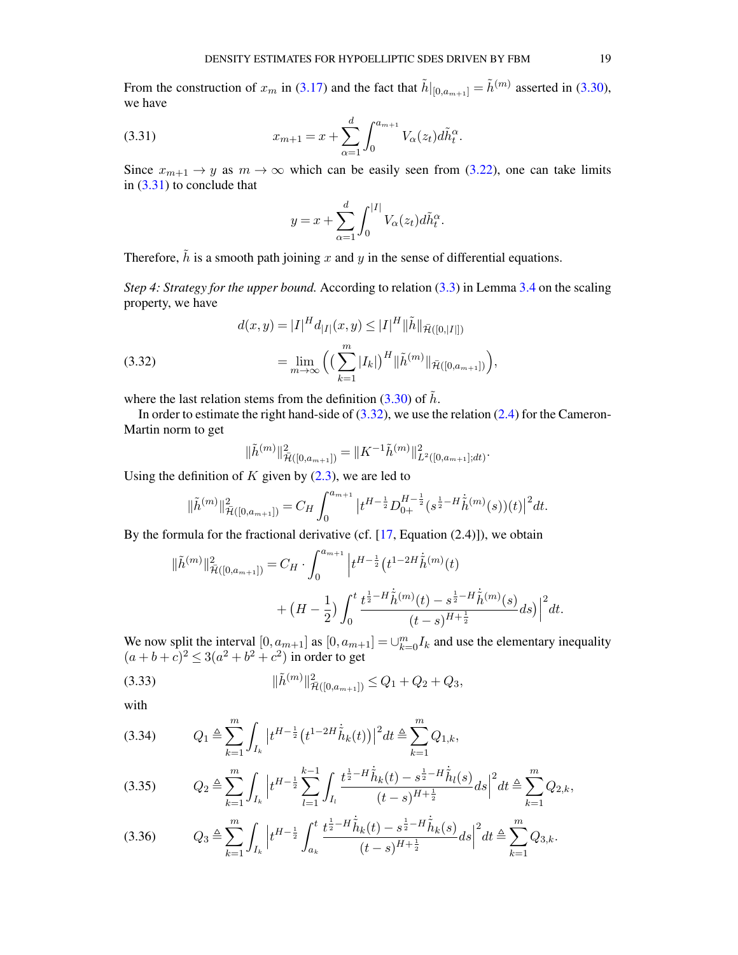From the construction of  $x_m$  in [\(3.17\)](#page-15-4) and the fact that  $\tilde{h}|_{[0,a_{m+1}]} = \tilde{h}^{(m)}$  asserted in [\(3.30\)](#page-17-3), we have

<span id="page-18-0"></span>(3.31) 
$$
x_{m+1} = x + \sum_{\alpha=1}^{d} \int_{0}^{a_{m+1}} V_{\alpha}(z_t) d\tilde{h}_t^{\alpha}.
$$

Since  $x_{m+1} \to y$  as  $m \to \infty$  which can be easily seen from [\(3.22\)](#page-16-4), one can take limits in [\(3.31\)](#page-18-0) to conclude that

$$
y = x + \sum_{\alpha=1}^d \int_0^{|I|} V_{\alpha}(z_t) d\tilde{h}_t^{\alpha}.
$$

Therefore,  $\tilde{h}$  is a smooth path joining x and y in the sense of differential equations.

*Step 4: Strategy for the upper bound.* According to relation [\(3.3\)](#page-12-5) in Lemma [3.4](#page-12-6) on the scaling property, we have

<span id="page-18-1"></span>(3.32) 
$$
d(x,y) = |I|^H d_{|I|}(x,y) \le |I|^H ||\tilde{h}||_{\tilde{\mathcal{H}}([0,|I|])}
$$

$$
= \lim_{m \to \infty} \left( \left( \sum_{k=1}^m |I_k| \right)^H ||\tilde{h}^{(m)}||_{\tilde{\mathcal{H}}([0,a_{m+1}])} \right),
$$

where the last relation stems from the definition [\(3.30\)](#page-17-3) of  $\tilde{h}$ .

In order to estimate the right hand-side of  $(3.32)$ , we use the relation  $(2.4)$  for the Cameron-Martin norm to get

$$
\|\tilde{h}^{(m)}\|_{\tilde{\mathcal{H}}([0,a_{m+1}])}^2 = \|K^{-1}\tilde{h}^{(m)}\|_{L^2([0,a_{m+1}];dt)}^2.
$$

Using the definition of  $K$  given by  $(2.3)$ , we are led to

$$
\|\tilde{h}^{(m)}\|_{\bar{\mathcal{H}}([0,a_{m+1}])}^2 = C_H \int_0^{a_{m+1}} \left| t^{H-\frac{1}{2}} D_{0+}^{H-\frac{1}{2}}(s^{\frac{1}{2}-H} \dot{\tilde{h}}^{(m)}(s))(t) \right|^2 dt.
$$

By the formula for the fractional derivative (cf.  $[17, Equation (2.4)]$  $[17, Equation (2.4)]$ ), we obtain

$$
\|\tilde{h}^{(m)}\|_{\tilde{\mathcal{H}}([0,a_{m+1}])}^2 = C_H \cdot \int_0^{a_{m+1}} \left| t^{H-\frac{1}{2}} \left( t^{1-2H} \dot{\tilde{h}}^{(m)}(t) \right) \right|
$$
  
+ 
$$
\left( H - \frac{1}{2} \right) \int_0^t \frac{t^{\frac{1}{2}-H} \dot{\tilde{h}}^{(m)}(t) - s^{\frac{1}{2}-H} \dot{\tilde{h}}^{(m)}(s)}{(t-s)^{H+\frac{1}{2}}} ds \Big) \Big|^2 dt.
$$

We now split the interval  $[0, a_{m+1}]$  as  $[0, a_{m+1}] = \bigcup_{k=0}^{m} I_k$  and use the elementary inequality  $(a+b+c)^2 \leq 3(a^2+b^2+c^2)$  in order to get

<span id="page-18-3"></span>(3.33) 
$$
\|\tilde{h}^{(m)}\|_{\tilde{\mathcal{H}}([0,a_{m+1}])}^2 \leq Q_1 + Q_2 + Q_3,
$$

with

$$
(3.34) \tQ_1 \triangleq \sum_{k=1}^m \int_{I_k} \left| t^{H-\frac{1}{2}} \left( t^{1-2H} \dot{\tilde{h}}_k(t) \right) \right|^2 dt \triangleq \sum_{k=1}^m Q_{1,k},
$$

<span id="page-18-2"></span>
$$
(3.35) \tQ_2 \triangleq \sum_{k=1}^m \int_{I_k} \left| t^{H-\frac{1}{2}} \sum_{l=1}^{k-1} \int_{I_l} \frac{t^{\frac{1}{2}-H} \dot{\tilde{h}}_k(t) - s^{\frac{1}{2}-H} \dot{\tilde{h}}_l(s)}{(t-s)^{H+\frac{1}{2}}} ds \right|^2 dt \triangleq \sum_{k=1}^m Q_{2,k},
$$

$$
(3.36) \tQ_3 \triangleq \sum_{k=1}^m \int_{I_k} \left| t^{H-\frac{1}{2}} \int_{a_k}^t \frac{t^{\frac{1}{2}-H}\dot{\tilde{h}}_k(t) - s^{\frac{1}{2}-H}\dot{\tilde{h}}_k(s)}{(t-s)^{H+\frac{1}{2}}} ds \right|^2 dt \triangleq \sum_{k=1}^m Q_{3,k}.
$$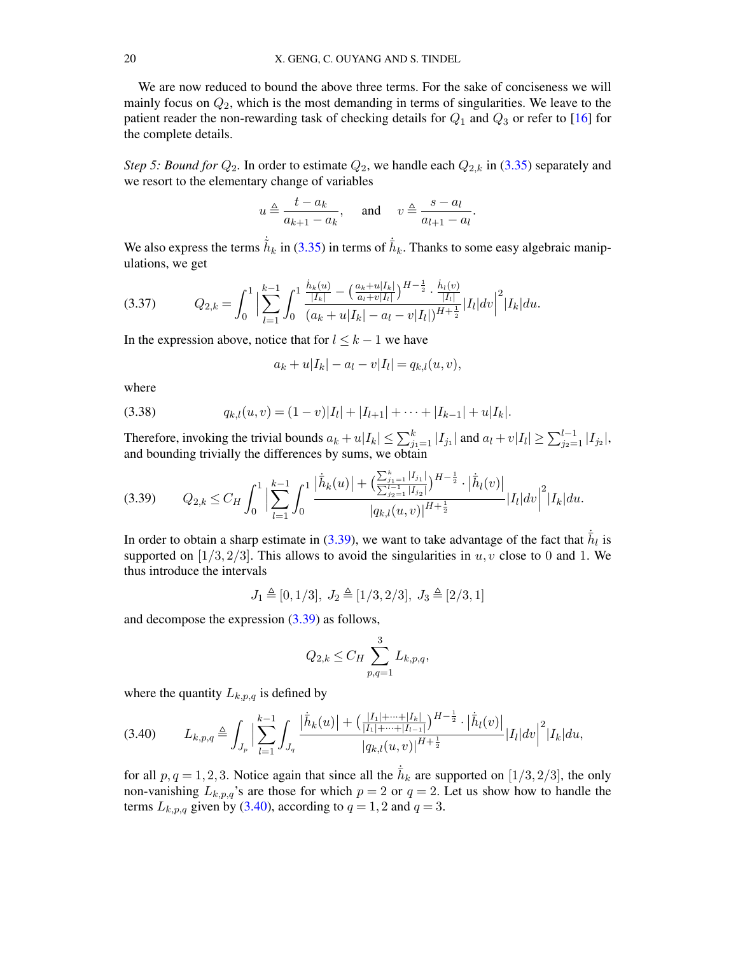We are now reduced to bound the above three terms. For the sake of conciseness we will mainly focus on  $Q_2$ , which is the most demanding in terms of singularities. We leave to the patient reader the non-rewarding task of checking details for  $Q_1$  and  $Q_3$  or refer to [\[16\]](#page-38-11) for the complete details.

*Step 5: Bound for*  $Q_2$ . In order to estimate  $Q_2$ , we handle each  $Q_{2,k}$  in [\(3.35\)](#page-18-2) separately and we resort to the elementary change of variables

$$
u \triangleq \frac{t - a_k}{a_{k+1} - a_k}
$$
, and  $v \triangleq \frac{s - a_l}{a_{l+1} - a_l}$ .

We also express the terms  $\dot{h}_k$  in [\(3.35\)](#page-18-2) in terms of  $\dot{h}_k$ . Thanks to some easy algebraic manipulations, we get

$$
(3.37) \tQ_{2,k} = \int_0^1 \Big| \sum_{l=1}^{k-1} \int_0^1 \frac{\frac{\dot{h}_k(u)}{|I_k|} - \left(\frac{a_k + u|I_k|}{a_l + v|I_l|}\right)^{H - \frac{1}{2}} \cdot \frac{\dot{h}_l(v)}{|I_l|}}{(a_k + u|I_k| - a_l - v|I_l|)^{H + \frac{1}{2}}} |I_l| dv \Big|^2 |I_k| du.
$$

In the expression above, notice that for  $l \leq k - 1$  we have

<span id="page-19-2"></span>
$$
a_k + u|I_k| - a_l - v|I_l| = q_{k,l}(u, v),
$$

where

(3.38) 
$$
q_{k,l}(u,v) = (1-v)|I_l| + |I_{l+1}| + \cdots + |I_{k-1}| + u|I_k|.
$$

Therefore, invoking the trivial bounds  $a_k + u|I_k| \leq \sum_{j_1=1}^k |I_{j_1}|$  and  $a_l + v|I_l| \geq \sum_{j_2=1}^{l-1} |I_{j_2}|$ , and bounding trivially the differences by sums, we obtain

<span id="page-19-0"></span>
$$
(3.39) \qquad Q_{2,k} \leq C_H \int_0^1 \Big| \sum_{l=1}^{k-1} \int_0^1 \frac{\left| \dot{\bar{h}}_k(u) \right| + \left( \frac{\sum_{j_1=1}^k |I_{j_1}|}{\sum_{j_2=1}^{l-1} |I_{j_2}|} \right)^{H-\frac{1}{2}} \cdot \left| \dot{\bar{h}}_l(v) \right|}{|q_{k,l}(u,v)|^{H+\frac{1}{2}}} |I_l| dv \Big|^2 |I_k| du.
$$

In order to obtain a sharp estimate in [\(3.39\)](#page-19-0), we want to take advantage of the fact that  $\dot{\bar{h}}_l$  is supported on [1/3, 2/3]. This allows to avoid the singularities in  $u, v$  close to 0 and 1. We thus introduce the intervals

$$
J_1 \triangleq [0,1/3],~J_2 \triangleq [1/3,2/3],~J_3 \triangleq [2/3,1]
$$

and decompose the expression  $(3.39)$  as follows,

$$
Q_{2,k} \leq C_H \sum_{p,q=1}^{3} L_{k,p,q},
$$

where the quantity  $L_{k,p,q}$  is defined by

<span id="page-19-1"></span>
$$
(3.40) \tL_{k,p,q} \triangleq \int_{J_p} \Big| \sum_{l=1}^{k-1} \int_{J_q} \frac{\left| \dot{\bar{h}}_k(u) \right| + \left( \frac{|I_1| + \dots + |I_k|}{|I_1| + \dots + |I_{l-1}|} \right)^{H - \frac{1}{2}} \cdot \left| \dot{\bar{h}}_l(v) \right|}{|q_{k,l}(u,v)|^{H + \frac{1}{2}}} |I_l| dv \Big|^2 |I_k| du,
$$

for all  $p, q = 1, 2, 3$ . Notice again that since all the  $\bar{h}_k$  are supported on [1/3, 2/3], the only non-vanishing  $L_{k,p,q}$ 's are those for which  $p = 2$  or  $q = 2$ . Let us show how to handle the terms  $L_{k,p,q}$  given by [\(3.40\)](#page-19-1), according to  $q = 1, 2$  and  $q = 3$ .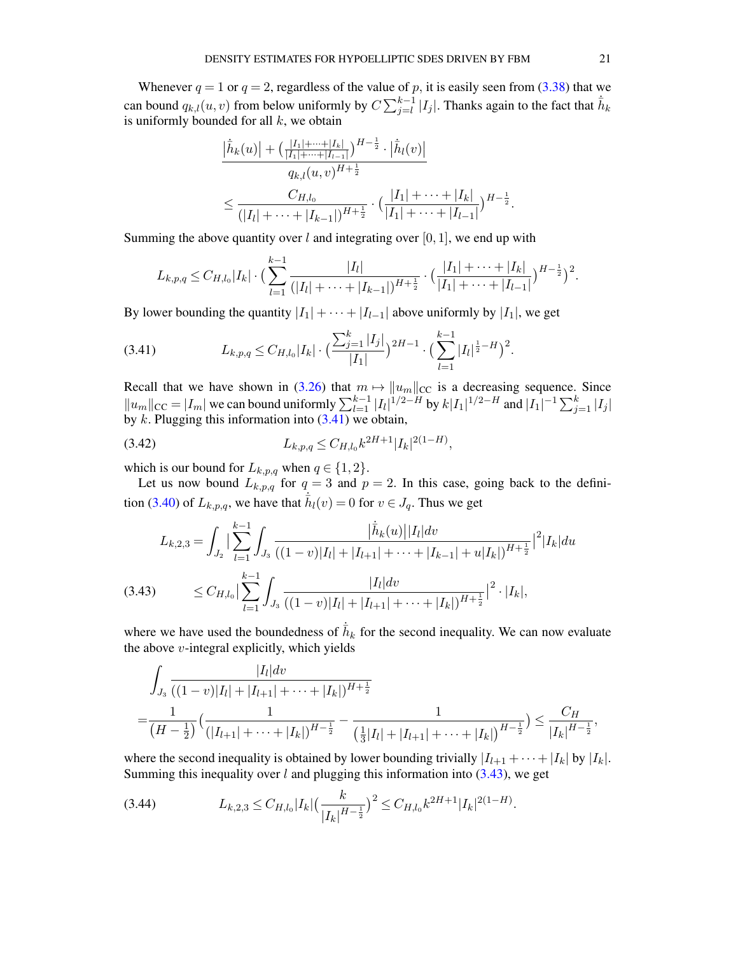Whenever  $q = 1$  or  $q = 2$ , regardless of the value of p, it is easily seen from [\(3.38\)](#page-19-2) that we can bound  $q_{k,l}(u, v)$  from below uniformly by  $C \sum_{j=l}^{k-1} |I_j|$ . Thanks again to the fact that  $\dot{\bar{h}}_k$ is uniformly bounded for all  $k$ , we obtain

$$
\frac{|\dot{h}_k(u)| + (\frac{|I_1| + \dots + |I_k|}{|I_1| + \dots + |I_{l-1}|})^{H - \frac{1}{2}} \cdot |\dot{h}_l(v)|}{q_{k,l}(u,v)^{H + \frac{1}{2}}}
$$
  

$$
\leq \frac{C_{H,l_0}}{(|I_l| + \dots + |I_{k-1}|)^{H + \frac{1}{2}}} \cdot (\frac{|I_1| + \dots + |I_k|}{|I_1| + \dots + |I_{l-1}|})^{H - \frac{1}{2}}.
$$

Summing the above quantity over l and integrating over [0, 1], we end up with

$$
L_{k,p,q} \leq C_{H,l_0}|I_k| \cdot \Big(\sum_{l=1}^{k-1} \frac{|I_l|}{(|I_l|+\cdots+|I_{k-1}|)^{H+\frac{1}{2}}} \cdot \Big(\frac{|I_1|+\cdots+|I_k|}{|I_1|+\cdots+|I_{l-1}|}\Big)^{H-\frac{1}{2}}\Big)^2.
$$

By lower bounding the quantity  $|I_1| + \cdots + |I_{l-1}|$  above uniformly by  $|I_1|$ , we get

<span id="page-20-0"></span>
$$
(3.41) \tL_{k,p,q} \leq C_{H,l_0}|I_k| \cdot \Big(\frac{\sum_{j=1}^k |I_j|}{|I_1|}\Big)^{2H-1} \cdot \Big(\sum_{l=1}^{k-1} |I_l|^{\frac{1}{2}-H}\Big)^2.
$$

Recall that we have shown in [\(3.26\)](#page-17-4) that  $m \mapsto ||u_m||_{CC}$  is a decreasing sequence. Since  $||u_m||_{CC} = |I_m|$  we can bound uniformly  $\sum_{l=1}^{k-1} |I_l|^{1/2-H}$  by  $k|I_1|^{1/2-H}$  and  $|I_1|^{-1} \sum_{j=1}^{k} |I_j|$ by  $k$ . Plugging this information into  $(3.41)$  we obtain,

<span id="page-20-2"></span>
$$
(3.42) \tL_{k,p,q} \leq C_{H,l_0} k^{2H+1} |I_k|^{2(1-H)},
$$

which is our bound for  $L_{k,p,q}$  when  $q \in \{1,2\}$ .

Let us now bound  $L_{k,p,q}$  for  $q=3$  and  $p=2$ . In this case, going back to the defini-tion [\(3.40\)](#page-19-1) of  $L_{k,p,q}$ , we have that  $\dot{\bar{h}}_l(v) = 0$  for  $v \in J_q$ . Thus we get

$$
L_{k,2,3} = \int_{J_2} \left| \sum_{l=1}^{k-1} \int_{J_3} \frac{|\dot{h}_k(u)| |I_l| dv}{((1-v)|I_l| + |I_{l+1}| + \dots + |I_{k-1}| + u|I_k|)^{H + \frac{1}{2}}} \right|^2 |I_k| du
$$
\n
$$
(3.43) \leq C_{H,l_0} \left| \sum_{l=1}^{k-1} \int_{J_3} \frac{|I_l| dv}{((1-v)|I_l| + |I_{l+1}| + \dots + |I_k|)^{H + \frac{1}{2}}} \right|^2 \cdot |I_k|,
$$

<span id="page-20-1"></span>where we have used the boundedness of  $\dot{\bar{h}}_k$  for the second inequality. We can now evaluate the above  $v$ -integral explicitly, which yields

$$
\int_{J_3} \frac{|I_l| dv}{((1-v)|I_l|+|I_{l+1}|+\cdots+|I_k|)^{H+\frac{1}{2}}} \n= \frac{1}{(H-\frac{1}{2})} \Big( \frac{1}{(|I_{l+1}|+\cdots+|I_k|)^{H-\frac{1}{2}}} - \frac{1}{(\frac{1}{3}|I_l|+|I_{l+1}|+\cdots+|I_k|)^{H-\frac{1}{2}}}\Big) \leq \frac{C_H}{|I_k|^{H-\frac{1}{2}}},
$$

where the second inequality is obtained by lower bounding trivially  $|I_{l+1} + \cdots + |I_k|$  by  $|I_k|$ . Summing this inequality over  $l$  and plugging this information into  $(3.43)$ , we get

<span id="page-20-3"></span>
$$
(3.44) \tL_{k,2,3} \leq C_{H,l_0} |I_k| \left(\frac{k}{|I_k|^{H-\frac{1}{2}}}\right)^2 \leq C_{H,l_0} k^{2H+1} |I_k|^{2(1-H)}.
$$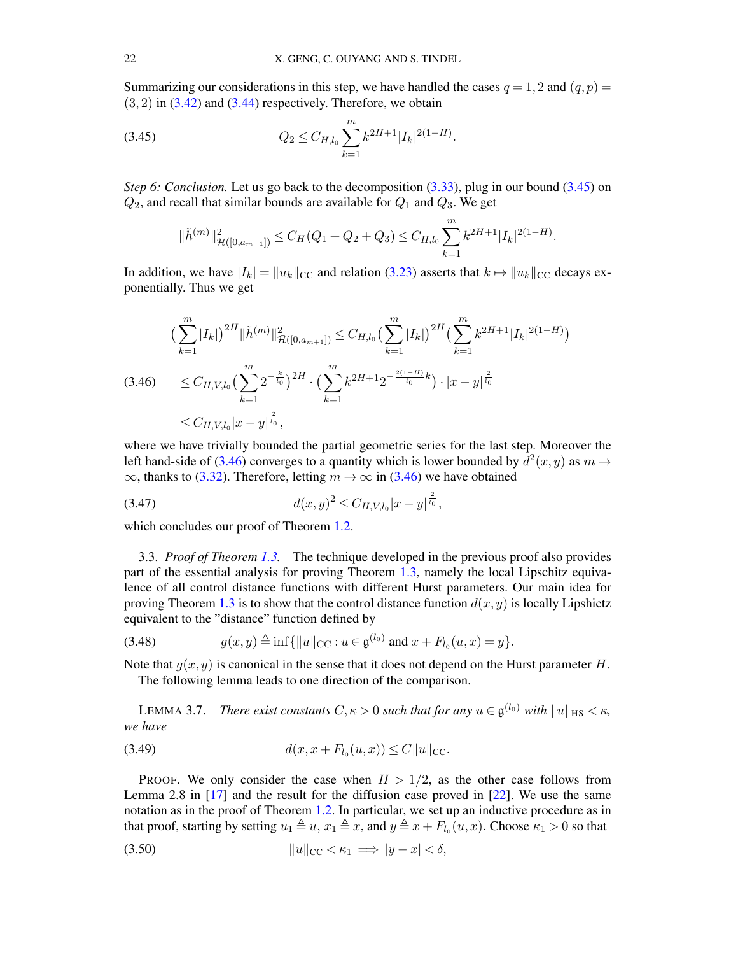Summarizing our considerations in this step, we have handled the cases  $q = 1, 2$  and  $(q, p) =$  $(3, 2)$  in  $(3.42)$  and  $(3.44)$  respectively. Therefore, we obtain

<span id="page-21-0"></span>(3.45) 
$$
Q_2 \leq C_{H,l_0} \sum_{k=1}^m k^{2H+1} |I_k|^{2(1-H)}.
$$

*Step 6: Conclusion.* Let us go back to the decomposition [\(3.33\)](#page-18-3), plug in our bound [\(3.45\)](#page-21-0) on  $Q_2$ , and recall that similar bounds are available for  $Q_1$  and  $Q_3$ . We get

$$
\|\tilde{h}^{(m)}\|_{\tilde{\mathcal{H}}([0,a_{m+1}])}^2 \leq C_H(Q_1+Q_2+Q_3) \leq C_{H,l_0} \sum_{k=1}^m k^{2H+1} |I_k|^{2(1-H)}.
$$

In addition, we have  $|I_k| = ||u_k||_{CC}$  and relation [\(3.23\)](#page-16-3) asserts that  $k \mapsto ||u_k||_{CC}$  decays exponentially. Thus we get

<span id="page-21-1"></span>
$$
\left(\sum_{k=1}^{m} |I_{k}|\right)^{2H} \|\tilde{h}^{(m)}\|_{\tilde{\mathcal{H}}([0,a_{m+1}])}^{2} \leq C_{H,l_{0}} \left(\sum_{k=1}^{m} |I_{k}|\right)^{2H} \left(\sum_{k=1}^{m} k^{2H+1} |I_{k}|^{2(1-H)}\right)
$$
\n
$$
\leq C_{H,V,l_{0}} \left(\sum_{k=1}^{m} 2^{-\frac{k}{l_{0}}}\right)^{2H} \cdot \left(\sum_{k=1}^{m} k^{2H+1} 2^{-\frac{2(1-H)}{l_{0}}k}\right) \cdot |x-y|^{\frac{2}{l_{0}}}
$$
\n
$$
\leq C_{H,V,l_{0}} |x-y|^{\frac{2}{l_{0}}},
$$

where we have trivially bounded the partial geometric series for the last step. Moreover the left hand-side of [\(3.46\)](#page-21-1) converges to a quantity which is lower bounded by  $d^2(x, y)$  as  $m \to$  $\infty$ , thanks to [\(3.32\)](#page-18-1). Therefore, letting  $m \to \infty$  in [\(3.46\)](#page-21-1) we have obtained

<span id="page-21-2"></span>(3.47) 
$$
d(x,y)^2 \leq C_{H,V,l_0}|x-y|^{\frac{2}{l_0}},
$$

which concludes our proof of Theorem [1.2.](#page-2-3)

<span id="page-21-7"></span>3.3. *Proof of Theorem [1.3.](#page-3-0)* The technique developed in the previous proof also provides part of the essential analysis for proving Theorem [1.3,](#page-3-0) namely the local Lipschitz equivalence of all control distance functions with different Hurst parameters. Our main idea for proving Theorem [1.3](#page-3-0) is to show that the control distance function  $d(x, y)$  is locally Lipshictz equivalent to the "distance" function defined by

<span id="page-21-6"></span>(3.48) 
$$
g(x,y) \triangleq \inf\{||u||_{\text{CC}} : u \in \mathfrak{g}^{(l_0)} \text{ and } x + F_{l_0}(u,x) = y\}.
$$

Note that  $q(x, y)$  is canonical in the sense that it does not depend on the Hurst parameter H. The following lemma leads to one direction of the comparison.

<span id="page-21-5"></span>LEMMA 3.7. *There exist constants*  $C, \kappa > 0$  such that for any  $u \in \mathfrak{g}^{(l_0)}$  with  $||u||_{\text{HS}} < \kappa$ , *we have*

<span id="page-21-4"></span>(3.49) 
$$
d(x, x + F_{l_0}(u, x)) \leq C ||u||_{\text{CC}}.
$$

PROOF. We only consider the case when  $H > 1/2$ , as the other case follows from Lemma 2.8 in [\[17\]](#page-38-10) and the result for the diffusion case proved in [\[22\]](#page-38-3). We use the same notation as in the proof of Theorem [1.2.](#page-2-3) In particular, we set up an inductive procedure as in that proof, starting by setting  $u_1 \triangleq u$ ,  $x_1 \triangleq x$ , and  $y \triangleq x + F_{l_0}(u, x)$ . Choose  $\kappa_1 > 0$  so that

<span id="page-21-3"></span>
$$
(3.50) \t\t\t ||u||_{\text{CC}} < \kappa_1 \implies |y - x| < \delta,
$$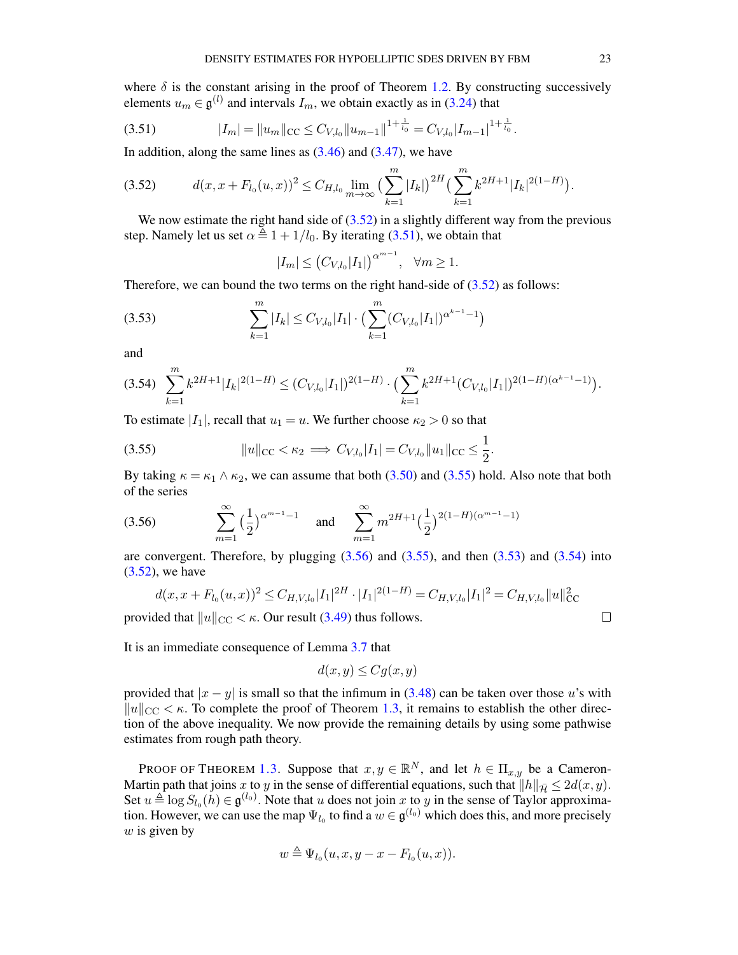where  $\delta$  is the constant arising in the proof of Theorem [1.2.](#page-2-3) By constructing successively elements  $u_m \in \mathfrak{g}^{(l)}$  and intervals  $I_m$ , we obtain exactly as in [\(3.24\)](#page-16-5) that

<span id="page-22-1"></span>
$$
(3.51) \t\t |I_m| = \|u_m\|_{\text{CC}} \leq C_{V,l_0} \|u_{m-1}\|^{1+\frac{1}{l_0}} = C_{V,l_0} |I_{m-1}|^{1+\frac{1}{l_0}}.
$$

In addition, along the same lines as  $(3.46)$  and  $(3.47)$ , we have

<span id="page-22-0"></span>
$$
(3.52) \t d(x, x + F_{l_0}(u, x))^2 \leq C_{H, l_0} \lim_{m \to \infty} \left( \sum_{k=1}^m |I_k| \right)^{2H} \left( \sum_{k=1}^m k^{2H+1} |I_k|^{2(1-H)} \right).
$$

We now estimate the right hand side of  $(3.52)$  in a slightly different way from the previous step. Namely let us set  $\alpha \triangleq 1 + 1/l_0$ . By iterating [\(3.51\)](#page-22-1), we obtain that

$$
|I_m| \le (C_{V,l_0}|I_1|)^{\alpha^{m-1}}, \quad \forall m \ge 1.
$$

Therefore, we can bound the two terms on the right hand-side of  $(3.52)$  as follows:

<span id="page-22-4"></span>(3.53) 
$$
\sum_{k=1}^{m} |I_k| \leq C_{V,l_0} |I_1| \cdot \left( \sum_{k=1}^{m} (C_{V,l_0} |I_1|)^{\alpha^{k-1}-1} \right)
$$

and

<span id="page-22-5"></span>
$$
(3.54) \sum_{k=1}^{m} k^{2H+1} |I_k|^{2(1-H)} \le (C_{V,l_0}|I_1|)^{2(1-H)} \cdot \left(\sum_{k=1}^{m} k^{2H+1} (C_{V,l_0}|I_1|)^{2(1-H)(\alpha^{k-1}-1)}\right).
$$

To estimate  $|I_1|$ , recall that  $u_1 = u$ . We further choose  $\kappa_2 > 0$  so that

<span id="page-22-2"></span>(3.55) 
$$
||u||_{\text{CC}} < \kappa_2 \implies C_{V,l_0}|I_1| = C_{V,l_0}||u_1||_{\text{CC}} \leq \frac{1}{2}.
$$

By taking  $\kappa = \kappa_1 \wedge \kappa_2$ , we can assume that both [\(3.50\)](#page-21-3) and [\(3.55\)](#page-22-2) hold. Also note that both of the series

<span id="page-22-3"></span>(3.56) 
$$
\sum_{m=1}^{\infty} \left(\frac{1}{2}\right)^{\alpha^{m-1}-1} \text{ and } \sum_{m=1}^{\infty} m^{2H+1} \left(\frac{1}{2}\right)^{2(1-H)(\alpha^{m-1}-1)}
$$

are convergent. Therefore, by plugging  $(3.56)$  and  $(3.55)$ , and then  $(3.53)$  and  $(3.54)$  into  $(3.52)$ , we have

$$
d(x, x + F_{l_0}(u, x))^2 \leq C_{H, V, l_0} |I_1|^{2H} \cdot |I_1|^{2(1-H)} = C_{H, V, l_0} |I_1|^2 = C_{H, V, l_0} ||u||^2_{CC}
$$

provided that  $||u||_{\text{CC}} < \kappa$ . Our result [\(3.49\)](#page-21-4) thus follows.

It is an immediate consequence of Lemma [3.7](#page-21-5) that

$$
d(x, y) \le Cg(x, y)
$$

provided that  $|x - y|$  is small so that the infimum in [\(3.48\)](#page-21-6) can be taken over those u's with  $\|u\|_{\text{CC}} < \kappa$ . To complete the proof of Theorem [1.3,](#page-3-0) it remains to establish the other direction of the above inequality. We now provide the remaining details by using some pathwise estimates from rough path theory.

PROOF OF THEOREM [1.3.](#page-3-0) Suppose that  $x, y \in \mathbb{R}^N$ , and let  $h \in \Pi_{x,y}$  be a Cameron-Martin path that joins x to y in the sense of differential equations, such that  $||h||_{\overline{H}} \leq 2d(x, y)$ . Set  $u \triangleq \log S_{l_0}(h) \in \mathfrak{g}^{(l_0)}$ . Note that u does not join x to y in the sense of Taylor approximation. However, we can use the map  $\Psi_{l_0}$  to find a  $w \in \mathfrak{g}^{(l_0)}$  which does this, and more precisely  $w$  is given by

$$
w \triangleq \Psi_{l_0}(u, x, y - x - F_{l_0}(u, x)).
$$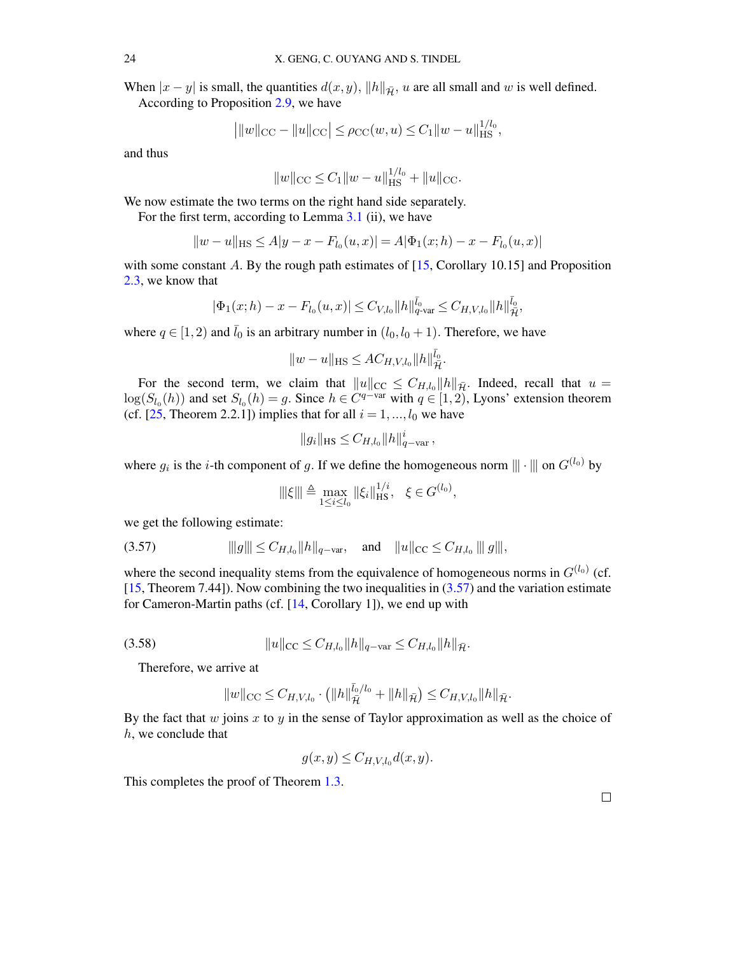When  $|x - y|$  is small, the quantities  $d(x, y)$ ,  $||h||_{\overline{H}}$ , u are all small and w is well defined.

According to Proposition [2.9,](#page-9-2) we have

$$
\left| \|w\|_{\rm CC} - \|u\|_{\rm CC} \right| \le \rho_{\rm CC}(w, u) \le C_1 \|w - u\|_{\rm HS}^{1/l_0},
$$

and thus

$$
||w||_{\text{CC}} \leq C_1 ||w - u||_{\text{HS}}^{1/l_0} + ||u||_{\text{CC}}.
$$

We now estimate the two terms on the right hand side separately.

For the first term, according to Lemma [3.1](#page-11-2) (ii), we have

$$
||w - u||_{\text{HS}} \le A|y - x - F_{l_0}(u, x)| = A|\Phi_1(x; h) - x - F_{l_0}(u, x)|
$$

with some constant A. By the rough path estimates of [\[15,](#page-38-18) Corollary 10.15] and Proposition [2.3,](#page-6-3) we know that

$$
|\Phi_1(x; h) - x - F_{l_0}(u, x)| \leq C_{V, l_0} \|h\|_{q\text{-var}}^{\bar{l}_0} \leq C_{H, V, l_0} \|h\|_{\bar{\mathcal{H}}}^{\bar{l}_0}
$$

,

where  $q \in [1, 2)$  and  $\bar{l}_0$  is an arbitrary number in  $(l_0, l_0 + 1)$ . Therefore, we have

$$
||w - u||_{\text{HS}} \leq A C_{H, V, l_0} ||h||_{\bar{\mathcal{H}}}^{\bar{l}_0}.
$$

For the second term, we claim that  $||u||_{CC} \leq C_{H,l_0} ||h||_{\bar{\mathcal{H}}}$ . Indeed, recall that  $u =$  $\log(S_{l_0}(h))$  and set  $S_{l_0}(h) = g$ . Since  $h \in C^{q-var}$  with  $q \in [1, 2)$ , Lyons' extension theorem (cf. [\[25,](#page-38-5) Theorem 2.2.1]) implies that for all  $i = 1, ..., l_0$  we have

$$
||g_i||_{\text{HS}} \leq C_{H, l_0} ||h||_{q-\text{var}}^i ,
$$

where  $g_i$  is the *i*-th component of g. If we define the homogeneous norm  $\|\cdot\|$  on  $G^{(l_0)}$  by

$$
\|\xi\| \triangleq \max_{1 \le i \le l_0} \|\xi_i\|_{\text{HS}}^{1/i}, \quad \xi \in G^{(l_0)},
$$

<span id="page-23-0"></span>we get the following estimate:

$$
(3.57) \t\t\t\t\t||g||| \leq C_{H,l_0} \|h\|_{q-\text{var}}, \t\text{and} \t\|u\|_{\text{CC}} \leq C_{H,l_0} \|g\|,
$$

where the second inequality stems from the equivalence of homogeneous norms in  $G^{(l_0)}$  (cf. [\[15,](#page-38-18) Theorem 7.44]). Now combining the two inequalities in [\(3.57\)](#page-23-0) and the variation estimate for Cameron-Martin paths (cf. [\[14,](#page-38-16) Corollary 1]), we end up with

$$
(3.58) \t\t\t ||u||_{\text{CC}} \leq C_{H,l_0} ||h||_{q-\text{var}} \leq C_{H,l_0} ||h||_{\bar{\mathcal{H}}}.
$$

Therefore, we arrive at

$$
||w||_{\text{CC}} \leq C_{H,V,l_0} \cdot \left( ||h||_{\bar{\mathcal{H}}}^{\bar{l}_0/l_0} + ||h||_{\bar{\mathcal{H}}}\right) \leq C_{H,V,l_0} ||h||_{\bar{\mathcal{H}}}.
$$

By the fact that  $w$  joins  $x$  to  $y$  in the sense of Taylor approximation as well as the choice of h, we conclude that

$$
g(x,y) \leq C_{H,V,l_0} d(x,y).
$$

This completes the proof of Theorem [1.3.](#page-3-0)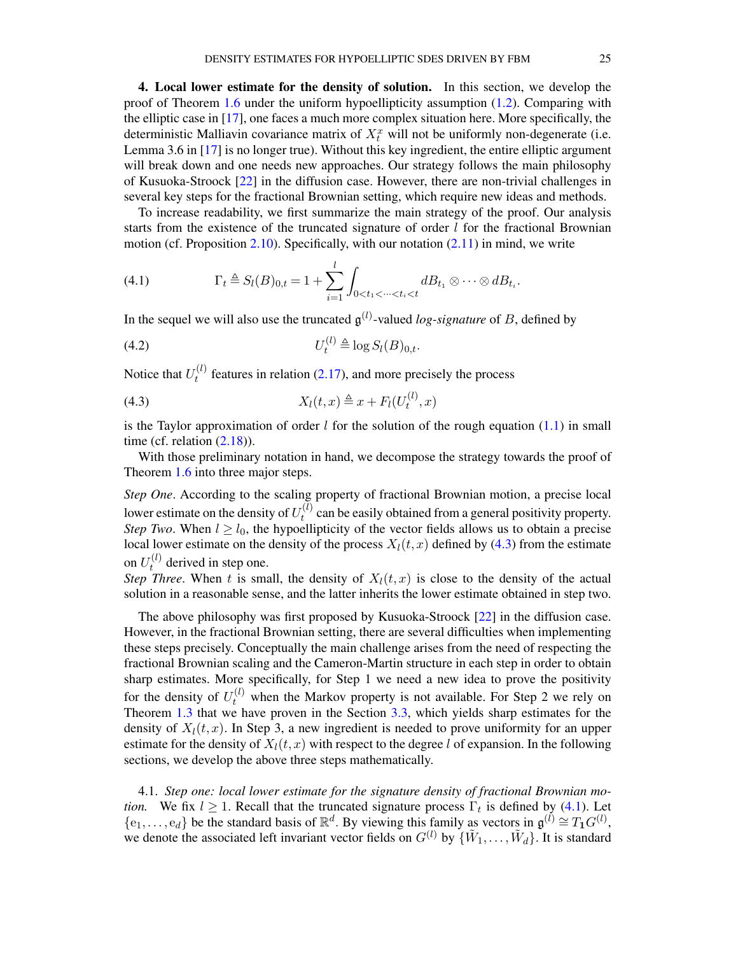<span id="page-24-1"></span>4. Local lower estimate for the density of solution. In this section, we develop the proof of Theorem [1.6](#page-3-1) under the uniform hypoellipticity assumption [\(1.2\)](#page-1-2). Comparing with the elliptic case in [\[17\]](#page-38-10), one faces a much more complex situation here. More specifically, the deterministic Malliavin covariance matrix of  $X_t^x$  will not be uniformly non-degenerate (i.e. Lemma 3.6 in [\[17\]](#page-38-10) is no longer true). Without this key ingredient, the entire elliptic argument will break down and one needs new approaches. Our strategy follows the main philosophy of Kusuoka-Stroock [\[22\]](#page-38-3) in the diffusion case. However, there are non-trivial challenges in several key steps for the fractional Brownian setting, which require new ideas and methods.

To increase readability, we first summarize the main strategy of the proof. Our analysis starts from the existence of the truncated signature of order  $l$  for the fractional Brownian motion (cf. Proposition [2.10\)](#page-9-1). Specifically, with our notation [\(2.11\)](#page-8-0) in mind, we write

<span id="page-24-3"></span>(4.1) 
$$
\Gamma_t \triangleq S_l(B)_{0,t} = 1 + \sum_{i=1}^l \int_{0 < t_1 < \dots < t_i < t} dB_{t_1} \otimes \dots \otimes dB_{t_i}.
$$

In the sequel we will also use the truncated  $\mathfrak{g}^{(l)}$ -valued *log-signature* of B, defined by

<span id="page-24-4"></span>
$$
(4.2) \t\t\t U_t^{(l)} \triangleq \log S_l(B)_{0,t}.
$$

Notice that  $U_t^{(l)}$  $t_t^{(t)}$  features in relation [\(2.17\)](#page-10-2), and more precisely the process

<span id="page-24-2"></span>
$$
(4.3) \t\t Xl(t,x) \triangleq x + Fl(Ut(l),x)
$$

is the Taylor approximation of order l for the solution of the rough equation [\(1.1\)](#page-1-1) in small time (cf. relation  $(2.18)$ ).

With those preliminary notation in hand, we decompose the strategy towards the proof of Theorem [1.6](#page-3-1) into three major steps.

*Step One*. According to the scaling property of fractional Brownian motion, a precise local lower estimate on the density of  $U_t^{(l)}$  $t_t^{(t)}$  can be easily obtained from a general positivity property. *Step Two.* When  $l \geq l_0$ , the hypoellipticity of the vector fields allows us to obtain a precise local lower estimate on the density of the process  $X_l(t, x)$  defined by [\(4.3\)](#page-24-2) from the estimate on  $U_t^{(l)}$  $t^{(t)}$  derived in step one.

*Step Three.* When t is small, the density of  $X_l(t, x)$  is close to the density of the actual solution in a reasonable sense, and the latter inherits the lower estimate obtained in step two.

The above philosophy was first proposed by Kusuoka-Stroock [\[22\]](#page-38-3) in the diffusion case. However, in the fractional Brownian setting, there are several difficulties when implementing these steps precisely. Conceptually the main challenge arises from the need of respecting the fractional Brownian scaling and the Cameron-Martin structure in each step in order to obtain sharp estimates. More specifically, for Step 1 we need a new idea to prove the positivity for the density of  $U_t^{(l)}$  when the Markov property is not available. For Step 2 we rely on Theorem [1.3](#page-3-0) that we have proven in the Section [3.3,](#page-21-7) which yields sharp estimates for the density of  $X<sub>l</sub>(t, x)$ . In Step 3, a new ingredient is needed to prove uniformity for an upper estimate for the density of  $X_l(t, x)$  with respect to the degree l of expansion. In the following sections, we develop the above three steps mathematically.

<span id="page-24-0"></span>4.1. *Step one: local lower estimate for the signature density of fractional Brownian motion.* We fix  $l \geq 1$ . Recall that the truncated signature process  $\Gamma_t$  is defined by [\(4.1\)](#page-24-3). Let  $\{e_1,\ldots,e_d\}$  be the standard basis of  $\mathbb{R}^d$ . By viewing this family as vectors in  $\mathfrak{g}^{(\tilde{l})} \cong T_1G^{(l)}$ , we denote the associated left invariant vector fields on  $G^{(l)}$  by  $\{\tilde{W}_1,\ldots,\tilde{W}_d\}$ . It is standard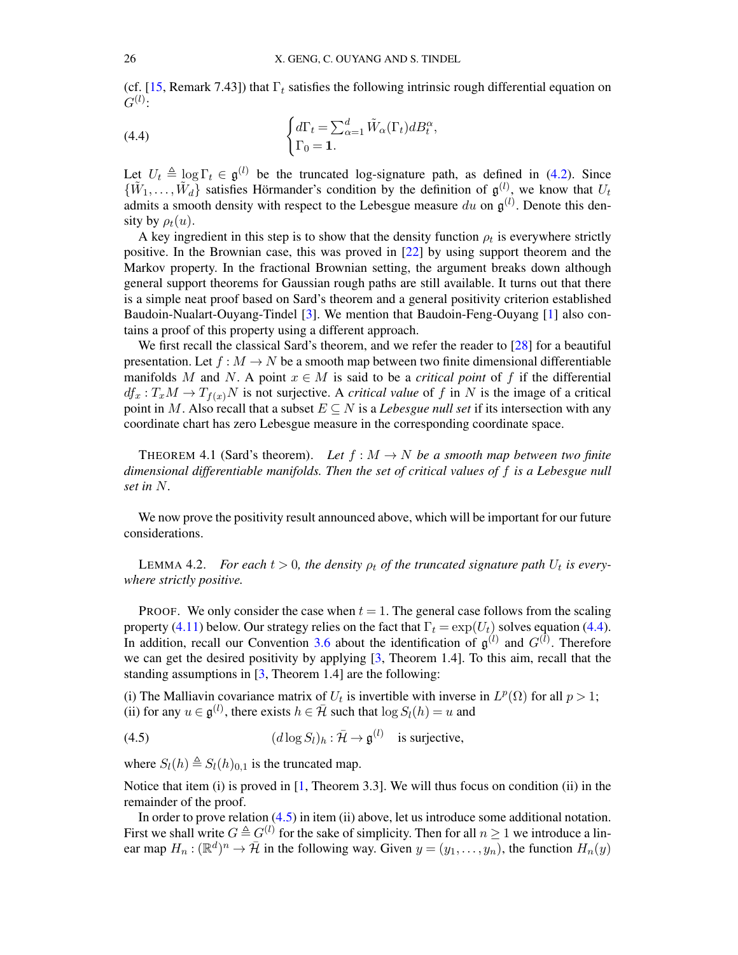(cf. [\[15,](#page-38-18) Remark 7.43]) that  $\Gamma_t$  satisfies the following intrinsic rough differential equation on  $G^{(l)}$ :

<span id="page-25-0"></span>(4.4) 
$$
\begin{cases} d\Gamma_t = \sum_{\alpha=1}^d \tilde{W}_\alpha(\Gamma_t) dB_t^\alpha, \\ \Gamma_0 = 1. \end{cases}
$$

Let  $U_t \triangleq \log \Gamma_t \in \mathfrak{g}^{(l)}$  be the truncated log-signature path, as defined in [\(4.2\)](#page-24-4). Since  $\{\tilde{W}_1,\ldots,\tilde{W}_d\}$  satisfies Hörmander's condition by the definition of  $\mathfrak{g}^{(l)}$ , we know that  $U_t$ admits a smooth density with respect to the Lebesgue measure  $du$  on  $\mathfrak{g}^{(l)}$ . Denote this density by  $\rho_t(u)$ .

A key ingredient in this step is to show that the density function  $\rho_t$  is everywhere strictly positive. In the Brownian case, this was proved in [\[22\]](#page-38-3) by using support theorem and the Markov property. In the fractional Brownian setting, the argument breaks down although general support theorems for Gaussian rough paths are still available. It turns out that there is a simple neat proof based on Sard's theorem and a general positivity criterion established Baudoin-Nualart-Ouyang-Tindel [\[3\]](#page-37-2). We mention that Baudoin-Feng-Ouyang [\[1\]](#page-37-4) also contains a proof of this property using a different approach.

We first recall the classical Sard's theorem, and we refer the reader to [\[28\]](#page-38-20) for a beautiful presentation. Let  $f : M \to N$  be a smooth map between two finite dimensional differentiable manifolds M and N. A point  $x \in M$  is said to be a *critical point* of f if the differential  $df_x: T_xM \to T_{f(x)}N$  is not surjective. A *critical value* of f in N is the image of a critical point in M. Also recall that a subset  $E \subseteq N$  is a *Lebesgue null set* if its intersection with any coordinate chart has zero Lebesgue measure in the corresponding coordinate space.

<span id="page-25-2"></span>THEOREM 4.1 (Sard's theorem). Let  $f : M \to N$  be a smooth map between two finite *dimensional differentiable manifolds. Then the set of critical values of* f *is a Lebesgue null set in* N*.*

We now prove the positivity result announced above, which will be important for our future considerations.

<span id="page-25-3"></span>LEMMA 4.2. *For each*  $t > 0$ , the density  $\rho_t$  of the truncated signature path  $U_t$  is every*where strictly positive.*

PROOF. We only consider the case when  $t = 1$ . The general case follows from the scaling property [\(4.11\)](#page-29-0) below. Our strategy relies on the fact that  $\Gamma_t = \exp(U_t)$  solves equation [\(4.4\)](#page-25-0). In addition, recall our Convention [3.6](#page-14-2) about the identification of  $\mathfrak{g}^{(l)}$  and  $G^{(l)}$ . Therefore we can get the desired positivity by applying [\[3,](#page-37-2) Theorem 1.4]. To this aim, recall that the standing assumptions in [\[3,](#page-37-2) Theorem 1.4] are the following:

(i) The Malliavin covariance matrix of  $U_t$  is invertible with inverse in  $L^p(\Omega)$  for all  $p > 1$ ; (ii) for any  $u \in \mathfrak{g}^{(l)}$ , there exists  $h \in \mathcal{H}$  such that  $\log S_l(h) = u$  and

<span id="page-25-1"></span>(4.5) 
$$
(d \log S_l)_h : \overline{\mathcal{H}} \to \mathfrak{g}^{(l)} \text{ is surjective,}
$$

where  $S_l(h) \triangleq S_l(h)_{0,1}$  is the truncated map.

Notice that item (i) is proved in  $[1,$  Theorem 3.3]. We will thus focus on condition (ii) in the remainder of the proof.

In order to prove relation [\(4.5\)](#page-25-1) in item (ii) above, let us introduce some additional notation. First we shall write  $G \triangleq G^{(l)}$  for the sake of simplicity. Then for all  $n \ge 1$  we introduce a linear map  $H_n : (\mathbb{R}^d)^n \to \overline{\mathcal{H}}$  in the following way. Given  $y = (y_1, \dots, y_n)$ , the function  $H_n(y)$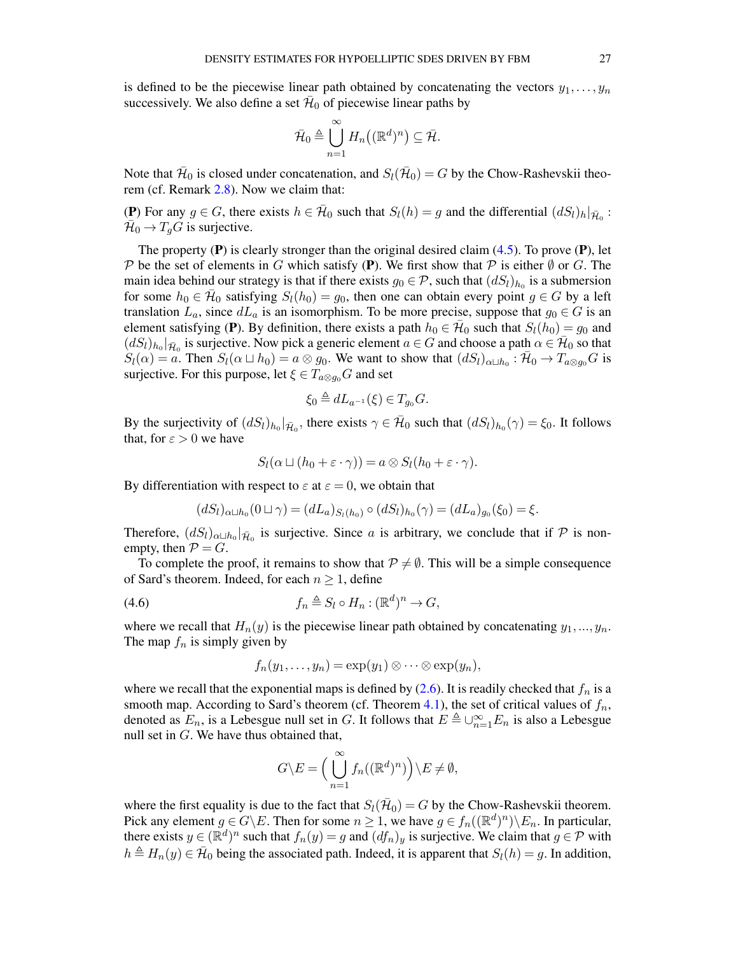is defined to be the piecewise linear path obtained by concatenating the vectors  $y_1, \ldots, y_n$ successively. We also define a set  $\bar{\mathcal{H}}_0$  of piecewise linear paths by

$$
\bar{\mathcal{H}}_0 \triangleq \bigcup_{n=1}^{\infty} H_n((\mathbb{R}^d)^n) \subseteq \bar{\mathcal{H}}.
$$

Note that  $\bar{\mathcal{H}}_0$  is closed under concatenation, and  $S_l(\bar{\mathcal{H}}_0) = G$  by the Chow-Rashevskii theorem (cf. Remark [2.8\)](#page-9-3). Now we claim that:

(P) For any  $g \in G$ , there exists  $h \in \bar{\mathcal{H}}_0$  such that  $S_l(h) = g$  and the differential  $(dS_l)_h|_{\bar{\mathcal{H}}_0}$ :  $\bar{\mathcal{H}}_0 \to T_g \dot{G}$  is surjective.

The property  $(P)$  is clearly stronger than the original desired claim  $(4.5)$ . To prove  $(P)$ , let P be the set of elements in G which satisfy (P). We first show that P is either  $\emptyset$  or G. The main idea behind our strategy is that if there exists  $g_0 \in \mathcal{P}$ , such that  $(dS_l)_{h_0}$  is a submersion for some  $h_0 \in \overline{\mathcal{H}}_0$  satisfying  $S_l(h_0) = g_0$ , then one can obtain every point  $g \in G$  by a left translation  $L_a$ , since  $dL_a$  is an isomorphism. To be more precise, suppose that  $g_0 \in G$  is an element satisfying (P). By definition, there exists a path  $h_0 \in \bar{\mathcal{H}}_0$  such that  $S_l(h_0) = g_0$  and  $(dS_l)_{h_0}|_{\bar{\mathcal{H}}_0}$  is surjective. Now pick a generic element  $a \in G$  and choose a path  $\alpha \in \bar{\mathcal{H}}_0$  so that  $S_l(\alpha) = a$ . Then  $S_l(\alpha \sqcup h_0) = a \otimes g_0$ . We want to show that  $(dS_l)_{\alpha \sqcup h_0} : \bar{\mathcal{H}}_0 \to T_{a \otimes g_0}G$  is surjective. For this purpose, let  $\xi \in T_{a \otimes g_0}G$  and set

$$
\xi_0 \stackrel{\Delta}{=} dL_{a^{-1}}(\xi) \in T_{g_0}G.
$$

By the surjectivity of  $(dS_l)_{h_0}|_{\bar{\mathcal{H}}_0}$ , there exists  $\gamma \in \bar{\mathcal{H}}_0$  such that  $(dS_l)_{h_0}(\gamma) = \xi_0$ . It follows that, for  $\varepsilon > 0$  we have

$$
S_l(\alpha \sqcup (h_0 + \varepsilon \cdot \gamma)) = a \otimes S_l(h_0 + \varepsilon \cdot \gamma).
$$

By differentiation with respect to  $\varepsilon$  at  $\varepsilon = 0$ , we obtain that

$$
(dS_l)_{\alpha \sqcup h_0}(0 \sqcup \gamma) = (dL_a)_{S_l(h_0)} \circ (dS_l)_{h_0}(\gamma) = (dL_a)_{g_0}(\xi_0) = \xi.
$$

Therefore,  $(dS_l)_{\alpha\sqcup h_0}|_{\bar{\mathcal{H}}_0}$  is surjective. Since a is arbitrary, we conclude that if  $\mathcal P$  is nonempty, then  $P = G$ .

To complete the proof, it remains to show that  $\mathcal{P} \neq \emptyset$ . This will be a simple consequence of Sard's theorem. Indeed, for each  $n \geq 1$ , define

$$
(4.6) \t\t f_n \triangleq S_l \circ H_n : (\mathbb{R}^d)^n \to G,
$$

where we recall that  $H_n(y)$  is the piecewise linear path obtained by concatenating  $y_1, ..., y_n$ . The map  $f_n$  is simply given by

$$
f_n(y_1,\ldots,y_n)=\exp(y_1)\otimes\cdots\otimes\exp(y_n),
$$

where we recall that the exponential maps is defined by  $(2.6)$ . It is readily checked that  $f_n$  is a smooth map. According to Sard's theorem (cf. Theorem [4.1\)](#page-25-2), the set of critical values of  $f_n$ , denoted as  $E_n$ , is a Lebesgue null set in G. It follows that  $E \triangleq \bigcup_{n=1}^{\infty} E_n$  is also a Lebesgue null set in G. We have thus obtained that,

$$
G \backslash E = \Big(\bigcup_{n=1}^{\infty} f_n((\mathbb{R}^d)^n)\Big) \backslash E \neq \emptyset,
$$

where the first equality is due to the fact that  $S_l(\bar{\mathcal{H}}_0) = G$  by the Chow-Rashevskii theorem. Pick any element  $g \in G \backslash E$ . Then for some  $n \geq 1$ , we have  $g \in f_n((\mathbb{R}^d)^n) \backslash E_n$ . In particular, there exists  $y \in (\mathbb{R}^d)^n$  such that  $f_n(y) = g$  and  $(df_n)_y$  is surjective. We claim that  $g \in \mathcal{P}$  with  $h \triangleq H_n(y) \in \bar{\mathcal{H}}_0$  being the associated path. Indeed, it is apparent that  $S_l(h) = g$ . In addition,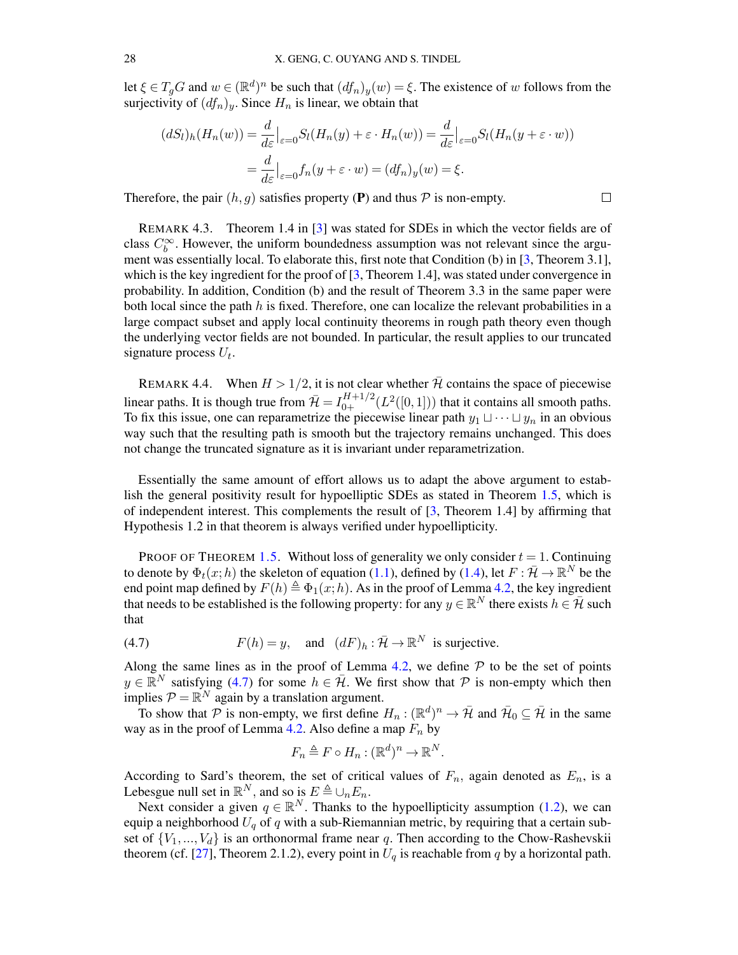let  $\xi \in T_g G$  and  $w \in (\mathbb{R}^d)^n$  be such that  $(df_n)_y(w) = \xi$ . The existence of w follows from the surjectivity of  $(df_n)_y$ . Since  $H_n$  is linear, we obtain that

$$
(dS_l)_h(H_n(w)) = \frac{d}{d\varepsilon}\Big|_{\varepsilon=0} S_l(H_n(y) + \varepsilon \cdot H_n(w)) = \frac{d}{d\varepsilon}\Big|_{\varepsilon=0} S_l(H_n(y + \varepsilon \cdot w))
$$

$$
= \frac{d}{d\varepsilon}\Big|_{\varepsilon=0} f_n(y + \varepsilon \cdot w) = (df_n)_y(w) = \xi.
$$

Therefore, the pair  $(h, g)$  satisfies property (P) and thus  $P$  is non-empty.

REMARK 4.3. Theorem 1.4 in [\[3\]](#page-37-2) was stated for SDEs in which the vector fields are of class  $C_b^{\infty}$ . However, the uniform boundedness assumption was not relevant since the argument was essentially local. To elaborate this, first note that Condition (b) in [\[3,](#page-37-2) Theorem 3.1], which is the key ingredient for the proof of  $[3,$  Theorem 1.4], was stated under convergence in probability. In addition, Condition (b) and the result of Theorem 3.3 in the same paper were both local since the path  $h$  is fixed. Therefore, one can localize the relevant probabilities in a large compact subset and apply local continuity theorems in rough path theory even though the underlying vector fields are not bounded. In particular, the result applies to our truncated signature process  $U_t$ .

REMARK 4.4. When  $H > 1/2$ , it is not clear whether  $\bar{\mathcal{H}}$  contains the space of piecewise linear paths. It is though true from  $\bar{\mathcal{H}} = I_{0+}^{H+1/2}(L^2([0,1]))$  that it contains all smooth paths. To fix this issue, one can reparametrize the piecewise linear path  $y_1 \sqcup \cdots \sqcup y_n$  in an obvious way such that the resulting path is smooth but the trajectory remains unchanged. This does not change the truncated signature as it is invariant under reparametrization.

Essentially the same amount of effort allows us to adapt the above argument to establish the general positivity result for hypoelliptic SDEs as stated in Theorem [1.5,](#page-3-2) which is of independent interest. This complements the result of [\[3,](#page-37-2) Theorem 1.4] by affirming that Hypothesis 1.2 in that theorem is always verified under hypoellipticity.

PROOF OF THEOREM [1.5.](#page-3-2) Without loss of generality we only consider  $t = 1$ . Continuing to denote by  $\Phi_t(x;h)$  the skeleton of equation [\(1.1\)](#page-1-1), defined by [\(1.4\)](#page-2-1), let  $F: \bar{\mathcal{H}} \to \mathbb{R}^N$  be the end point map defined by  $F(h) \triangleq \Phi_1(x;h)$ . As in the proof of Lemma [4.2,](#page-25-3) the key ingredient that needs to be established is the following property: for any  $y \in \mathbb{R}^N$  there exists  $h \in \bar{\mathcal{H}}$  such that

<span id="page-27-0"></span>(4.7) 
$$
F(h) = y, \text{ and } (dF)_h : \overline{\mathcal{H}} \to \mathbb{R}^N \text{ is surjective.}
$$

Along the same lines as in the proof of Lemma [4.2,](#page-25-3) we define  $P$  to be the set of points  $y \in \mathbb{R}^N$  satisfying [\(4.7\)](#page-27-0) for some  $h \in \bar{\mathcal{H}}$ . We first show that  $\mathcal P$  is non-empty which then implies  $P = \mathbb{R}^N$  again by a translation argument.

To show that P is non-empty, we first define  $H_n : (\mathbb{R}^d)^n \to \bar{\mathcal{H}}$  and  $\bar{\mathcal{H}}_0 \subseteq \bar{\mathcal{H}}$  in the same way as in the proof of Lemma [4.2.](#page-25-3) Also define a map  $F_n$  by

$$
F_n \triangleq F \circ H_n : (\mathbb{R}^d)^n \to \mathbb{R}^N.
$$

According to Sard's theorem, the set of critical values of  $F_n$ , again denoted as  $E_n$ , is a Lebesgue null set in  $\mathbb{R}^N$ , and so is  $E \triangleq \bigcup_n E_n$ .

Next consider a given  $q \in \mathbb{R}^N$ . Thanks to the hypoellipticity assumption [\(1.2\)](#page-1-2), we can equip a neighborhood  $U_q$  of q with a sub-Riemannian metric, by requiring that a certain subset of  $\{V_1, ..., V_d\}$  is an orthonormal frame near q. Then according to the Chow-Rashevskii theorem (cf. [\[27\]](#page-38-21), Theorem 2.1.2), every point in  $U_q$  is reachable from q by a horizontal path.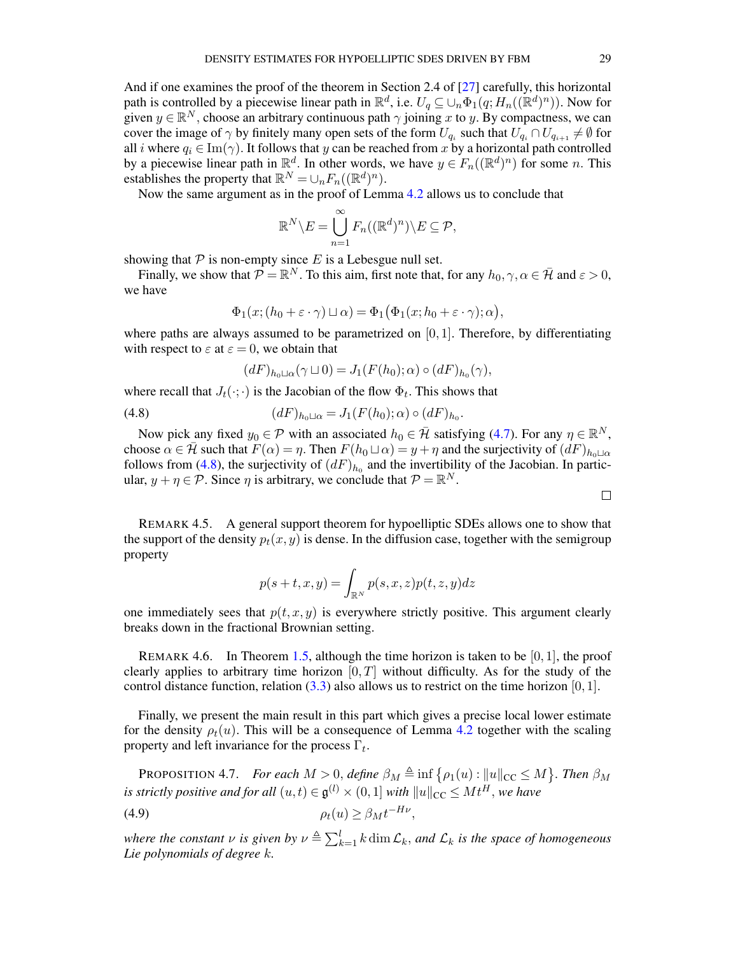And if one examines the proof of the theorem in Section 2.4 of [\[27\]](#page-38-21) carefully, this horizontal path is controlled by a piecewise linear path in  $\mathbb{R}^d$ , i.e.  $U_q \subseteq \cup_n \Phi_1(q; H_n((\mathbb{R}^d)^n))$ . Now for given  $y \in \mathbb{R}^N$ , choose an arbitrary continuous path  $\gamma$  joining x to y. By compactness, we can cover the image of  $\gamma$  by finitely many open sets of the form  $U_{q_i}$  such that  $U_{q_i} \cap U_{q_{i+1}} \neq \emptyset$  for all *i* where  $q_i \in \text{Im}(\gamma)$ . It follows that y can be reached from x by a horizontal path controlled by a piecewise linear path in  $\mathbb{R}^d$ . In other words, we have  $y \in F_n((\mathbb{R}^d)^n)$  for some n. This establishes the property that  $\mathbb{R}^N = \bigcup_n F_n((\mathbb{R}^d)^n)$ .

Now the same argument as in the proof of Lemma [4.2](#page-25-3) allows us to conclude that

$$
\mathbb{R}^N \backslash E = \bigcup_{n=1}^{\infty} F_n((\mathbb{R}^d)^n) \backslash E \subseteq \mathcal{P},
$$

showing that  $P$  is non-empty since E is a Lebesgue null set.

Finally, we show that  $\mathcal{P} = \mathbb{R}^N$ . To this aim, first note that, for any  $h_0, \gamma, \alpha \in \bar{\mathcal{H}}$  and  $\varepsilon > 0$ , we have

$$
\Phi_1(x; (h_0 + \varepsilon \cdot \gamma) \sqcup \alpha) = \Phi_1(\Phi_1(x; h_0 + \varepsilon \cdot \gamma); \alpha),
$$

where paths are always assumed to be parametrized on  $[0, 1]$ . Therefore, by differentiating with respect to  $\varepsilon$  at  $\varepsilon = 0$ , we obtain that

<span id="page-28-0"></span>
$$
(dF)_{h_0\sqcup\alpha}(\gamma\sqcup 0)=J_1(F(h_0);\alpha)\circ (dF)_{h_0}(\gamma),
$$

where recall that  $J_t(\cdot;\cdot)$  is the Jacobian of the flow  $\Phi_t$ . This shows that

(4.8) 
$$
(dF)_{h_0 \sqcup \alpha} = J_1(F(h_0); \alpha) \circ (dF)_{h_0}.
$$

Now pick any fixed  $y_0 \in \mathcal{P}$  with an associated  $h_0 \in \bar{\mathcal{H}}$  satisfying [\(4.7\)](#page-27-0). For any  $\eta \in \mathbb{R}^N$ , choose  $\alpha \in \mathcal{H}$  such that  $F(\alpha) = \eta$ . Then  $F(h_0 \sqcup \alpha) = y + \eta$  and the surjectivity of  $(dF)_{h_0 \sqcup \alpha}$ follows from [\(4.8\)](#page-28-0), the surjectivity of  $(dF)_{h_0}$  and the invertibility of the Jacobian. In particular,  $y + \eta \in \mathcal{P}$ . Since  $\eta$  is arbitrary, we conclude that  $\mathcal{P} = \mathbb{R}^N$ .

REMARK 4.5. A general support theorem for hypoelliptic SDEs allows one to show that the support of the density  $p_t(x, y)$  is dense. In the diffusion case, together with the semigroup property

$$
p(s+t,x,y) = \int_{\mathbb{R}^N} p(s,x,z)p(t,z,y)dz
$$

one immediately sees that  $p(t, x, y)$  is everywhere strictly positive. This argument clearly breaks down in the fractional Brownian setting.

REMARK 4.6. In Theorem [1.5,](#page-3-2) although the time horizon is taken to be  $[0, 1]$ , the proof clearly applies to arbitrary time horizon  $[0, T]$  without difficulty. As for the study of the control distance function, relation  $(3.3)$  also allows us to restrict on the time horizon  $[0, 1]$ .

Finally, we present the main result in this part which gives a precise local lower estimate for the density  $\rho_t(u)$ . This will be a consequence of Lemma [4.2](#page-25-3) together with the scaling property and left invariance for the process  $\Gamma_t$ .

<span id="page-28-2"></span><span id="page-28-1"></span>**PROPOSITION 4.7.** *For each*  $M > 0$ , *define*  $\beta_M \triangleq \inf \{ \rho_1(u) : ||u||_{CC} \leq M \}$ . *Then*  $\beta_M$ *is strictly positive and for all*  $(u,t) \in \mathfrak{g}^{(l)} \times (0,1]$  *with*  $\|u\|_{\text{CC}} \leq M t^H$ , we have (4.9)  $\rho_t(u) \geq \beta_M t^{-H\nu},$ 

where the constant  $\nu$  is given by  $\nu \triangleq \sum_{k=1}^{l} k \dim \mathcal{L}_k$ , and  $\mathcal{L}_k$  is the space of homogeneous *Lie polynomials of degree* k*.*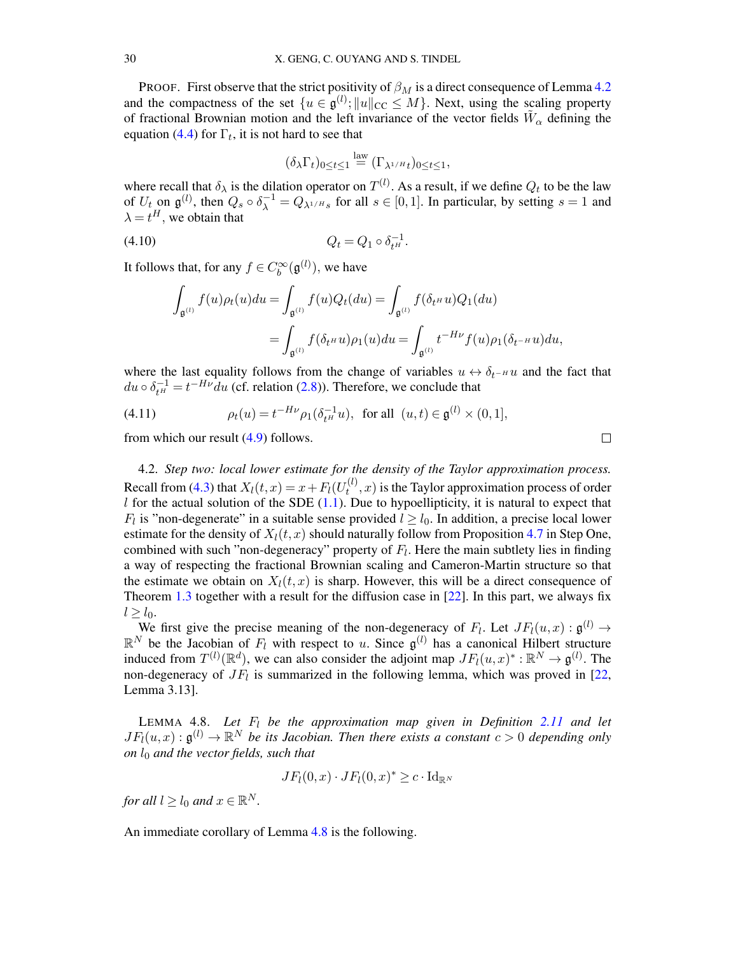PROOF. First observe that the strict positivity of  $\beta_M$  is a direct consequence of Lemma [4.2](#page-25-3) and the compactness of the set  $\{u \in \mathfrak{g}^{(l)}; ||u||_{\text{CC}} \leq M\}$ . Next, using the scaling property of fractional Brownian motion and the left invariance of the vector fields  $\tilde{W}_{\alpha}$  defining the equation [\(4.4\)](#page-25-0) for  $\Gamma_t$ , it is not hard to see that

$$
(\delta_{\lambda}\Gamma_t)_{0\leq t\leq 1}\stackrel{\text{law}}{=}(\Gamma_{\lambda^{1/H}t})_{0\leq t\leq 1},
$$

where recall that  $\delta_{\lambda}$  is the dilation operator on  $T^{(l)}$ . As a result, if we define  $Q_t$  to be the law of  $U_t$  on  $\mathfrak{g}^{(l)}$ , then  $Q_s \circ \delta_{\lambda}^{-1} = Q_{\lambda^{1/H} s}$  for all  $s \in [0,1]$ . In particular, by setting  $s = 1$  and  $\lambda = t^H$ , we obtain that

(4.10) 
$$
Q_t = Q_1 \circ \delta_{t^H}^{-1}.
$$

It follows that, for any  $f \in C_b^{\infty}(\mathfrak{g}^{(l)})$ , we have

$$
\int_{\mathfrak{g}^{(l)}} f(u)\rho_t(u)du = \int_{\mathfrak{g}^{(l)}} f(u)Q_t(du) = \int_{\mathfrak{g}^{(l)}} f(\delta_t \circ u)Q_1(du)
$$

$$
= \int_{\mathfrak{g}^{(l)}} f(\delta_t \circ u)\rho_1(u)du = \int_{\mathfrak{g}^{(l)}} t^{-H\nu} f(u)\rho_1(\delta_{t} \circ u)du,
$$

where the last equality follows from the change of variables  $u \leftrightarrow \delta_{t-H} u$  and the fact that  $du \circ \delta_{t^H}^{-1} = t^{-H\nu} du$  (cf. relation [\(2.8\)](#page-8-3)). Therefore, we conclude that

<span id="page-29-0"></span>(4.11) 
$$
\rho_t(u) = t^{-H\nu} \rho_1(\delta_{t^H}^{-1} u), \text{ for all } (u, t) \in \mathfrak{g}^{(l)} \times (0, 1],
$$

from which our result [\(4.9\)](#page-28-1) follows.

4.2. *Step two: local lower estimate for the density of the Taylor approximation process.* Recall from [\(4.3\)](#page-24-2) that  $X_l(t, x) = x + F_l(U_t^{(l)})$  $t^{(t)}(t)$ ,  $x$ ) is the Taylor approximation process of order l for the actual solution of the SDE  $(1.1)$ . Due to hypoellipticity, it is natural to expect that  $F_l$  is "non-degenerate" in a suitable sense provided  $l \geq l_0$ . In addition, a precise local lower estimate for the density of  $X_l(t, x)$  should naturally follow from Proposition [4.7](#page-28-2) in Step One, combined with such "non-degeneracy" property of  $F_l$ . Here the main subtlety lies in finding a way of respecting the fractional Brownian scaling and Cameron-Martin structure so that the estimate we obtain on  $X_l(t, x)$  is sharp. However, this will be a direct consequence of Theorem [1.3](#page-3-0) together with a result for the diffusion case in [\[22\]](#page-38-3). In this part, we always fix  $l \geq l_0$ .

We first give the precise meaning of the non-degeneracy of  $F_l$ . Let  $JF_l(u,x) : \mathfrak{g}^{(l)} \to$  $\mathbb{R}^N$  be the Jacobian of  $F_l$  with respect to u. Since  $\mathfrak{g}^{(l)}$  has a canonical Hilbert structure induced from  $T^{(l)}(\mathbb{R}^d)$ , we can also consider the adjoint map  $JF_l(u, x)^* : \mathbb{R}^N \to \mathfrak{g}^{(l)}$ . The non-degeneracy of  $JF_l$  is summarized in the following lemma, which was proved in [\[22,](#page-38-3) Lemma 3.13].

<span id="page-29-1"></span>LEMMA 4.8. Let  $F_l$  be the approximation map given in Definition [2.11](#page-10-1) and let  $JF_l(u, x) : \mathfrak{g}^{(l)} \to \mathbb{R}^N$  be its Jacobian. Then there exists a constant  $c > 0$  depending only *on*  $l_0$  *and the vector fields, such that* 

$$
JF_l(0,x) \cdot JF_l(0,x)^* \geq c \cdot \mathrm{Id}_{\mathbb{R}^N}
$$

*for all*  $l \geq l_0$  *and*  $x \in \mathbb{R}^N$ *.* 

An immediate corollary of Lemma [4.8](#page-29-1) is the following.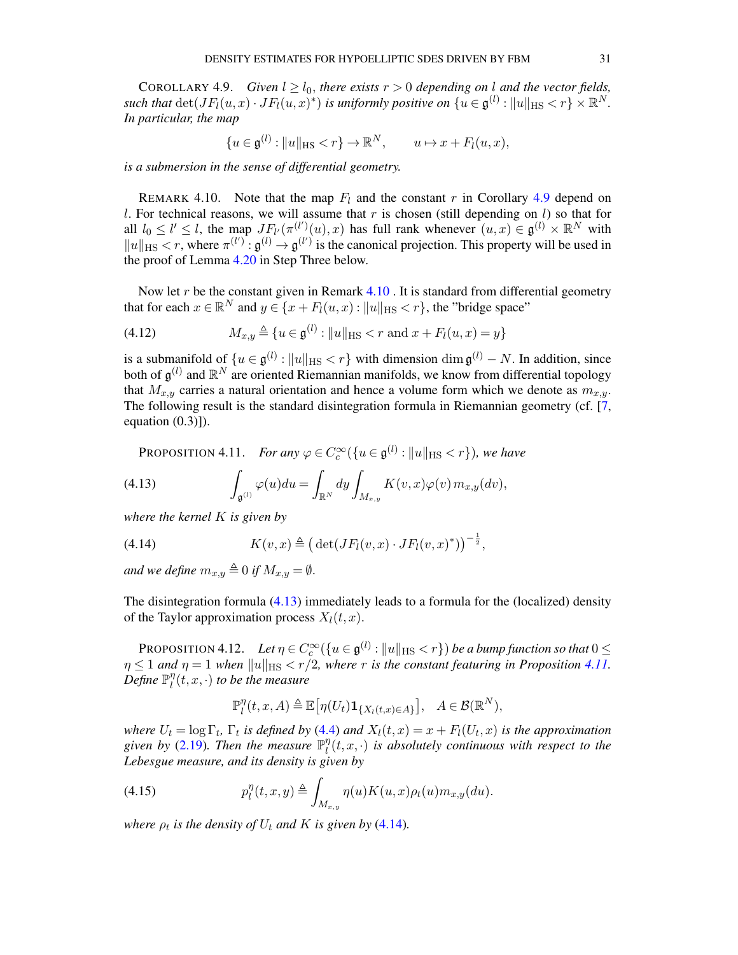<span id="page-30-0"></span>COROLLARY 4.9. *Given*  $l > l_0$ , *there exists*  $r > 0$  *depending on* l *and the vector fields*, *such that*  $\det(JF_l(u,x)\cdot JF_l(u,x)^*)$  *is uniformly positive on*  $\{u\in\mathfrak{g}^{(l)}:\|u\|_{\text{HS}}< r\}\times\mathbb{R}^N$ . *In particular, the map*

$$
\{u \in \mathfrak{g}^{(l)} : ||u||_{\text{HS}} < r\} \to \mathbb{R}^N, \qquad u \mapsto x + F_l(u, x),
$$

*is a submersion in the sense of differential geometry.*

<span id="page-30-1"></span>REMARK 4.10. Note that the map  $F_l$  and the constant r in Corollary [4.9](#page-30-0) depend on l. For technical reasons, we will assume that r is chosen (still depending on l) so that for all  $l_0 \leq l' \leq l$ , the map  $JF_{l'}(\pi^{(l')}(u),x)$  has full rank whenever  $(u,x) \in \mathfrak{g}^{(l)} \times \mathbb{R}^N$  with  $||u||_{\text{HS}} < r$ , where  $\pi^{(l')} : \mathfrak{g}^{(l)} \to \mathfrak{g}^{(l')}$  is the canonical projection. This property will be used in the proof of Lemma [4.20](#page-35-0) in Step Three below.

Now let  $r$  be the constant given in Remark  $4.10$ . It is standard from differential geometry that for each  $x \in \mathbb{R}^N$  and  $y \in \{x + F_l(u, x) : ||u||_{\text{HS}} < r\}$ , the "bridge space"

<span id="page-30-6"></span>(4.12) 
$$
M_{x,y} \triangleq \{u \in \mathfrak{g}^{(l)} : ||u||_{\text{HS}} < r \text{ and } x + F_l(u,x) = y\}
$$

is a submanifold of  $\{u \in \mathfrak{g}^{(l)} : ||u||_{\text{HS}} < r\}$  with dimension  $\dim \mathfrak{g}^{(l)} - N$ . In addition, since both of  $\mathfrak{g}^{(l)}$  and  $\mathbb{R}^N$  are oriented Riemannian manifolds, we know from differential topology that  $M_{x,y}$  carries a natural orientation and hence a volume form which we denote as  $m_{x,y}$ . The following result is the standard disintegration formula in Riemannian geometry (cf. [\[7,](#page-37-6) equation  $(0.3)$ ]).

<span id="page-30-3"></span><span id="page-30-2"></span>**PROPOSITION 4.11.** For any 
$$
\varphi \in C_c^{\infty}(\{u \in \mathfrak{g}^{(l)} : ||u||_{\text{HS}} < r\})
$$
, we have

(4.13) 
$$
\int_{\mathfrak{g}^{(l)}} \varphi(u) du = \int_{\mathbb{R}^N} dy \int_{M_{x,y}} K(v,x) \varphi(v) m_{x,y}(dv),
$$

*where the kernel* K *is given by*

<span id="page-30-4"></span>(4.14) 
$$
K(v,x) \triangleq (\det(JF_l(v,x) \cdot JF_l(v,x)^*))^{-\frac{1}{2}},
$$

*and we define*  $m_{x,y} \triangleq 0$  *if*  $M_{x,y} = \emptyset$ .

The disintegration formula [\(4.13\)](#page-30-2) immediately leads to a formula for the (localized) density of the Taylor approximation process  $X_l(t, x)$ .

PROPOSITION 4.12. *Let*  $\eta \in C_c^{\infty}(\{u \in \mathfrak{g}^{(l)} : ||u||_{\text{HS}} < r\})$  *be a bump function so that*  $0 \leq$  $\eta \leq 1$  *and*  $\eta = 1$  *when*  $||u||_{\text{HS}} < r/2$ *, where* r *is the constant featuring in Proposition [4.11.](#page-30-3)*  $\stackrel{\cdot}{D}$ *efine*  $\mathbb{P}^\eta_l$  $\int_l^{\eta}(t,x,\cdot)$  to be the measure

<span id="page-30-5"></span>
$$
\mathbb{P}_l^{\eta}(t,x,A) \triangleq \mathbb{E}\big[\eta(U_t)\mathbf{1}_{\{X_l(t,x)\in A\}}\big], \quad A \in \mathcal{B}(\mathbb{R}^N),
$$

*where*  $U_t = \log \Gamma_t$ ,  $\Gamma_t$  *is defined by* [\(4.4\)](#page-25-0) *and*  $X_l(t,x) = x + F_l(U_t, x)$  *is the approximation* given by [\(2.19\)](#page-10-4). Then the measure  $\mathbb{P}^{\eta}_l$  $\int_l^\eta (t,x, \cdot)$  *is absolutely continuous with respect to the Lebesgue measure, and its density is given by*

(4.15) 
$$
p_l^{\eta}(t,x,y) \triangleq \int_{M_{x,y}} \eta(u)K(u,x)\rho_t(u)m_{x,y}(du).
$$

*where*  $\rho_t$  *is the density of*  $U_t$  *and*  $K$  *is given by* [\(4.14\)](#page-30-4)*.*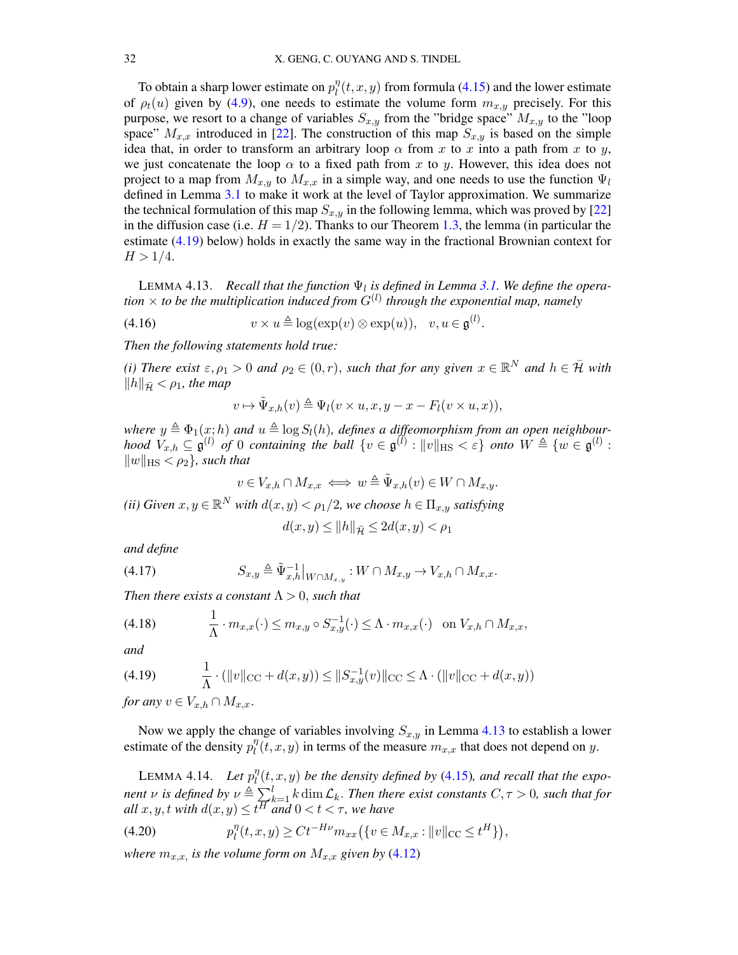To obtain a sharp lower estimate on  $p_l^{\eta}$  $\int_l^{\eta}(t, x, y)$  from formula [\(4.15\)](#page-30-5) and the lower estimate of  $\rho_t(u)$  given by [\(4.9\)](#page-28-1), one needs to estimate the volume form  $m_{x,y}$  precisely. For this purpose, we resort to a change of variables  $S_{x,y}$  from the "bridge space"  $M_{x,y}$  to the "loop space"  $M_{x,x}$  introduced in [\[22\]](#page-38-3). The construction of this map  $S_{x,y}$  is based on the simple idea that, in order to transform an arbitrary loop  $\alpha$  from x to x into a path from x to y, we just concatenate the loop  $\alpha$  to a fixed path from x to y. However, this idea does not project to a map from  $M_{x,y}$  to  $M_{x,x}$  in a simple way, and one needs to use the function  $\Psi_l$ defined in Lemma [3.1](#page-11-2) to make it work at the level of Taylor approximation. We summarize the technical formulation of this map  $S_{x,y}$  in the following lemma, which was proved by [\[22\]](#page-38-3) in the diffusion case (i.e.  $H = 1/2$ ). Thanks to our Theorem [1.3,](#page-3-0) the lemma (in particular the estimate [\(4.19\)](#page-31-0) below) holds in exactly the same way in the fractional Brownian context for  $H > 1/4$ .

<span id="page-31-1"></span>LEMMA 4.13. *Recall that the function*  $\Psi_l$  *is defined in Lemma [3.1.](#page-11-2)* We define the operation  $\times$  to be the multiplication induced from  $G^{(l)}$  through the exponential map, namely

(4.16) 
$$
v \times u \triangleq \log(\exp(v) \otimes \exp(u)), \quad v, u \in \mathfrak{g}^{(l)}.
$$

*Then the following statements hold true:*

*(i)* There exist  $\varepsilon, \rho_1 > 0$  and  $\rho_2 \in (0, r)$ , such that for any given  $x \in \mathbb{R}^N$  and  $h \in \overline{\mathcal{H}}$  with  $||h||_{\bar{\mathcal{H}}} < \rho_1$ , the map

$$
v \mapsto \tilde{\Psi}_{x,h}(v) \triangleq \Psi_l(v \times u, x, y - x - F_l(v \times u, x)),
$$

*where*  $y \triangleq \Phi_1(x;h)$  and  $u \triangleq \log S_l(h)$ , defines a diffeomorphism from an open neighbour*hood*  $V_{x,h} \subseteq \mathfrak{g}^{(l)}$  *of* 0 *containing the ball*  $\{v \in \mathfrak{g}^{(l)} : ||v||_{\text{HS}} < \varepsilon\}$  *onto*  $W \triangleq \{w \in \mathfrak{g}^{(l)} :$  $||w||_{\text{HS}} < \rho_2$ *, such that* 

$$
v\in V_{x,h}\cap M_{x,x}\iff w\triangleq \tilde{\Psi}_{x,h}(v)\in W\cap M_{x,y}.
$$

*(ii)* Given  $x, y \in \mathbb{R}^N$  with  $d(x, y) < \rho_1/2$ , we choose  $h \in \Pi_{x,y}$  satisfying

$$
d(x, y) \le ||h||_{\bar{\mathcal{H}}} \le 2d(x, y) < \rho_1
$$

<span id="page-31-2"></span>*and define*

$$
(4.17) \tS_{x,y} \triangleq \tilde{\Psi}_{x,h}^{-1}|_{W \cap M_{x,y}} : W \cap M_{x,y} \to V_{x,h} \cap M_{x,x}.
$$

*Then there exists a constant*  $\Lambda > 0$ *, such that* 

<span id="page-31-3"></span>
$$
(4.18) \qquad \frac{1}{\Lambda} \cdot m_{x,x}(\cdot) \leq m_{x,y} \circ S_{x,y}^{-1}(\cdot) \leq \Lambda \cdot m_{x,x}(\cdot) \quad \text{on } V_{x,h} \cap M_{x,x},
$$

*and*

<span id="page-31-0"></span>(4.19) 
$$
\frac{1}{\Lambda} \cdot (\|v\|_{\text{CC}} + d(x, y)) \le \|S_{x,y}^{-1}(v)\|_{\text{CC}} \le \Lambda \cdot (\|v\|_{\text{CC}} + d(x, y))
$$

*for any*  $v \in V_{x,h} \cap M_{x,x}$ .

Now we apply the change of variables involving  $S_{x,y}$  in Lemma [4.13](#page-31-1) to establish a lower estimate of the density  $p_l^{\eta}$  $\int_l^{\eta}(t, x, y)$  in terms of the measure  $m_{x,x}$  that does not depend on y.

<span id="page-31-4"></span>LEMMA 4.14. *Let*  $p_l^{\eta}$  $\int_l^\eta (t,x,y)$  be the density defined by [\(4.15\)](#page-30-5), and recall that the expo*nent*  $\nu$  *is defined by*  $\nu \triangleq \sum_{k=1}^{l} k \dim \mathcal{L}_k$ . *Then there exist constants*  $C, \tau > 0$ *, such that for all*  $x, y, t$  *with*  $d(x, y) \le t^{\overline{H}}$  *and*  $0 < t < \tau$ *, we have* 

(4.20) 
$$
p_l^{\eta}(t, x, y) \geq Ct^{-H\nu} m_{xx}(\{v \in M_{x,x} : ||v||_{CC} \leq t^H\}),
$$

*where*  $m_{x,x}$  *is the volume form on*  $M_{x,x}$  *given by* [\(4.12\)](#page-30-6)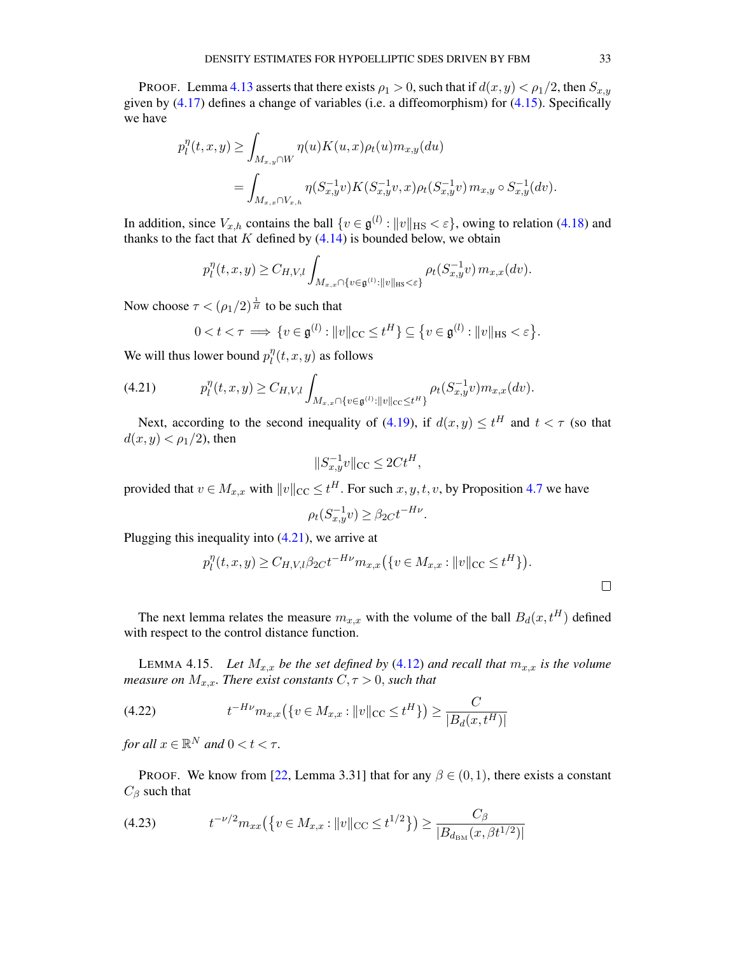PROOF. Lemma [4.13](#page-31-1) asserts that there exists  $\rho_1 > 0$ , such that if  $d(x, y) < \rho_1/2$ , then  $S_{x,y}$ given by [\(4.17\)](#page-31-2) defines a change of variables (i.e. a diffeomorphism) for [\(4.15\)](#page-30-5). Specifically we have

$$
p_l^{\eta}(t, x, y) \ge \int_{M_{x,y} \cap W} \eta(u) K(u, x) \rho_t(u) m_{x,y}(du)
$$
  
= 
$$
\int_{M_{x,x} \cap V_{x,h}} \eta(S_{x,y}^{-1}v) K(S_{x,y}^{-1}v, x) \rho_t(S_{x,y}^{-1}v) m_{x,y} \circ S_{x,y}^{-1}(dv).
$$

In addition, since  $V_{x,h}$  contains the ball  $\{v \in \mathfrak{g}^{(l)} : ||v||_{\text{HS}} < \varepsilon\}$ , owing to relation [\(4.18\)](#page-31-3) and thanks to the fact that  $K$  defined by  $(4.14)$  is bounded below, we obtain

$$
p_l^{\eta}(t,x,y) \geq C_{H,V,l} \int_{M_{x,x} \cap \{v \in \mathfrak{g}^{(l)} : ||v||_{\text{HS}} < \varepsilon\}} \rho_t(S_{x,y}^{-1}v) \, m_{x,x}(dv).
$$

Now choose  $\tau < (\rho_1/2)^{\frac{1}{H}}$  to be such that

$$
0 < t < \tau \implies \{v \in \mathfrak{g}^{(l)} : ||v||_{\text{CC}} \le t^H\} \subseteq \{v \in \mathfrak{g}^{(l)} : ||v||_{\text{HS}} < \varepsilon\}.
$$

We will thus lower bound  $p_l^{\eta}$  $\int_l^{\eta}(t,x,y)$  as follows

<span id="page-32-1"></span>
$$
(4.21) \t\t p_l^{\eta}(t,x,y) \geq C_{H,V,l} \int_{M_{x,x} \cap \{v \in \mathfrak{g}^{(l)} : ||v||_{\text{CC}} \leq t^H\}} \rho_t(S_{x,y}^{-1}v) m_{x,x}(dv).
$$

Next, according to the second inequality of [\(4.19\)](#page-31-0), if  $d(x, y) \le t^H$  and  $t < \tau$  (so that  $d(x, y) < \rho_1/2$ , then

$$
||S_{x,y}^{-1}v||_{\text{CC}} \le 2Ct^H,
$$

provided that  $v \in M_{x,x}$  with  $||v||_{CC} \le t^H$ . For such  $x, y, t, v$ , by Proposition [4.7](#page-28-2) we have

$$
\rho_t(S_{x,y}^{-1}v) \ge \beta_{2C} t^{-H\nu}
$$

Plugging this inequality into [\(4.21\)](#page-32-1), we arrive at

$$
p_l^{\eta}(t, x, y) \ge C_{H, V, l} \beta_{2C} t^{-H\nu} m_{x, x} (\{v \in M_{x, x} : ||v||_{CC} \le t^H \}).
$$

.

The next lemma relates the measure  $m_{x,x}$  with the volume of the ball  $B_d(x, t^H)$  defined with respect to the control distance function.

<span id="page-32-0"></span>LEMMA 4.15. Let  $M_{x,x}$  be the set defined by [\(4.12\)](#page-30-6) and recall that  $m_{x,x}$  is the volume *measure on*  $M_{x,x}$ *. There exist constants*  $C, \tau > 0$ *, such that* 

<span id="page-32-3"></span>(4.22) 
$$
t^{-H\nu} m_{x,x} (\{ v \in M_{x,x} : ||v||_{CC} \le t^H \}) \ge \frac{C}{|B_d(x, t^H)|}
$$

*for all*  $x \in \mathbb{R}^N$  *and*  $0 < t < \tau$ *.* 

PROOF. We know from [\[22,](#page-38-3) Lemma 3.31] that for any  $\beta \in (0,1)$ , there exists a constant  $C_\beta$  such that

<span id="page-32-2"></span>
$$
(4.23) \t t^{-\nu/2} m_{xx} \left( \left\{ v \in M_{x,x} : ||v||_{CC} \le t^{1/2} \right\} \right) \ge \frac{C_{\beta}}{|B_{d_{\text{BM}}}(x, \beta t^{1/2})|}
$$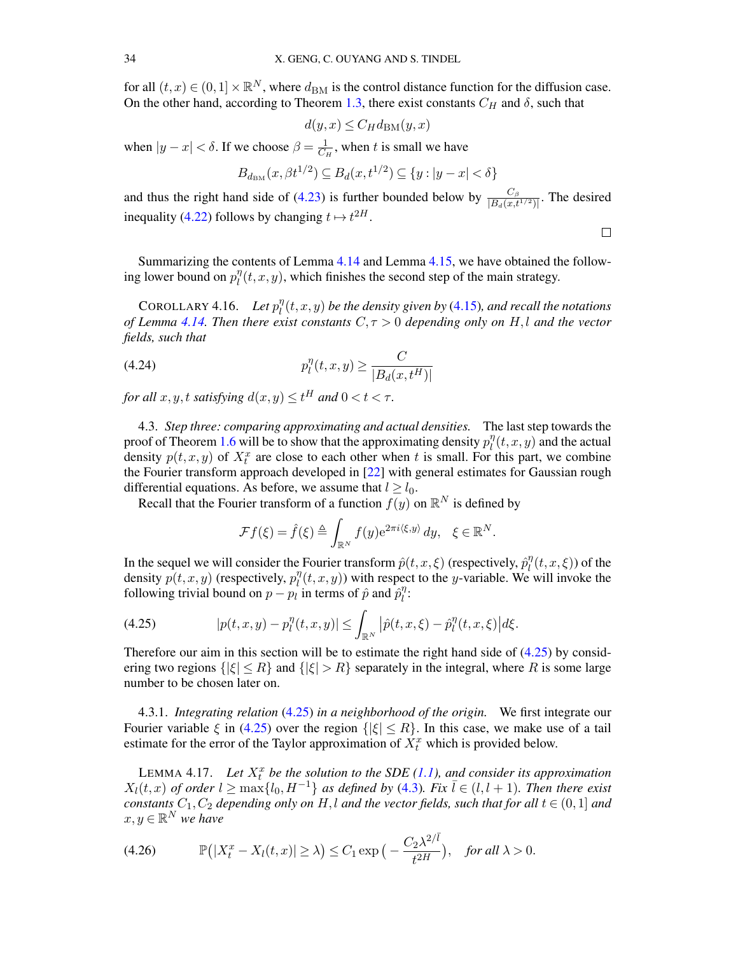for all  $(t, x) \in (0, 1] \times \mathbb{R}^N$ , where  $d_{BM}$  is the control distance function for the diffusion case. On the other hand, according to Theorem [1.3,](#page-3-0) there exist constants  $C_H$  and  $\delta$ , such that

$$
d(y, x) \le C_H d_{\text{BM}}(y, x)
$$

when  $|y-x| < \delta$ . If we choose  $\beta = \frac{1}{C_0}$  $\frac{1}{C_H}$ , when t is small we have

$$
B_{d_{\text{BM}}}(x, \beta t^{1/2}) \subseteq B_d(x, t^{1/2}) \subseteq \{y : |y - x| < \delta\}
$$

and thus the right hand side of [\(4.23\)](#page-32-2) is further bounded below by  $\frac{C_{\beta}}{|B_d(x,t^{1/2})|}$ . The desired inequality [\(4.22\)](#page-32-3) follows by changing  $t \mapsto t^{2H}$ .

 $\Box$ 

Summarizing the contents of Lemma [4.14](#page-31-4) and Lemma [4.15,](#page-32-0) we have obtained the following lower bound on  $p_l^{\eta}$  $\int_l^{\eta}(t, x, y)$ , which finishes the second step of the main strategy.

COROLLARY 4.16. Let  $p_l^{\eta}$  $\int_l^\eta (t,x,y)$  be the density given by [\(4.15\)](#page-30-5), and recall the notations *of Lemma* [4.14.](#page-31-4) Then there exist constants  $C, \tau > 0$  depending only on H,l and the vector *fields, such that*

(4.24) 
$$
p_l^{\eta}(t, x, y) \ge \frac{C}{|B_d(x, t^H)|}
$$

*for all*  $x, y, t$  *satisfying*  $d(x, y) \le t^H$  *and*  $0 < t < \tau$ *.* 

4.3. *Step three: comparing approximating and actual densities.* The last step towards the proof of Theorem [1.6](#page-3-1) will be to show that the approximating density  $p_l^n$  $\int_l^{\eta}(t,x,y)$  and the actual density  $p(t, x, y)$  of  $X_t^x$  are close to each other when t is small. For this part, we combine the Fourier transform approach developed in [\[22\]](#page-38-3) with general estimates for Gaussian rough differential equations. As before, we assume that  $l \geq l_0$ .

Recall that the Fourier transform of a function  $f(y)$  on  $\mathbb{R}^N$  is defined by

<span id="page-33-3"></span>
$$
\mathcal{F}f(\xi) = \hat{f}(\xi) \triangleq \int_{\mathbb{R}^N} f(y) e^{2\pi i \langle \xi, y \rangle} dy, \quad \xi \in \mathbb{R}^N.
$$

In the sequel we will consider the Fourier transform  $\hat{p}(t, x, \xi)$  (respectively,  $\hat{p}_l^{\eta}$  $\int_l^{\eta}(t,x,\xi)$ ) of the density  $p(t, x, y)$  (respectively,  $p_t^{\eta}$  $\int_l^{\eta}(t, x, y)$  with respect to the y-variable. We will invoke the following trivial bound on  $p - p_l$  in terms of  $\hat{p}$  and  $\hat{p}_l^{\eta}$  $\frac{\eta}{l}$ :

<span id="page-33-0"></span>(4.25) 
$$
|p(t,x,y)-p_l^{\eta}(t,x,y)| \leq \int_{\mathbb{R}^N} |\hat{p}(t,x,\xi)-\hat{p}_l^{\eta}(t,x,\xi)| d\xi.
$$

Therefore our aim in this section will be to estimate the right hand side of  $(4.25)$  by considering two regions  $\{|\xi| \leq R\}$  and  $\{|\xi| > R\}$  separately in the integral, where R is some large number to be chosen later on.

4.3.1. *Integrating relation* [\(4.25\)](#page-33-0) *in a neighborhood of the origin.* We first integrate our Fourier variable  $\xi$  in [\(4.25\)](#page-33-0) over the region  $\{|\xi| \leq R\}$ . In this case, we make use of a tail estimate for the error of the Taylor approximation of  $X_t^x$  which is provided below.

<span id="page-33-2"></span>LEMMA 4.17. Let  $X_t^x$  be the solution to the SDE  $(1.1)$ , and consider its approximation  $X_l(t, x)$  *of order*  $l \ge \max\{l_0, H^{-1}\}\$  *as defined by* [\(4.3\)](#page-24-2)*. Fix*  $l \in (l, l + 1)$ *. Then there exist constants*  $C_1$ ,  $C_2$  *depending only on*  $H$ , *l and the vector fields, such that for all*  $t \in (0,1]$  *and*  $x, y \in \mathbb{R}^N$  we have

<span id="page-33-1"></span>(4.26) 
$$
\mathbb{P}\big(|X_t^x - X_l(t,x)| \geq \lambda\big) \leq C_1 \exp\big(-\frac{C_2\lambda^{2/\overline{l}}}{t^{2H}}\big), \text{ for all } \lambda > 0.
$$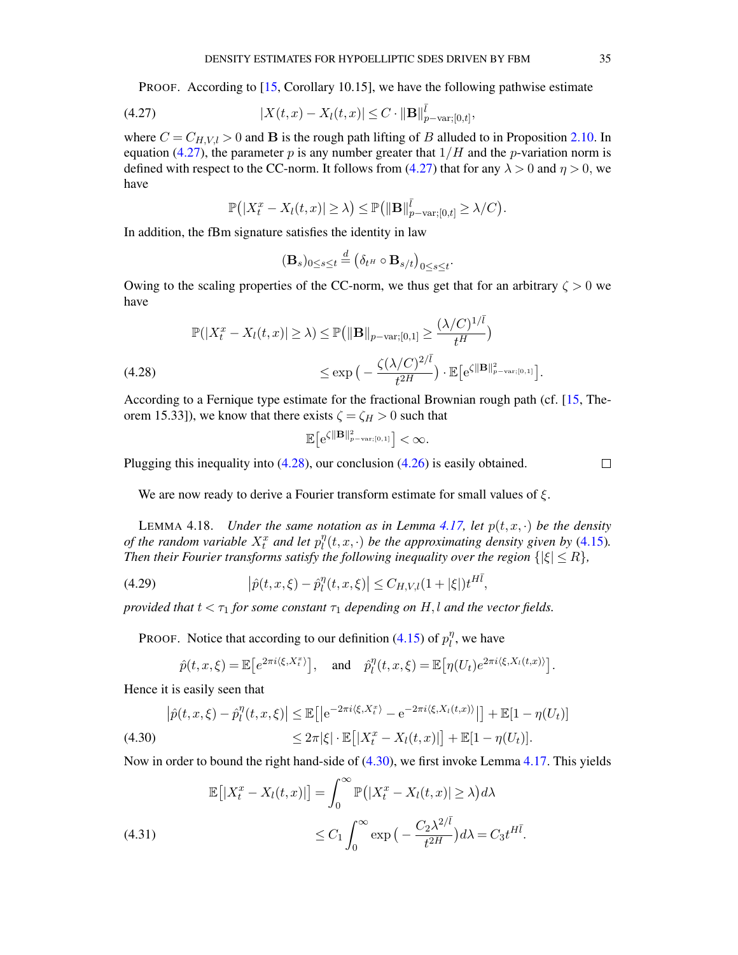PROOF. According to [\[15,](#page-38-18) Corollary 10.15], we have the following pathwise estimate

<span id="page-34-0"></span>(4.27) 
$$
|X(t,x) - X_l(t,x)| \leq C \cdot ||\mathbf{B}||_{p-\text{var};[0,t]}^{\bar{l}},
$$

where  $C = C_{H,V,l} > 0$  and **B** is the rough path lifting of B alluded to in Proposition [2.10.](#page-9-1) In equation [\(4.27\)](#page-34-0), the parameter p is any number greater that  $1/H$  and the p-variation norm is defined with respect to the CC-norm. It follows from [\(4.27\)](#page-34-0) that for any  $\lambda > 0$  and  $\eta > 0$ , we have

$$
\mathbb{P}\big(|X_t^x - X_l(t,x)| \geq \lambda\big) \leq \mathbb{P}\big(\|\mathbf{B}\|_{p-\text{var};[0,t]}^{\overline{l}} \geq \lambda/C\big).
$$

In addition, the fBm signature satisfies the identity in law

$$
(\mathbf{B}_s)_{0\leq s\leq t} \stackrel{d}{=} \left(\delta_{t^H}\circ \mathbf{B}_{s/t}\right)_{0\leq s\leq t}.
$$

Owing to the scaling properties of the CC-norm, we thus get that for an arbitrary  $\zeta > 0$  we have

<span id="page-34-1"></span>
$$
\mathbb{P}(|X_t^x - X_l(t,x)| \ge \lambda) \le \mathbb{P}\left(\|\mathbf{B}\|_{p-\text{var};[0,1]}\ge \frac{(\lambda/C)^{1/\bar{l}}}{t^H}\right)
$$
  
(4.28)  

$$
\le \exp\left(-\frac{\zeta(\lambda/C)^{2/\bar{l}}}{t^{2H}}\right) \cdot \mathbb{E}\left[e^{\zeta\|\mathbf{B}\|_{p-\text{var};[0,1]}^2}\right].
$$

According to a Fernique type estimate for the fractional Brownian rough path (cf. [\[15,](#page-38-18) Theorem 15.33]), we know that there exists  $\zeta = \zeta_H > 0$  such that

$$
\mathbb{E}\big[e^{\zeta\|\mathbf{B}\|_{p-\text{var};[0,1]}^2}\big]<\infty.
$$

Plugging this inequality into [\(4.28\)](#page-34-1), our conclusion [\(4.26\)](#page-33-1) is easily obtained.

 $\Box$ 

We are now ready to derive a Fourier transform estimate for small values of  $\xi$ .

<span id="page-34-5"></span>LEMMA 4.18. *Under the same notation as in Lemma [4.17,](#page-33-2)* let  $p(t, x, \cdot)$  be the density of the random variable  $X_t^x$  and let  $p_l^{\eta}$  $\int_l^\eta (t,x,\cdot)$  *be the approximating density given by* [\(4.15\)](#page-30-5). *Then their Fourier transforms satisfy the following inequality over the region*  $\{|\xi| \leq R\}$ *,* 

<span id="page-34-4"></span>(4.29) 
$$
\left|\hat{p}(t,x,\xi) - \hat{p}_l^{\eta}(t,x,\xi)\right| \leq C_{H,V,l}(1+|\xi|)t^{H\bar{l}},
$$

*provided that*  $t < \tau_1$  *for some constant*  $\tau_1$  *depending on*  $H, l$  *and the vector fields.* 

PROOF. Notice that according to our definition [\(4.15\)](#page-30-5) of  $p_l^n$  $\eta_l^{\eta}$ , we have

$$
\hat{p}(t,x,\xi) = \mathbb{E}\left[e^{2\pi i \langle \xi, X_t^x \rangle}\right], \quad \text{and} \quad \hat{p}_l^{\eta}(t,x,\xi) = \mathbb{E}\left[\eta(U_t)e^{2\pi i \langle \xi, X_l(t,x) \rangle}\right].
$$

Hence it is easily seen that

<span id="page-34-2"></span>
$$
\left|\hat{p}(t,x,\xi)-\hat{p}_l^{\eta}(t,x,\xi)\right| \leq \mathbb{E}\left[\left|e^{-2\pi i\langle\xi,X_t^x\rangle}-e^{-2\pi i\langle\xi,X_l(t,x)\rangle}\right|\right] + \mathbb{E}[1-\eta(U_t)]
$$
\n
$$
\leq 2\pi|\xi|\cdot\mathbb{E}\left[\left|X_t^x - X_l(t,x)\right|\right] + \mathbb{E}[1-\eta(U_t)].
$$
\n(4.30)

Now in order to bound the right hand-side of [\(4.30\)](#page-34-2), we first invoke Lemma [4.17.](#page-33-2) This yields

<span id="page-34-3"></span>(4.31)  
\n
$$
\mathbb{E}\left[|X_t^x - X_l(t,x)|\right] = \int_0^\infty \mathbb{P}\left(|X_t^x - X_l(t,x)| \ge \lambda\right) d\lambda
$$
\n
$$
\le C_1 \int_0^\infty \exp\left(-\frac{C_2 \lambda^{2/\bar{l}}}{t^{2H}}\right) d\lambda = C_3 t^{H\bar{l}}.
$$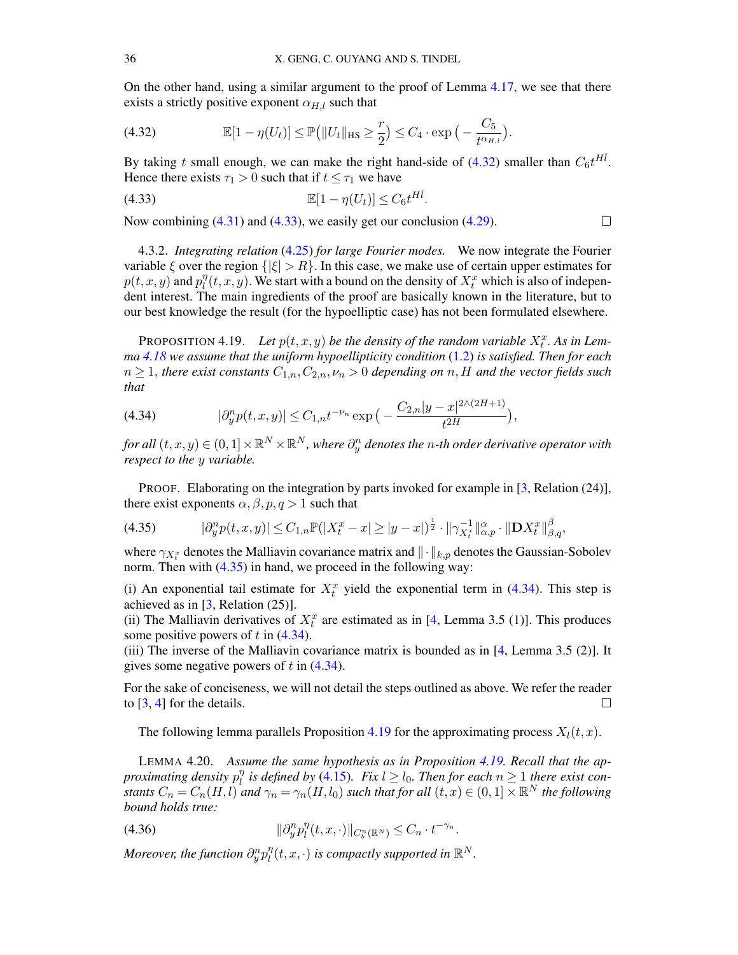On the other hand, using a similar argument to the proof of Lemma [4.17,](#page-33-2) we see that there exists a strictly positive exponent  $\alpha_{H,l}$  such that

<span id="page-35-1"></span>(4.32) 
$$
\mathbb{E}[1-\eta(U_t)] \leq \mathbb{P}(|U_t||_{\text{HS}} \geq \frac{r}{2}) \leq C_4 \cdot \exp\big(-\frac{C_5}{t^{\alpha_{H,t}}}\big).
$$

By taking t small enough, we can make the right hand-side of [\(4.32\)](#page-35-1) smaller than  $C_6 t^{H\bar{l}}$ . Hence there exists  $\tau_1 > 0$  such that if  $t \leq \tau_1$  we have

<span id="page-35-2"></span>
$$
\mathbb{E}[1 - \eta(U_t)] \le C_6 t^{H\bar{l}}.
$$

Now combining [\(4.31\)](#page-34-3) and [\(4.33\)](#page-35-2), we easily get our conclusion [\(4.29\)](#page-34-4).

4.3.2. *Integrating relation* [\(4.25\)](#page-33-0) *for large Fourier modes.* We now integrate the Fourier variable  $\xi$  over the region  $\{|\xi| > R\}$ . In this case, we make use of certain upper estimates for  $p(t, x, y)$  and  $p_l^{\eta}$  $\eta_l^{\eta}(t,x,y)$ . We start with a bound on the density of  $X_t^x$  which is also of independent interest. The main ingredients of the proof are basically known in the literature, but to our best knowledge the result (for the hypoelliptic case) has not been formulated elsewhere.

 $\Box$ 

<span id="page-35-5"></span>PROPOSITION 4.19. Let  $p(t, x, y)$  be the density of the random variable  $X_t^x$ . As in Lem*ma [4.18](#page-34-5) we assume that the uniform hypoellipticity condition* [\(1.2\)](#page-1-2) *is satisfied. Then for each*  $n \geq 1$ , *there exist constants*  $C_{1,n}, C_{2,n}, \nu_n > 0$  *depending on* n, H *and the vector fields such that*

<span id="page-35-4"></span>(4.34) 
$$
|\partial_y^n p(t,x,y)| \leq C_{1,n} t^{-\nu_n} \exp\big(-\frac{C_{2,n}|y-x|^{2\wedge (2H+1)}}{t^{2H}}\big),
$$

for all  $(t,x,y)\in (0,1]\times \mathbb{R}^N\times \mathbb{R}^N,$  where  $\partial^n_y$  denotes the  $n$ -th order derivative operator with *respect to the* y *variable.*

PROOF. Elaborating on the integration by parts invoked for example in [\[3,](#page-37-2) Relation (24)], there exist exponents  $\alpha, \beta, p, q > 1$  such that

<span id="page-35-3"></span>
$$
(4.35) \t\t |\partial_y^n p(t, x, y)| \le C_{1,n} \mathbb{P}(|X_t^x - x| \ge |y - x|)^{\frac{1}{2}} \cdot \|\gamma_{X_t^x}^{-1}\|_{\alpha, p}^{\alpha} \cdot \|\mathbf{D} X_t^x\|_{\beta, q}^{\beta},
$$

where  $\gamma_{X_t^x}$  denotes the Malliavin covariance matrix and  $\|\cdot\|_{k,p}$  denotes the Gaussian-Sobolev norm. Then with  $(4.35)$  in hand, we proceed in the following way:

(i) An exponential tail estimate for  $X_t^x$  yield the exponential term in [\(4.34\)](#page-35-4). This step is achieved as in  $[3,$  Relation  $(25)$ ].

(ii) The Malliavin derivatives of  $X_t^x$  are estimated as in [\[4,](#page-37-3) Lemma 3.5 (1)]. This produces some positive powers of  $t$  in [\(4.34\)](#page-35-4).

(iii) The inverse of the Malliavin covariance matrix is bounded as in [\[4,](#page-37-3) Lemma 3.5 (2)]. It gives some negative powers of  $t$  in  $(4.34)$ .

For the sake of conciseness, we will not detail the steps outlined as above. We refer the reader to [\[3,](#page-37-2) [4\]](#page-37-3) for the details.  $\Box$ 

The following lemma parallels Proposition [4.19](#page-35-5) for the approximating process  $X_l(t, x)$ .

<span id="page-35-0"></span>LEMMA 4.20. *Assume the same hypothesis as in Proposition [4.19.](#page-35-5) Recall that the approximating density* p η  $\frac{\eta}{l}$  is defined by [\(4.15\)](#page-30-5). Fix  $l \geq l_0$ . Then for each  $n \geq 1$  there exist con*stants*  $C_n = C_n(H, l)$  and  $\gamma_n = \gamma_n(H, l_0)$  *such that for all*  $(t, x) \in (0, 1] \times \mathbb{R}^N$  *the following bound holds true:*

<span id="page-35-6"></span>(4.36) 
$$
\|\partial_y^n p_l^n(t, x, \cdot)\|_{C_b^n(\mathbb{R}^N)} \leq C_n \cdot t^{-\gamma_n}.
$$

Moreover, the function  $\partial_y^n p_l^\eta$  $\int_l^{\eta}(t,x,\cdot)$  is compactly supported in  $\mathbb{R}^N$ .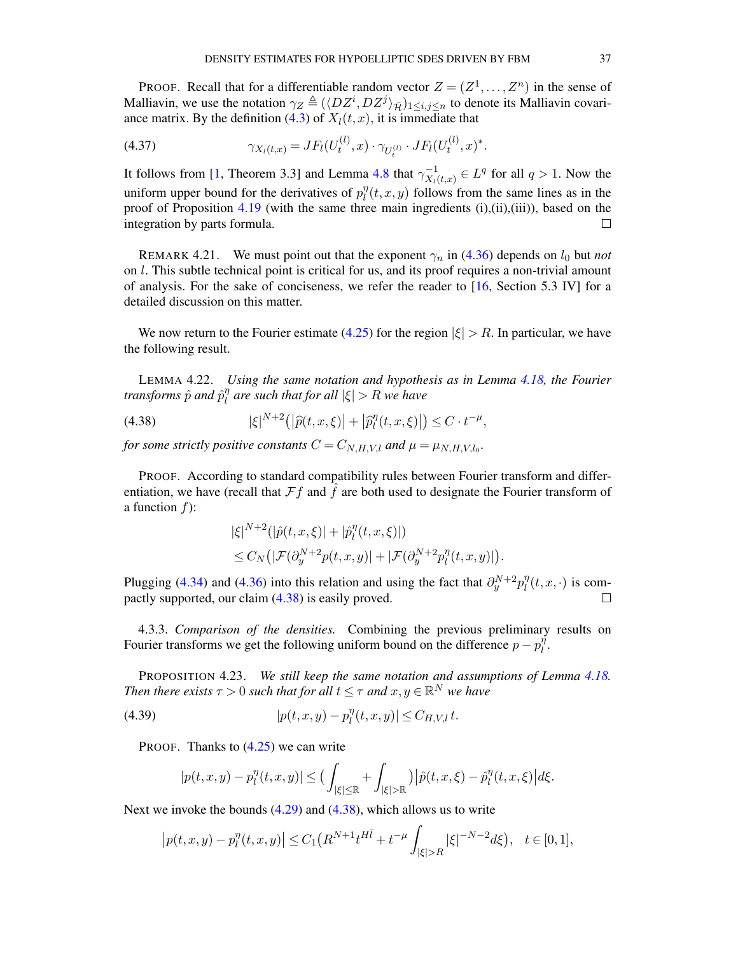PROOF. Recall that for a differentiable random vector  $Z = (Z^1, \dots, Z^n)$  in the sense of Malliavin, we use the notation  $\gamma_Z \triangleq (\langle DZ^i, DZ^j \rangle_{\bar{\mathcal{H}}})_{1 \leq i,j \leq n}$  to denote its Malliavin covari-ance matrix. By the definition [\(4.3\)](#page-24-2) of  $X<sub>l</sub>(t, x)$ , it is immediate that

(4.37) 
$$
\gamma_{X_l(t,x)} = JF_l(U_t^{(l)}, x) \cdot \gamma_{U_t^{(l)}} \cdot JF_l(U_t^{(l)}, x)^*.
$$

It follows from [\[1,](#page-37-4) Theorem 3.3] and Lemma [4.8](#page-29-1) that  $\gamma_{X,1}^{-1}$  $\overline{X}_t^{-1}(t,x) \in L^q$  for all  $q > 1$ . Now the uniform upper bound for the derivatives of  $p_l^{\eta}$  $\int_l^{\eta}(t, x, y)$  follows from the same lines as in the proof of Proposition [4.19](#page-35-5) (with the same three main ingredients  $(i), (ii), (iii)$ ), based on the integration by parts formula.  $\Box$ 

REMARK 4.21. We must point out that the exponent  $\gamma_n$  in [\(4.36\)](#page-35-6) depends on  $l_0$  but *not* on l. This subtle technical point is critical for us, and its proof requires a non-trivial amount of analysis. For the sake of conciseness, we refer the reader to [\[16,](#page-38-11) Section 5.3 IV] for a detailed discussion on this matter.

We now return to the Fourier estimate [\(4.25\)](#page-33-0) for the region  $|\xi| > R$ . In particular, we have the following result.

LEMMA 4.22. *Using the same notation and hypothesis as in Lemma [4.18,](#page-34-5) the Fourier* transforms  $\hat{p}$  and  $\hat{p}^{\eta}_{l}$ l *are such that for all* |ξ| > R *we have*

(4.38) 
$$
|\xi|^{N+2}(|\widehat{p}(t,x,\xi)|+|\widehat{p}_l^{\eta}(t,x,\xi)|)\leq C\cdot t^{-\mu},
$$

*for some strictly positive constants*  $C = C_{N,H,V,l}$  *and*  $\mu = \mu_{N,H,V,l_0}$ *.* 

PROOF. According to standard compatibility rules between Fourier transform and differentiation, we have (recall that  $\mathcal{F}f$  and  $\ddot{f}$  are both used to designate the Fourier transform of a function  $f$ :

<span id="page-36-0"></span>
$$
\begin{aligned} &|\xi|^{N+2}(|\hat{p}(t,x,\xi)|+|\hat{p}_l^{\eta}(t,x,\xi)|)\\ &\leq C_N\left(|\mathcal{F}(\partial_y^{N+2}p(t,x,y)|+|\mathcal{F}(\partial_y^{N+2}p_l^{\eta}(t,x,y)|)\right). \end{aligned}
$$

Plugging [\(4.34\)](#page-35-4) and [\(4.36\)](#page-35-6) into this relation and using the fact that  $\partial_y^{N+2} p_l^{\eta}$  $\int_l^{\eta}(t,x,\cdot)$  is compactly supported, our claim [\(4.38\)](#page-36-0) is easily proved.

4.3.3. *Comparison of the densities.* Combining the previous preliminary results on Fourier transforms we get the following uniform bound on the difference  $p - p_l^{\eta}$  $\frac{\eta}{l}$ .

PROPOSITION 4.23. *We still keep the same notation and assumptions of Lemma [4.18.](#page-34-5) Then there exists*  $\tau > 0$  *such that for all*  $t \leq \tau$  *and*  $x, y \in \mathbb{R}^N$  *we have* 

<span id="page-36-1"></span>(4.39) 
$$
|p(t, x, y) - p_l^{\eta}(t, x, y)| \le C_{H, V, l} t.
$$

PROOF. Thanks to  $(4.25)$  we can write

$$
|p(t, x, y) - p_l^{\eta}(t, x, y)| \le \Big(\int_{|\xi| \le \mathbb{R}} + \int_{|\xi| > \mathbb{R}}\Big)|\hat{p}(t, x, \xi) - \hat{p}_l^{\eta}(t, x, \xi)\Big| d\xi.
$$

Next we invoke the bounds [\(4.29\)](#page-34-4) and [\(4.38\)](#page-36-0), which allows us to write

$$
|p(t,x,y)-p_l^{\eta}(t,x,y)| \le C_1 \left(R^{N+1}t^{H\bar{l}} + t^{-\mu} \int_{|\xi|>R} |\xi|^{-N-2} d\xi\right), \quad t \in [0,1],
$$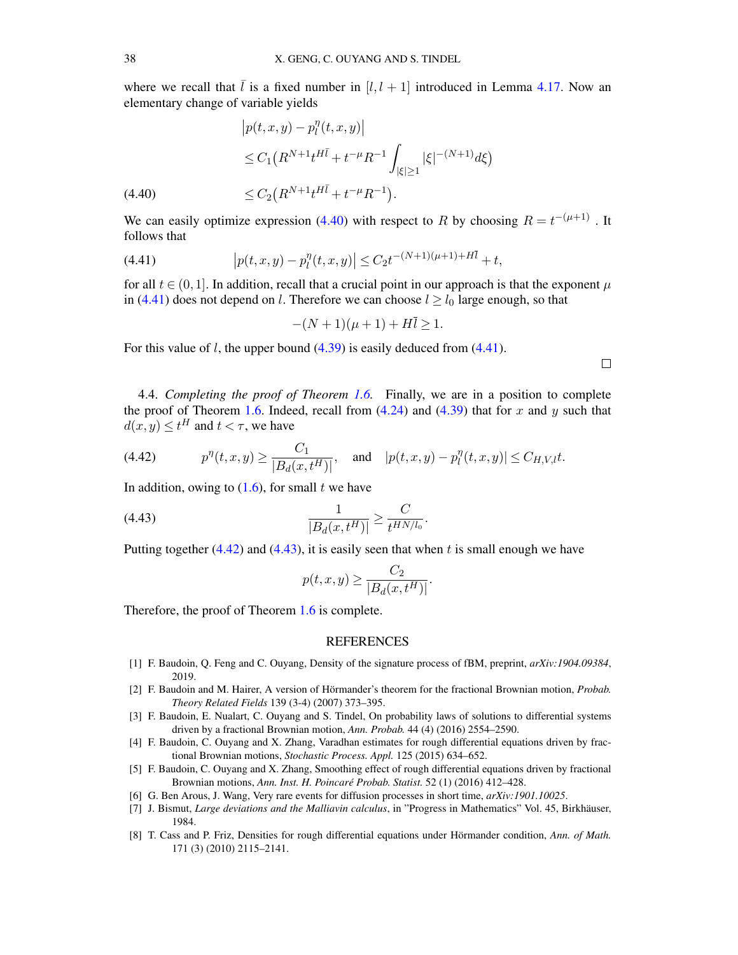where we recall that  $\overline{l}$  is a fixed number in [l, l + 1] introduced in Lemma [4.17.](#page-33-2) Now an elementary change of variable yields

$$
|p(t, x, y) - p_l^{\eta}(t, x, y)|
$$
  
\n
$$
\leq C_1 \left( R^{N+1} t^{H\bar{l}} + t^{-\mu} R^{-1} \int_{|\xi| \geq 1} |\xi|^{-(N+1)} d\xi \right)
$$
  
\n
$$
\leq C_2 \left( R^{N+1} t^{H\bar{l}} + t^{-\mu} R^{-1} \right).
$$

<span id="page-37-7"></span>We can easily optimize expression [\(4.40\)](#page-37-7) with respect to R by choosing  $R = t^{-(\mu+1)}$ . It follows that

<span id="page-37-8"></span>(4.41) 
$$
\left|p(t,x,y)-p_1^{\eta}(t,x,y)\right| \leq C_2 t^{-(N+1)(\mu+1)+H\bar{l}}+t,
$$

for all  $t \in (0, 1]$ . In addition, recall that a crucial point in our approach is that the exponent  $\mu$ in [\(4.41\)](#page-37-8) does not depend on l. Therefore we can choose  $l \ge l_0$  large enough, so that

$$
-(N+1)(\mu+1) + H\bar{l} \ge 1.
$$

For this value of *l*, the upper bound  $(4.39)$  is easily deduced from  $(4.41)$ .

4.4. *Completing the proof of Theorem [1.6.](#page-3-1)* Finally, we are in a position to complete the proof of Theorem [1.6.](#page-3-1) Indeed, recall from  $(4.24)$  and  $(4.39)$  that for x and y such that  $d(x, y) \le t^H$  and  $t < \tau$ , we have

<span id="page-37-9"></span>(4.42) 
$$
p^{\eta}(t, x, y) \ge \frac{C_1}{|B_d(x, t^H)|}, \text{ and } |p(t, x, y) - p_l^{\eta}(t, x, y)| \le C_{H, V, l} t.
$$

In addition, owing to  $(1.6)$ , for small t we have

(4.43) 
$$
\frac{1}{|B_d(x,t^H)|} \ge \frac{C}{t^{HN/l_0}}.
$$

Putting together  $(4.42)$  and  $(4.43)$ , it is easily seen that when t is small enough we have

<span id="page-37-10"></span>
$$
p(t, x, y) \ge \frac{C_2}{|B_d(x, t^H)|}.
$$

Therefore, the proof of Theorem [1.6](#page-3-1) is complete.

## REFERENCES

- <span id="page-37-4"></span>[1] F. Baudoin, Q. Feng and C. Ouyang, Density of the signature process of fBM, preprint, *arXiv:1904.09384*, 2019.
- <span id="page-37-0"></span>[2] F. Baudoin and M. Hairer, A version of Hörmander's theorem for the fractional Brownian motion, *Probab. Theory Related Fields* 139 (3-4) (2007) 373–395.
- <span id="page-37-2"></span>[3] F. Baudoin, E. Nualart, C. Ouyang and S. Tindel, On probability laws of solutions to differential systems driven by a fractional Brownian motion, *Ann. Probab.* 44 (4) (2016) 2554–2590.
- <span id="page-37-3"></span>[4] F. Baudoin, C. Ouyang and X. Zhang, Varadhan estimates for rough differential equations driven by fractional Brownian motions, *Stochastic Process. Appl.* 125 (2015) 634–652.
- [5] F. Baudoin, C. Ouyang and X. Zhang, Smoothing effect of rough differential equations driven by fractional Brownian motions, *Ann. Inst. H. Poincare Probab. Statist. ´* 52 (1) (2016) 412–428.
- <span id="page-37-5"></span>[6] G. Ben Arous, J. Wang, Very rare events for diffusion processes in short time, *arXiv:1901.10025*.
- <span id="page-37-6"></span>[7] J. Bismut, *Large deviations and the Malliavin calculus*, in "Progress in Mathematics" Vol. 45, Birkhauser, ¨ 1984.
- <span id="page-37-1"></span>[8] T. Cass and P. Friz, Densities for rough differential equations under Hörmander condition, Ann. of Math. 171 (3) (2010) 2115–2141.